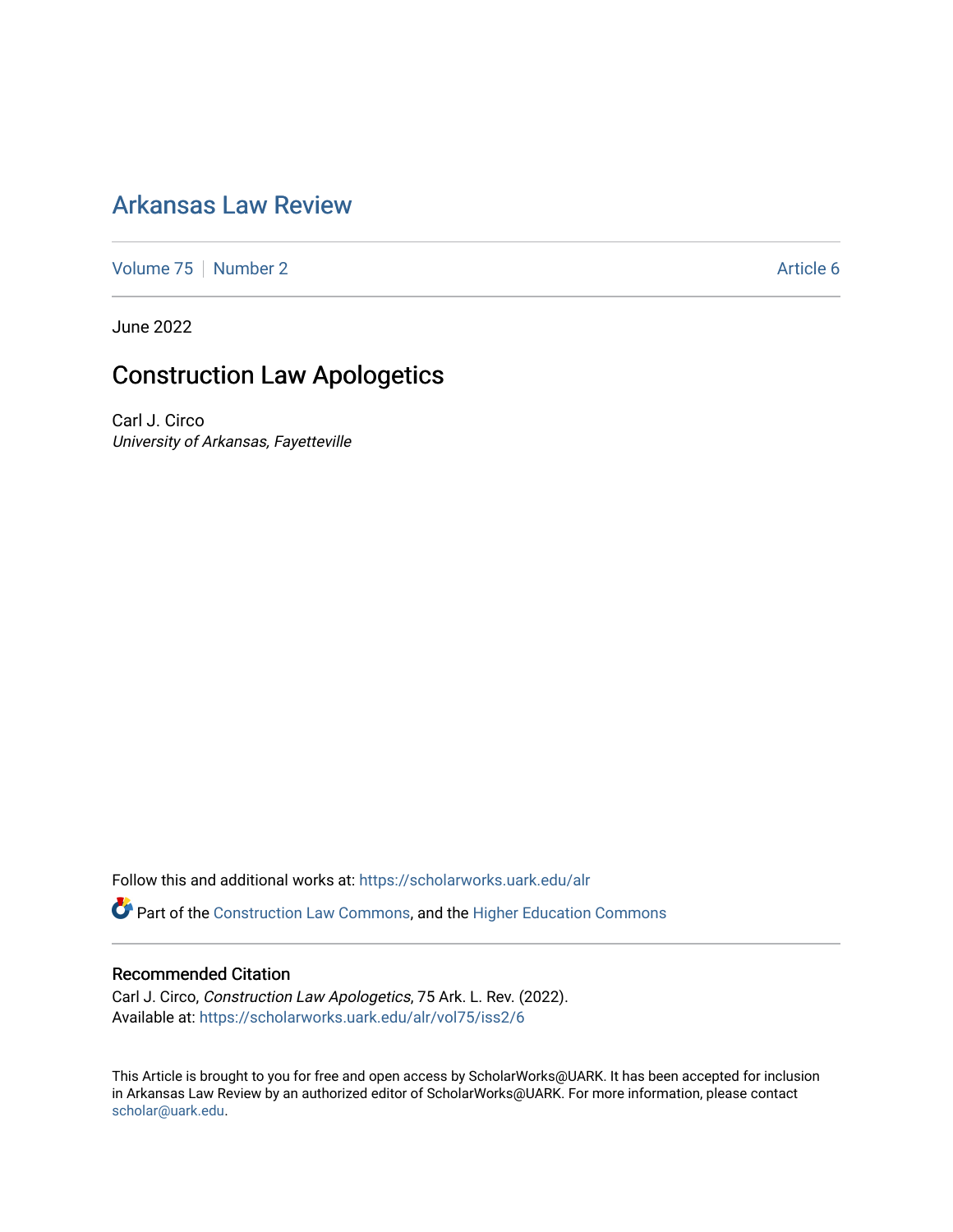## [Arkansas Law Review](https://scholarworks.uark.edu/alr)

[Volume 75](https://scholarworks.uark.edu/alr/vol75) | [Number 2](https://scholarworks.uark.edu/alr/vol75/iss2) Article 6

June 2022

# Construction Law Apologetics

Carl J. Circo University of Arkansas, Fayetteville

Follow this and additional works at: [https://scholarworks.uark.edu/alr](https://scholarworks.uark.edu/alr?utm_source=scholarworks.uark.edu%2Falr%2Fvol75%2Fiss2%2F6&utm_medium=PDF&utm_campaign=PDFCoverPages) 

Part of the [Construction Law Commons,](https://network.bepress.com/hgg/discipline/590?utm_source=scholarworks.uark.edu%2Falr%2Fvol75%2Fiss2%2F6&utm_medium=PDF&utm_campaign=PDFCoverPages) and the Higher Education Commons

#### Recommended Citation

Carl J. Circo, Construction Law Apologetics, 75 Ark. L. Rev. (2022). Available at: [https://scholarworks.uark.edu/alr/vol75/iss2/6](https://scholarworks.uark.edu/alr/vol75/iss2/6?utm_source=scholarworks.uark.edu%2Falr%2Fvol75%2Fiss2%2F6&utm_medium=PDF&utm_campaign=PDFCoverPages)

This Article is brought to you for free and open access by ScholarWorks@UARK. It has been accepted for inclusion in Arkansas Law Review by an authorized editor of ScholarWorks@UARK. For more information, please contact [scholar@uark.edu](mailto:scholar@uark.edu).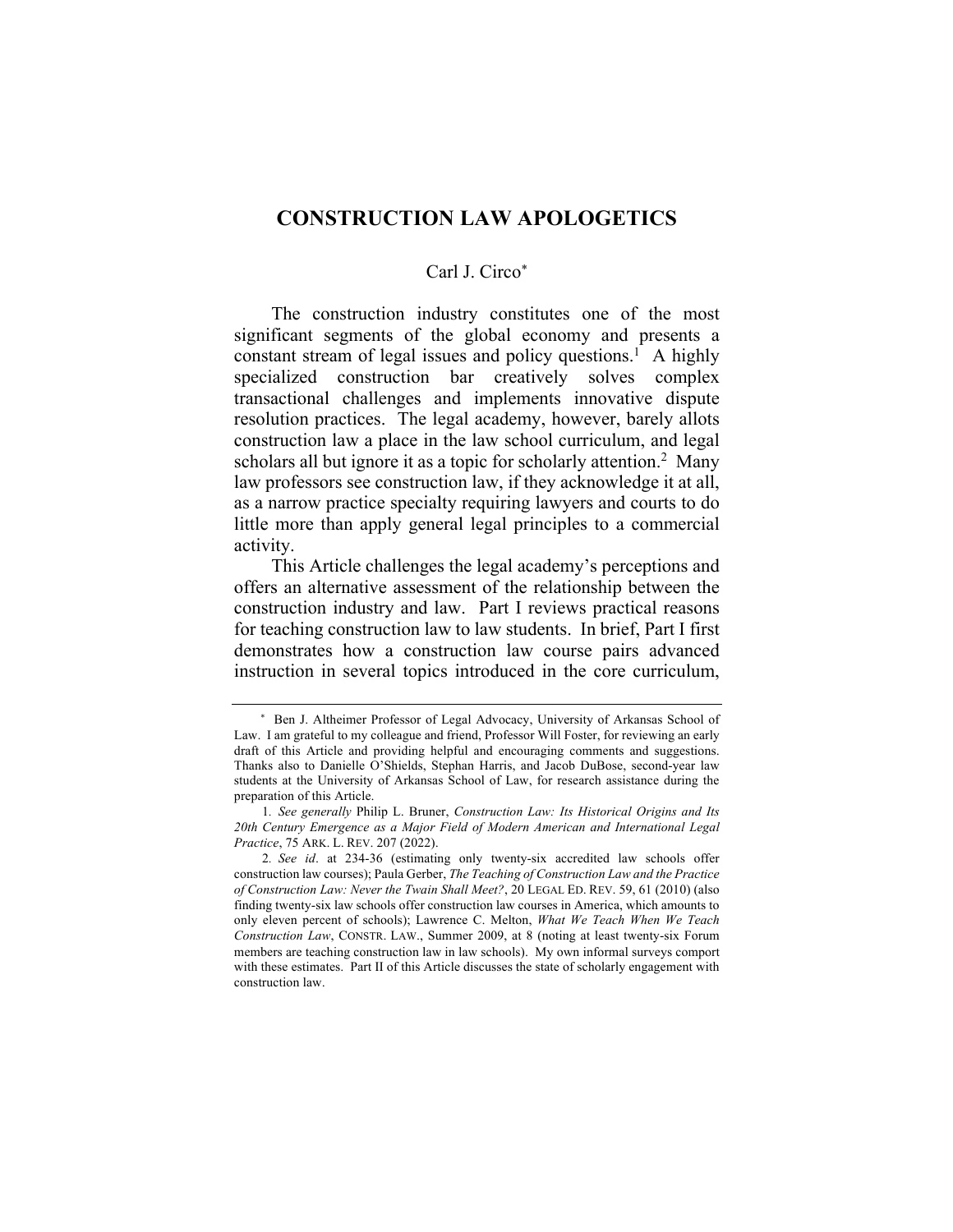## **CONSTRUCTION LAW APOLOGETICS**

#### Carl J. Circo\*

The construction industry constitutes one of the most significant segments of the global economy and presents a constant stream of legal issues and policy questions.<sup>1</sup> A highly specialized construction bar creatively solves complex transactional challenges and implements innovative dispute resolution practices. The legal academy, however, barely allots construction law a place in the law school curriculum, and legal scholars all but ignore it as a topic for scholarly attention.<sup>2</sup> Many law professors see construction law, if they acknowledge it at all, as a narrow practice specialty requiring lawyers and courts to do little more than apply general legal principles to a commercial activity.

This Article challenges the legal academy's perceptions and offers an alternative assessment of the relationship between the construction industry and law. Part I reviews practical reasons for teaching construction law to law students. In brief, Part I first demonstrates how a construction law course pairs advanced instruction in several topics introduced in the core curriculum,

\* Ben J. Altheimer Professor of Legal Advocacy, University of Arkansas School of Law. I am grateful to my colleague and friend, Professor Will Foster, for reviewing an early draft of this Article and providing helpful and encouraging comments and suggestions. Thanks also to Danielle O'Shields, Stephan Harris, and Jacob DuBose, second-year law students at the University of Arkansas School of Law, for research assistance during the preparation of this Article.

<sup>1</sup>*. See generally* Philip L. Bruner, *Construction Law: Its Historical Origins and Its 20th Century Emergence as a Major Field of Modern American and International Legal Practice*, 75 ARK. L. REV. 207 (2022).

<sup>2</sup>*. See id*. at 234-36 (estimating only twenty-six accredited law schools offer construction law courses); Paula Gerber, *The Teaching of Construction Law and the Practice of Construction Law: Never the Twain Shall Meet?*, 20 LEGAL ED. REV. 59, 61 (2010) (also finding twenty-six law schools offer construction law courses in America, which amounts to only eleven percent of schools); Lawrence C. Melton, *What We Teach When We Teach Construction Law*, CONSTR. LAW., Summer 2009, at 8 (noting at least twenty-six Forum members are teaching construction law in law schools). My own informal surveys comport with these estimates. Part II of this Article discusses the state of scholarly engagement with construction law.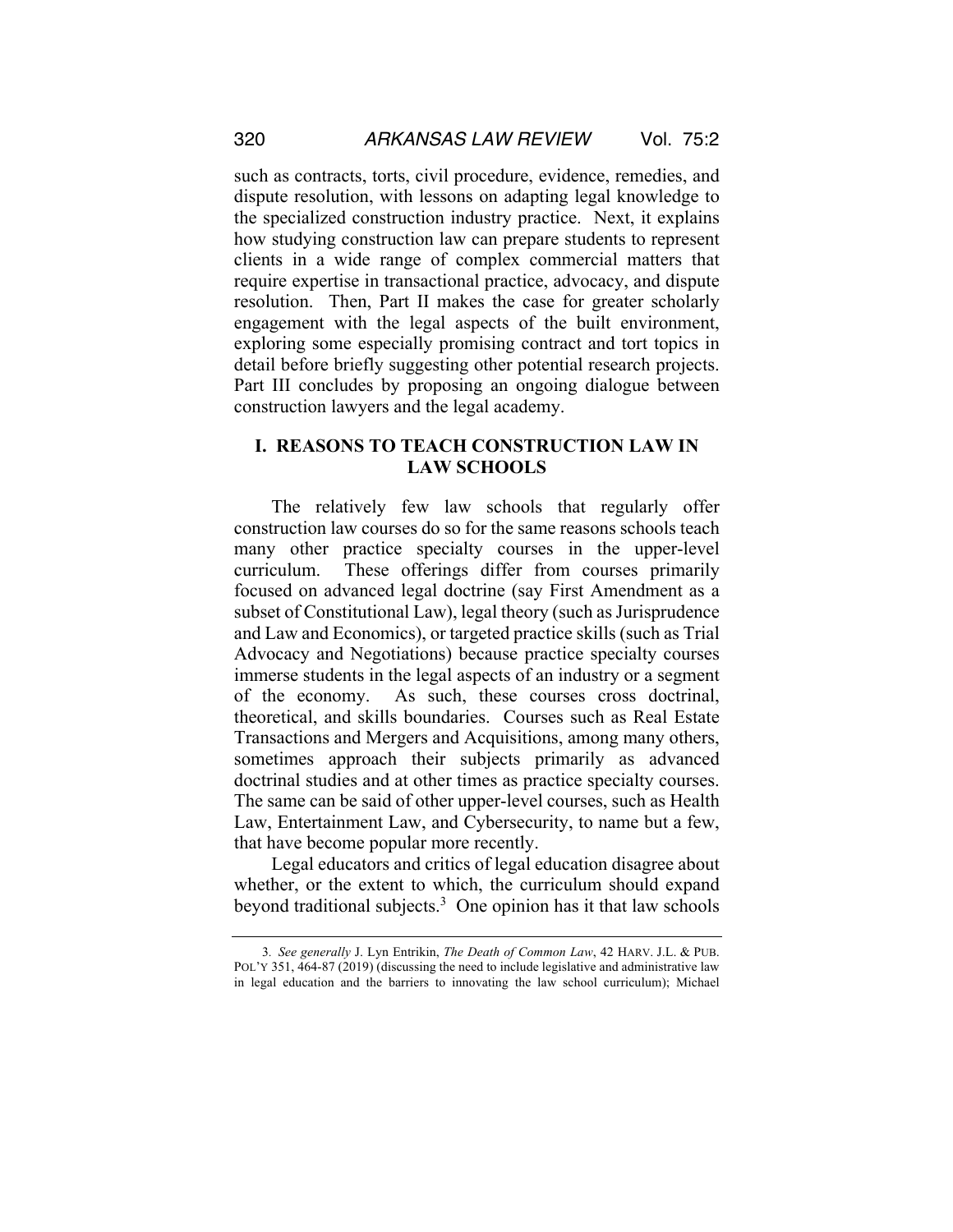such as contracts, torts, civil procedure, evidence, remedies, and dispute resolution, with lessons on adapting legal knowledge to the specialized construction industry practice. Next, it explains how studying construction law can prepare students to represent clients in a wide range of complex commercial matters that require expertise in transactional practice, advocacy, and dispute resolution. Then, Part II makes the case for greater scholarly engagement with the legal aspects of the built environment, exploring some especially promising contract and tort topics in detail before briefly suggesting other potential research projects. Part III concludes by proposing an ongoing dialogue between construction lawyers and the legal academy.

### **I. REASONS TO TEACH CONSTRUCTION LAW IN LAW SCHOOLS**

The relatively few law schools that regularly offer construction law courses do so for the same reasons schools teach many other practice specialty courses in the upper-level curriculum. These offerings differ from courses primarily focused on advanced legal doctrine (say First Amendment as a subset of Constitutional Law), legal theory (such as Jurisprudence and Law and Economics), or targeted practice skills (such as Trial Advocacy and Negotiations) because practice specialty courses immerse students in the legal aspects of an industry or a segment of the economy. As such, these courses cross doctrinal, theoretical, and skills boundaries. Courses such as Real Estate Transactions and Mergers and Acquisitions, among many others, sometimes approach their subjects primarily as advanced doctrinal studies and at other times as practice specialty courses. The same can be said of other upper-level courses, such as Health Law, Entertainment Law, and Cybersecurity, to name but a few, that have become popular more recently.

Legal educators and critics of legal education disagree about whether, or the extent to which, the curriculum should expand beyond traditional subjects.<sup>3</sup> One opinion has it that law schools

<sup>3</sup>*. See generally* J. Lyn Entrikin, *The Death of Common Law*, 42 HARV. J.L. & PUB. POL'Y 351, 464-87 (2019) (discussing the need to include legislative and administrative law in legal education and the barriers to innovating the law school curriculum); Michael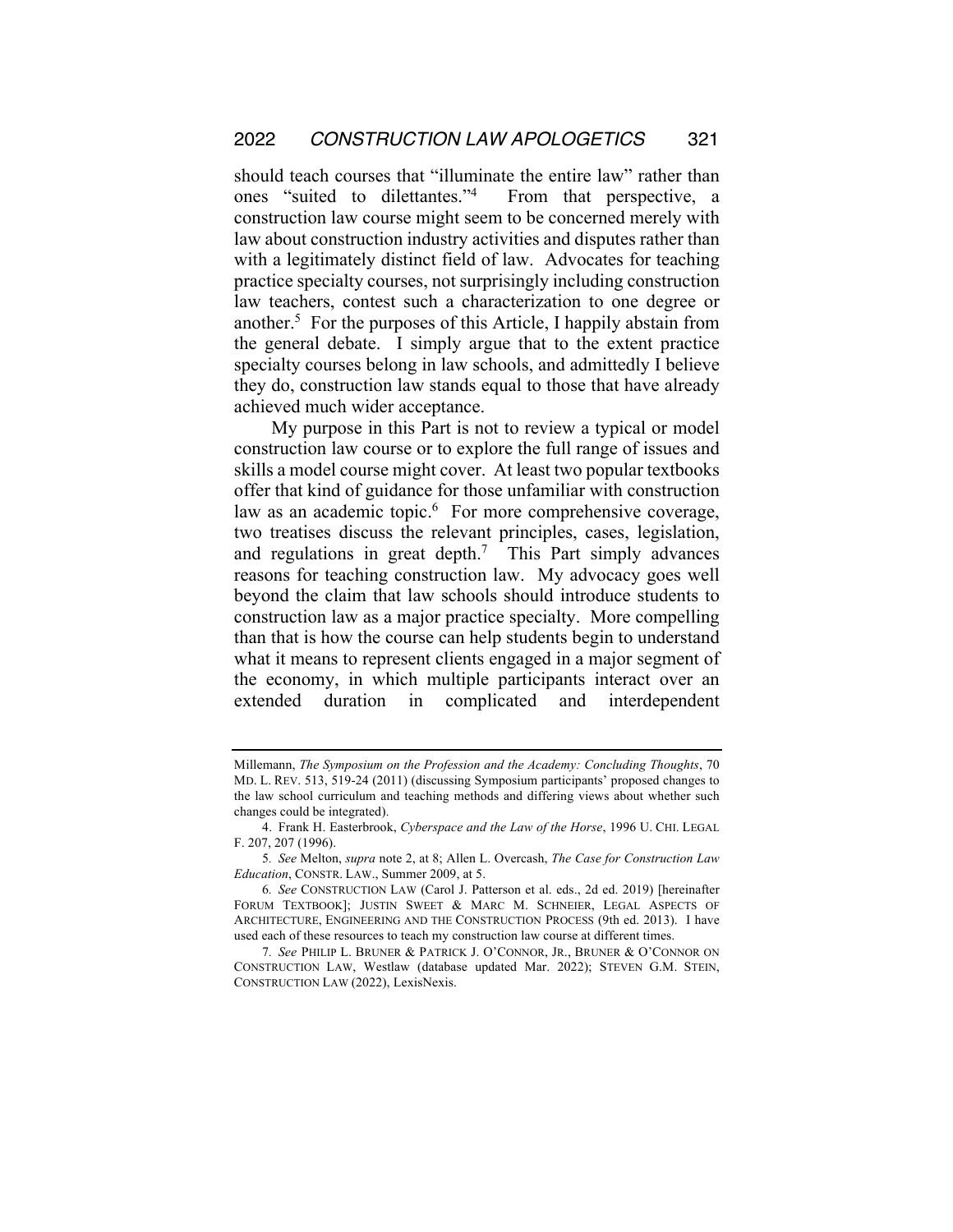should teach courses that "illuminate the entire law" rather than ones "suited to dilettantes."4 From that perspective, a construction law course might seem to be concerned merely with law about construction industry activities and disputes rather than with a legitimately distinct field of law. Advocates for teaching practice specialty courses, not surprisingly including construction law teachers, contest such a characterization to one degree or another.5 For the purposes of this Article, I happily abstain from the general debate. I simply argue that to the extent practice specialty courses belong in law schools, and admittedly I believe they do, construction law stands equal to those that have already achieved much wider acceptance.

My purpose in this Part is not to review a typical or model construction law course or to explore the full range of issues and skills a model course might cover. At least two popular textbooks offer that kind of guidance for those unfamiliar with construction law as an academic topic.<sup>6</sup> For more comprehensive coverage, two treatises discuss the relevant principles, cases, legislation, and regulations in great depth.<sup>7</sup> This Part simply advances reasons for teaching construction law. My advocacy goes well beyond the claim that law schools should introduce students to construction law as a major practice specialty. More compelling than that is how the course can help students begin to understand what it means to represent clients engaged in a major segment of the economy, in which multiple participants interact over an extended duration in complicated and interdependent

Millemann, *The Symposium on the Profession and the Academy: Concluding Thoughts*, 70 MD. L. REV. 513, 519-24 (2011) (discussing Symposium participants' proposed changes to the law school curriculum and teaching methods and differing views about whether such changes could be integrated).

<sup>4.</sup> Frank H. Easterbrook, *Cyberspace and the Law of the Horse*, 1996 U. CHI. LEGAL F. 207, 207 (1996).

<sup>5</sup>*. See* Melton, *supra* note 2, at 8; Allen L. Overcash, *The Case for Construction Law Education*, CONSTR. LAW., Summer 2009, at 5.

<sup>6</sup>*. See* CONSTRUCTION LAW (Carol J. Patterson et al. eds., 2d ed. 2019) [hereinafter FORUM TEXTBOOK]; JUSTIN SWEET & MARC M. SCHNEIER, LEGAL ASPECTS OF ARCHITECTURE, ENGINEERING AND THE CONSTRUCTION PROCESS (9th ed. 2013). I have used each of these resources to teach my construction law course at different times.

<sup>7</sup>*. See* PHILIP L. BRUNER & PATRICK J. O'CONNOR, JR., BRUNER & O'CONNOR ON CONSTRUCTION LAW, Westlaw (database updated Mar. 2022); STEVEN G.M. STEIN, CONSTRUCTION LAW (2022), LexisNexis.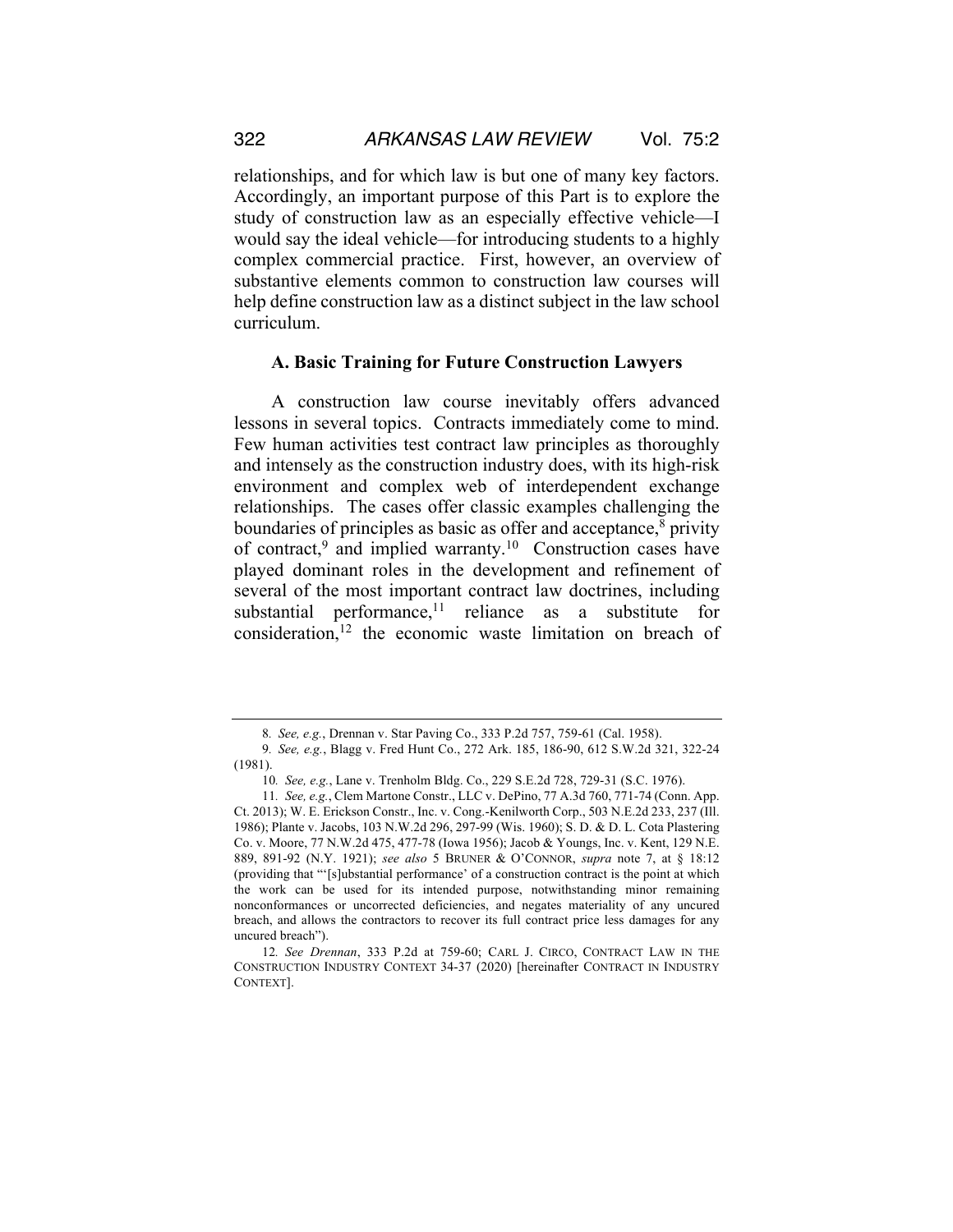relationships, and for which law is but one of many key factors. Accordingly, an important purpose of this Part is to explore the study of construction law as an especially effective vehicle—I would say the ideal vehicle—for introducing students to a highly complex commercial practice. First, however, an overview of substantive elements common to construction law courses will help define construction law as a distinct subject in the law school curriculum.

#### **A. Basic Training for Future Construction Lawyers**

A construction law course inevitably offers advanced lessons in several topics. Contracts immediately come to mind. Few human activities test contract law principles as thoroughly and intensely as the construction industry does, with its high-risk environment and complex web of interdependent exchange relationships. The cases offer classic examples challenging the boundaries of principles as basic as offer and acceptance, $\delta$  privity of contract,<sup>9</sup> and implied warranty.<sup>10</sup> Construction cases have played dominant roles in the development and refinement of several of the most important contract law doctrines, including substantial performance,<sup>11</sup> reliance as a substitute for consideration,12 the economic waste limitation on breach of

<sup>8</sup>*. See, e.g.*, Drennan v. Star Paving Co., 333 P.2d 757, 759-61 (Cal. 1958).

<sup>9</sup>*. See, e.g.*, Blagg v. Fred Hunt Co., 272 Ark. 185, 186-90, 612 S.W.2d 321, 322-24 (1981).

<sup>10</sup>*. See, e.g.*, Lane v. Trenholm Bldg. Co., 229 S.E.2d 728, 729-31 (S.C. 1976).

<sup>11</sup>*. See, e.g.*, Clem Martone Constr., LLC v. DePino, 77 A.3d 760, 771-74 (Conn. App. Ct. 2013); W. E. Erickson Constr., Inc. v. Cong.-Kenilworth Corp., 503 N.E.2d 233, 237 (Ill. 1986); Plante v. Jacobs, 103 N.W.2d 296, 297-99 (Wis. 1960); S. D. & D. L. Cota Plastering Co. v. Moore, 77 N.W.2d 475, 477-78 (Iowa 1956); Jacob & Youngs, Inc. v. Kent, 129 N.E. 889, 891-92 (N.Y. 1921); *see also* 5 BRUNER & O'CONNOR, *supra* note 7, at § 18:12 (providing that "'[s]ubstantial performance' of a construction contract is the point at which the work can be used for its intended purpose, notwithstanding minor remaining nonconformances or uncorrected deficiencies, and negates materiality of any uncured breach, and allows the contractors to recover its full contract price less damages for any uncured breach").

<sup>12</sup>*. See Drennan*, 333 P.2d at 759-60; CARL J. CIRCO, CONTRACT LAW IN THE CONSTRUCTION INDUSTRY CONTEXT 34-37 (2020) [hereinafter CONTRACT IN INDUSTRY CONTEXT].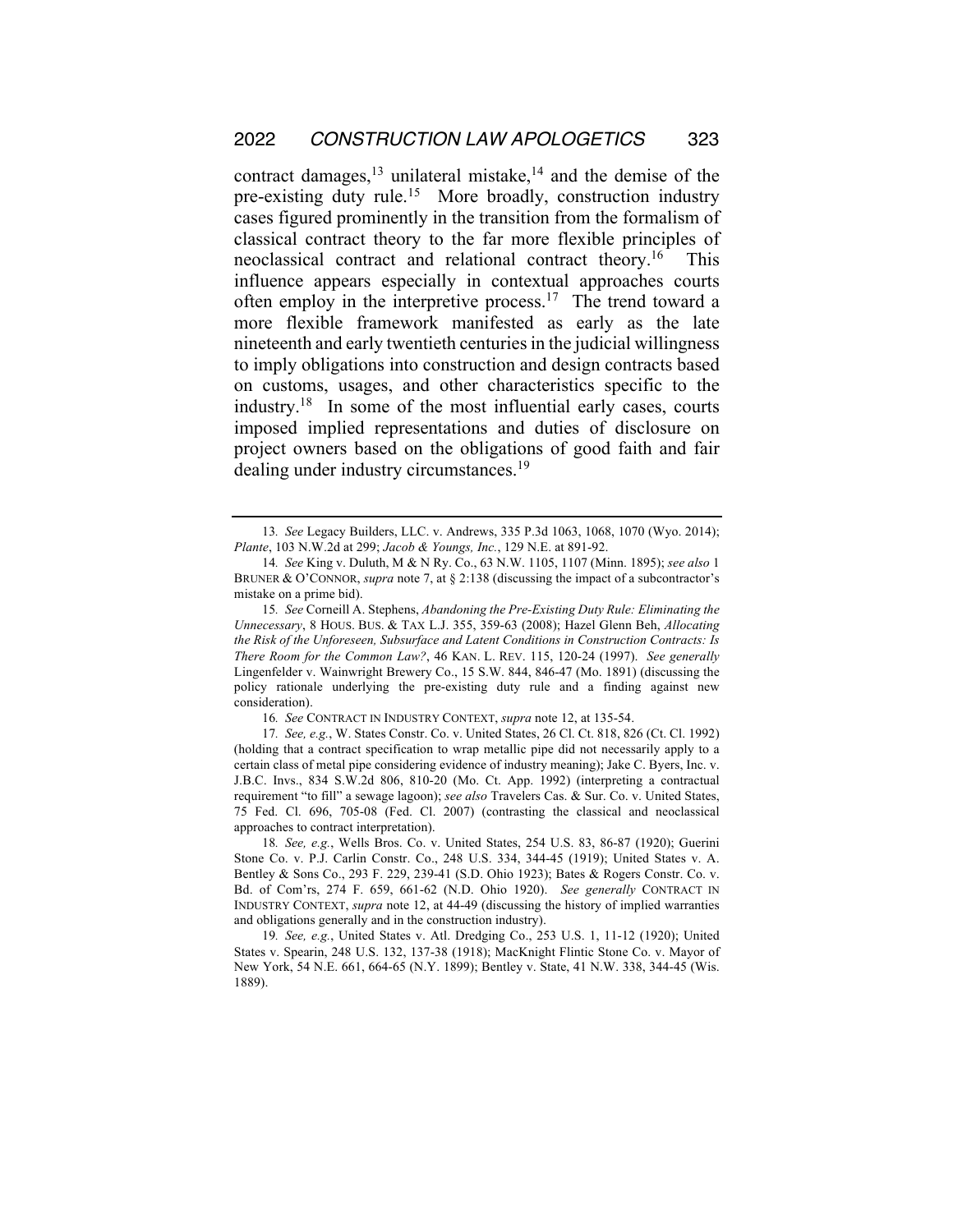contract damages, $^{13}$  unilateral mistake, $^{14}$  and the demise of the pre-existing duty rule.<sup>15</sup> More broadly, construction industry cases figured prominently in the transition from the formalism of classical contract theory to the far more flexible principles of neoclassical contract and relational contract theory.<sup>16</sup> This influence appears especially in contextual approaches courts often employ in the interpretive process.<sup>17</sup> The trend toward a more flexible framework manifested as early as the late nineteenth and early twentieth centuries in the judicial willingness to imply obligations into construction and design contracts based on customs, usages, and other characteristics specific to the industry.18 In some of the most influential early cases, courts imposed implied representations and duties of disclosure on project owners based on the obligations of good faith and fair dealing under industry circumstances.<sup>19</sup>

<sup>13</sup>*. See* Legacy Builders, LLC. v. Andrews, 335 P.3d 1063, 1068, 1070 (Wyo. 2014); *Plante*, 103 N.W.2d at 299; *Jacob & Youngs, Inc.*, 129 N.E. at 891-92.

<sup>14</sup>*. See* King v. Duluth, M & N Ry. Co., 63 N.W. 1105, 1107 (Minn. 1895); *see also* 1 BRUNER & O'CONNOR, *supra* note 7, at § 2:138 (discussing the impact of a subcontractor's mistake on a prime bid).

<sup>15</sup>*. See* Corneill A. Stephens, *Abandoning the Pre-Existing Duty Rule: Eliminating the Unnecessary*, 8 HOUS. BUS. & TAX L.J. 355, 359-63 (2008); Hazel Glenn Beh, *Allocating the Risk of the Unforeseen, Subsurface and Latent Conditions in Construction Contracts: Is There Room for the Common Law?*, 46 KAN. L. REV. 115, 120-24 (1997). *See generally* Lingenfelder v. Wainwright Brewery Co., 15 S.W. 844, 846-47 (Mo. 1891) (discussing the policy rationale underlying the pre-existing duty rule and a finding against new consideration).

<sup>16</sup>*. See* CONTRACT IN INDUSTRY CONTEXT, *supra* note 12, at 135-54.

<sup>17</sup>*. See, e.g.*, W. States Constr. Co. v. United States, 26 Cl. Ct. 818, 826 (Ct. Cl. 1992) (holding that a contract specification to wrap metallic pipe did not necessarily apply to a certain class of metal pipe considering evidence of industry meaning); Jake C. Byers, Inc. v. J.B.C. Invs., 834 S.W.2d 806, 810-20 (Mo. Ct. App. 1992) (interpreting a contractual requirement "to fill" a sewage lagoon); *see also* Travelers Cas. & Sur. Co. v. United States, 75 Fed. Cl. 696, 705-08 (Fed. Cl. 2007) (contrasting the classical and neoclassical approaches to contract interpretation).

<sup>18</sup>*. See, e.g.*, Wells Bros. Co. v. United States, 254 U.S. 83, 86-87 (1920); Guerini Stone Co. v. P.J. Carlin Constr. Co., 248 U.S. 334, 344-45 (1919); United States v. A. Bentley & Sons Co., 293 F. 229, 239-41 (S.D. Ohio 1923); Bates & Rogers Constr. Co. v. Bd. of Com'rs, 274 F. 659, 661-62 (N.D. Ohio 1920). *See generally* CONTRACT IN INDUSTRY CONTEXT, *supra* note 12, at 44-49 (discussing the history of implied warranties and obligations generally and in the construction industry).

<sup>19</sup>*. See, e.g.*, United States v. Atl. Dredging Co., 253 U.S. 1, 11-12 (1920); United States v. Spearin, 248 U.S. 132, 137-38 (1918); MacKnight Flintic Stone Co. v. Mayor of New York, 54 N.E. 661, 664-65 (N.Y. 1899); Bentley v. State, 41 N.W. 338, 344-45 (Wis. 1889).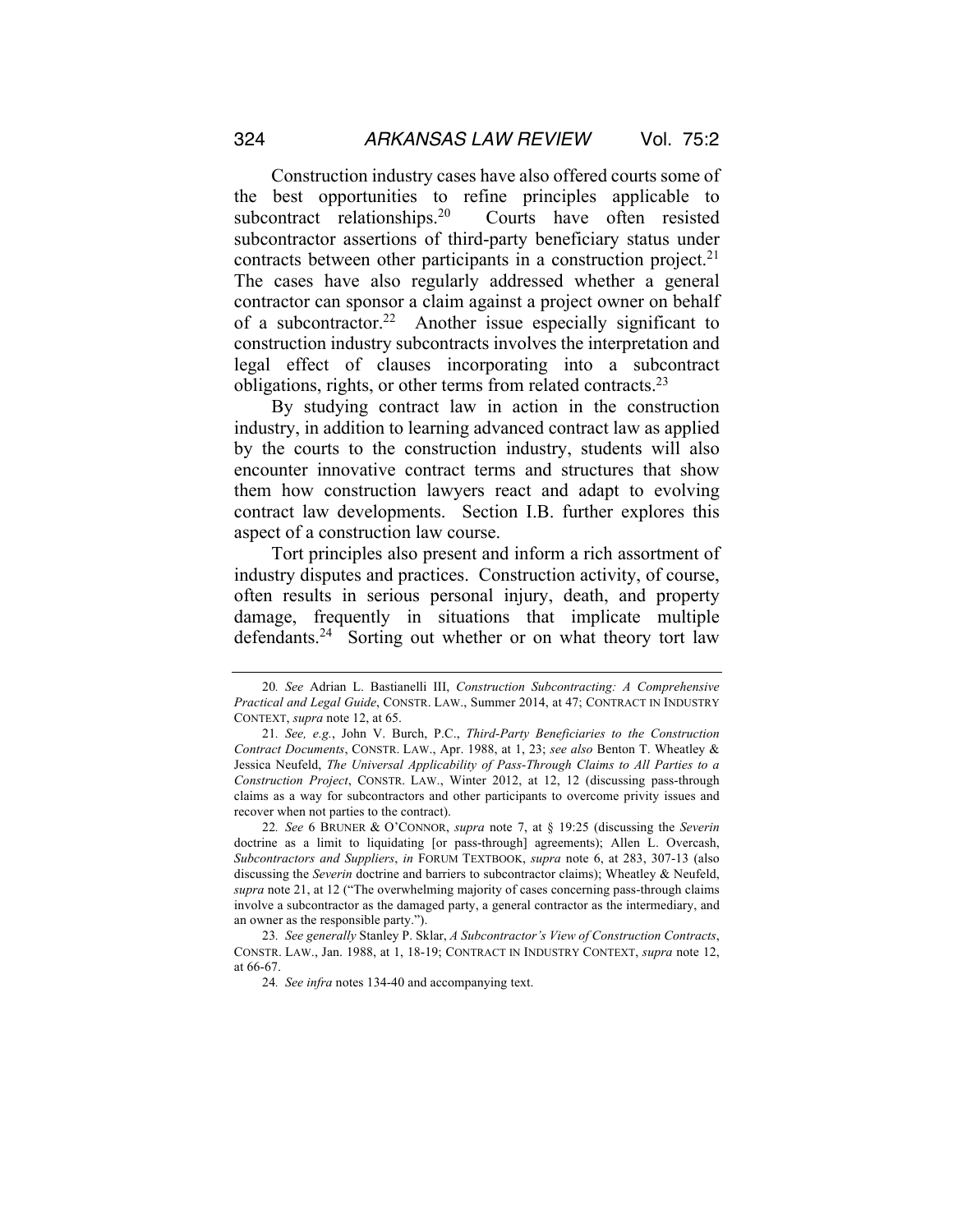Construction industry cases have also offered courts some of the best opportunities to refine principles applicable to subcontract relationships.<sup>20</sup> Courts have often resisted subcontractor assertions of third-party beneficiary status under contracts between other participants in a construction project.<sup>21</sup> The cases have also regularly addressed whether a general contractor can sponsor a claim against a project owner on behalf of a subcontractor.<sup>22</sup> Another issue especially significant to construction industry subcontracts involves the interpretation and legal effect of clauses incorporating into a subcontract obligations, rights, or other terms from related contracts.<sup>23</sup>

By studying contract law in action in the construction industry, in addition to learning advanced contract law as applied by the courts to the construction industry, students will also encounter innovative contract terms and structures that show them how construction lawyers react and adapt to evolving contract law developments. Section I.B. further explores this aspect of a construction law course.

Tort principles also present and inform a rich assortment of industry disputes and practices. Construction activity, of course, often results in serious personal injury, death, and property damage, frequently in situations that implicate multiple defendants.<sup>24</sup> Sorting out whether or on what theory tort law

22*. See* 6 BRUNER & O'CONNOR, *supra* note 7, at § 19:25 (discussing the *Severin* doctrine as a limit to liquidating [or pass-through] agreements); Allen L. Overcash, *Subcontractors and Suppliers*, *in* FORUM TEXTBOOK, *supra* note 6, at 283, 307-13 (also discussing the *Severin* doctrine and barriers to subcontractor claims); Wheatley & Neufeld, *supra* note 21, at 12 ("The overwhelming majority of cases concerning pass-through claims involve a subcontractor as the damaged party, a general contractor as the intermediary, and an owner as the responsible party.").

23*. See generally* Stanley P. Sklar, *A Subcontractor's View of Construction Contracts*, CONSTR. LAW., Jan. 1988, at 1, 18-19; CONTRACT IN INDUSTRY CONTEXT, *supra* note 12, at 66-67.

24*. See infra* notes 134-40 and accompanying text.

<sup>20</sup>*. See* Adrian L. Bastianelli III, *Construction Subcontracting: A Comprehensive Practical and Legal Guide*, CONSTR. LAW., Summer 2014, at 47; CONTRACT IN INDUSTRY CONTEXT, *supra* note 12, at 65.

<sup>21</sup>*. See, e.g.*, John V. Burch, P.C., *Third-Party Beneficiaries to the Construction Contract Documents*, CONSTR. LAW., Apr. 1988, at 1, 23; *see also* Benton T. Wheatley & Jessica Neufeld, *The Universal Applicability of Pass-Through Claims to All Parties to a Construction Project*, CONSTR. LAW., Winter 2012, at 12, 12 (discussing pass-through claims as a way for subcontractors and other participants to overcome privity issues and recover when not parties to the contract).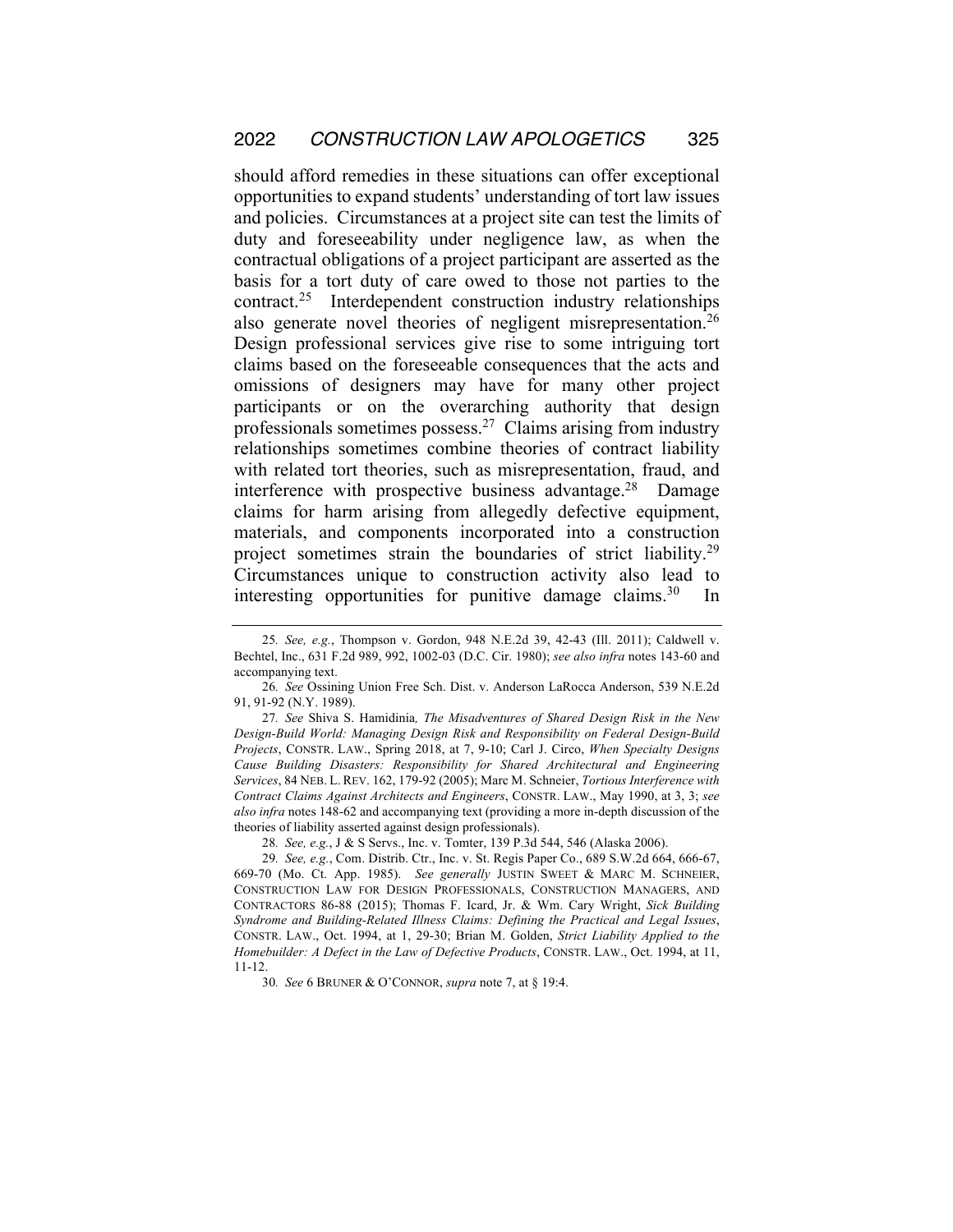should afford remedies in these situations can offer exceptional opportunities to expand students' understanding of tort law issues and policies. Circumstances at a project site can test the limits of duty and foreseeability under negligence law, as when the contractual obligations of a project participant are asserted as the basis for a tort duty of care owed to those not parties to the contract.25 Interdependent construction industry relationships also generate novel theories of negligent misrepresentation.<sup>26</sup> Design professional services give rise to some intriguing tort claims based on the foreseeable consequences that the acts and omissions of designers may have for many other project participants or on the overarching authority that design professionals sometimes possess.27 Claims arising from industry relationships sometimes combine theories of contract liability with related tort theories, such as misrepresentation, fraud, and interference with prospective business advantage.<sup>28</sup> Damage claims for harm arising from allegedly defective equipment, materials, and components incorporated into a construction project sometimes strain the boundaries of strict liability.29 Circumstances unique to construction activity also lead to interesting opportunities for punitive damage claims.<sup>30</sup> In

<sup>25</sup>*. See, e.g.*, Thompson v. Gordon, 948 N.E.2d 39, 42-43 (Ill. 2011); Caldwell v. Bechtel, Inc., 631 F.2d 989, 992, 1002-03 (D.C. Cir. 1980); *see also infra* notes 143-60 and accompanying text.

<sup>26</sup>*. See* Ossining Union Free Sch. Dist. v. Anderson LaRocca Anderson, 539 N.E.2d 91, 91-92 (N.Y. 1989).

<sup>27</sup>*. See* Shiva S. Hamidinia*, The Misadventures of Shared Design Risk in the New Design-Build World: Managing Design Risk and Responsibility on Federal Design-Build Projects*, CONSTR. LAW., Spring 2018, at 7, 9-10; Carl J. Circo, *When Specialty Designs Cause Building Disasters: Responsibility for Shared Architectural and Engineering Services*, 84 NEB. L. REV. 162, 179-92 (2005); Marc M. Schneier, *Tortious Interference with Contract Claims Against Architects and Engineers*, CONSTR. LAW., May 1990, at 3, 3; *see also infra* notes 148-62 and accompanying text (providing a more in-depth discussion of the theories of liability asserted against design professionals).

<sup>28</sup>*. See, e.g.*, J & S Servs., Inc. v. Tomter, 139 P.3d 544, 546 (Alaska 2006).

<sup>29</sup>*. See, e.g.*, Com. Distrib. Ctr., Inc. v. St. Regis Paper Co., 689 S.W.2d 664, 666-67, 669-70 (Mo. Ct. App. 1985). *See generally* JUSTIN SWEET & MARC M. SCHNEIER, CONSTRUCTION LAW FOR DESIGN PROFESSIONALS, CONSTRUCTION MANAGERS, AND CONTRACTORS 86-88 (2015); Thomas F. Icard, Jr. & Wm. Cary Wright, *Sick Building Syndrome and Building-Related Illness Claims: Defining the Practical and Legal Issues*, CONSTR. LAW., Oct. 1994, at 1, 29-30; Brian M. Golden, *Strict Liability Applied to the Homebuilder: A Defect in the Law of Defective Products*, CONSTR. LAW., Oct. 1994, at 11, 11-12.

<sup>30</sup>*. See* 6 BRUNER & O'CONNOR, *supra* note 7, at § 19:4.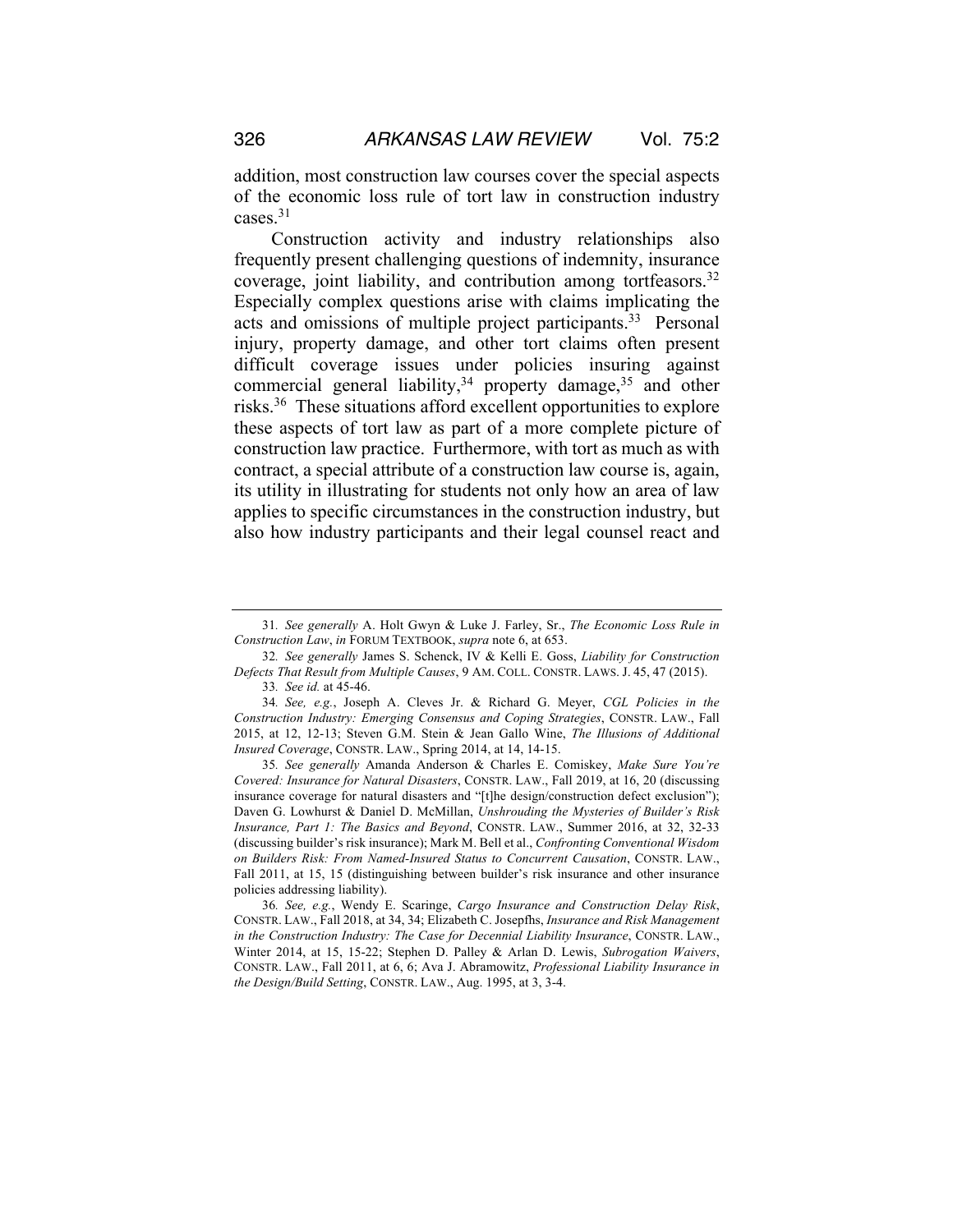addition, most construction law courses cover the special aspects of the economic loss rule of tort law in construction industry cases.31

Construction activity and industry relationships also frequently present challenging questions of indemnity, insurance coverage, joint liability, and contribution among tortfeasors.32 Especially complex questions arise with claims implicating the acts and omissions of multiple project participants.<sup>33</sup> Personal injury, property damage, and other tort claims often present difficult coverage issues under policies insuring against commercial general liability, $34$  property damage,  $35$  and other risks.36 These situations afford excellent opportunities to explore these aspects of tort law as part of a more complete picture of construction law practice. Furthermore, with tort as much as with contract, a special attribute of a construction law course is, again, its utility in illustrating for students not only how an area of law applies to specific circumstances in the construction industry, but also how industry participants and their legal counsel react and

33*. See id.* at 45-46.

35*. See generally* Amanda Anderson & Charles E. Comiskey, *Make Sure You're Covered: Insurance for Natural Disasters*, CONSTR. LAW., Fall 2019, at 16, 20 (discussing insurance coverage for natural disasters and "[t]he design/construction defect exclusion"); Daven G. Lowhurst & Daniel D. McMillan, *Unshrouding the Mysteries of Builder's Risk Insurance, Part 1: The Basics and Beyond*, CONSTR. LAW., Summer 2016, at 32, 32-33 (discussing builder's risk insurance); Mark M. Bell et al., *Confronting Conventional Wisdom on Builders Risk: From Named-Insured Status to Concurrent Causation*, CONSTR. LAW., Fall 2011, at 15, 15 (distinguishing between builder's risk insurance and other insurance policies addressing liability).

36*. See, e.g.*, Wendy E. Scaringe, *Cargo Insurance and Construction Delay Risk*, CONSTR. LAW., Fall 2018, at 34, 34; Elizabeth C. Josepfhs, *Insurance and Risk Management in the Construction Industry: The Case for Decennial Liability Insurance*, CONSTR. LAW., Winter 2014, at 15, 15-22; Stephen D. Palley & Arlan D. Lewis, *Subrogation Waivers*, CONSTR. LAW., Fall 2011, at 6, 6; Ava J. Abramowitz, *Professional Liability Insurance in the Design/Build Setting*, CONSTR. LAW., Aug. 1995, at 3, 3-4.

<sup>31</sup>*. See generally* A. Holt Gwyn & Luke J. Farley, Sr., *The Economic Loss Rule in Construction Law*, *in* FORUM TEXTBOOK, *supra* note 6, at 653.

<sup>32</sup>*. See generally* James S. Schenck, IV & Kelli E. Goss, *Liability for Construction Defects That Result from Multiple Causes*, 9 AM. COLL. CONSTR. LAWS. J. 45, 47 (2015).

<sup>34</sup>*. See, e.g.*, Joseph A. Cleves Jr. & Richard G. Meyer, *CGL Policies in the Construction Industry: Emerging Consensus and Coping Strategies*, CONSTR. LAW., Fall 2015, at 12, 12-13; Steven G.M. Stein & Jean Gallo Wine, *The Illusions of Additional Insured Coverage*, CONSTR. LAW., Spring 2014, at 14, 14-15.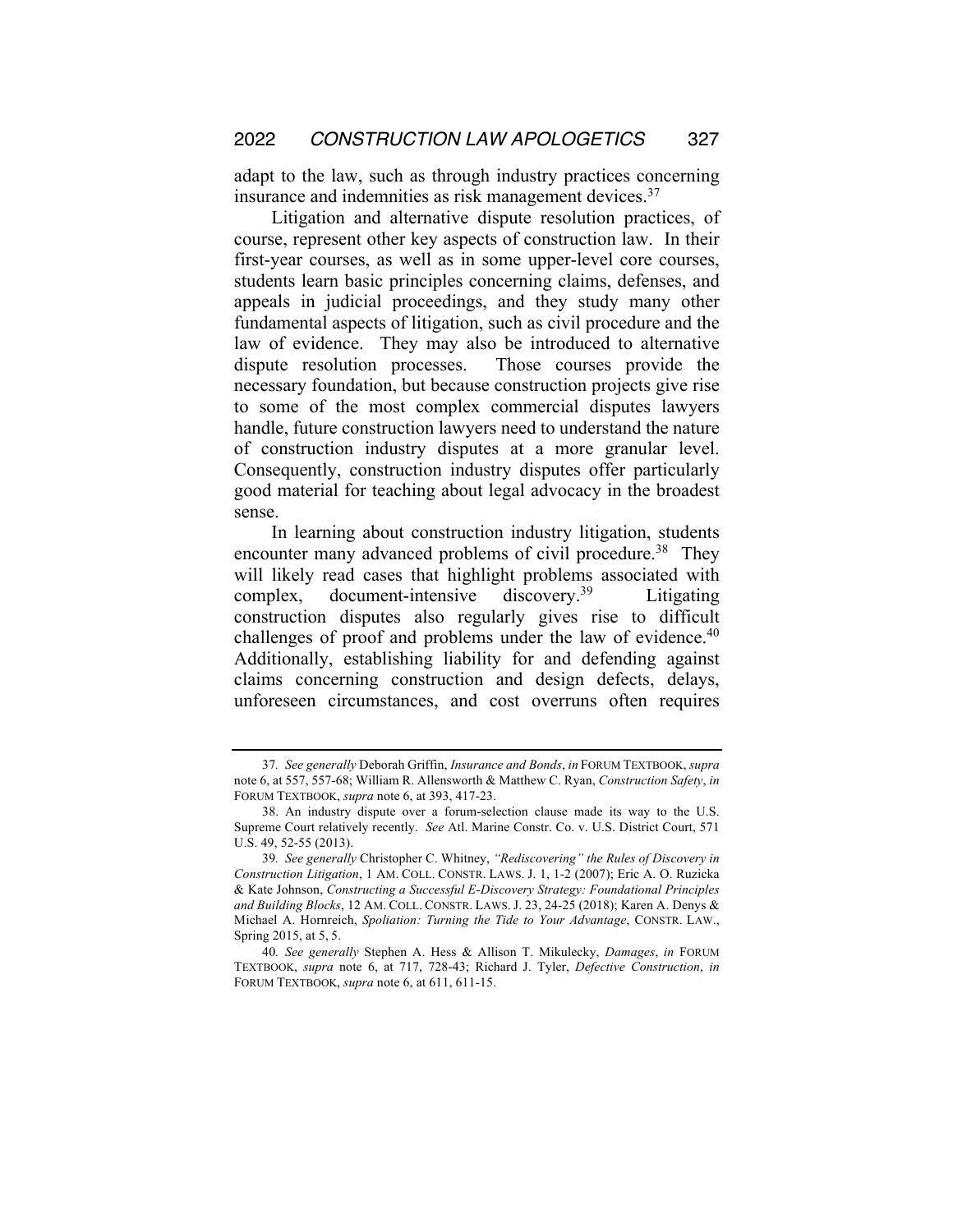adapt to the law, such as through industry practices concerning insurance and indemnities as risk management devices.<sup>37</sup>

Litigation and alternative dispute resolution practices, of course, represent other key aspects of construction law. In their first-year courses, as well as in some upper-level core courses, students learn basic principles concerning claims, defenses, and appeals in judicial proceedings, and they study many other fundamental aspects of litigation, such as civil procedure and the law of evidence. They may also be introduced to alternative dispute resolution processes. Those courses provide the necessary foundation, but because construction projects give rise to some of the most complex commercial disputes lawyers handle, future construction lawyers need to understand the nature of construction industry disputes at a more granular level. Consequently, construction industry disputes offer particularly good material for teaching about legal advocacy in the broadest sense.

In learning about construction industry litigation, students encounter many advanced problems of civil procedure.<sup>38</sup> They will likely read cases that highlight problems associated with complex, document-intensive discovery.<sup>39</sup> Litigating construction disputes also regularly gives rise to difficult challenges of proof and problems under the law of evidence.<sup>40</sup> Additionally, establishing liability for and defending against claims concerning construction and design defects, delays, unforeseen circumstances, and cost overruns often requires

<sup>37</sup>*. See generally* Deborah Griffin, *Insurance and Bonds*, *in* FORUM TEXTBOOK, *supra* note 6, at 557, 557-68; William R. Allensworth & Matthew C. Ryan, *Construction Safety*, *in*  FORUM TEXTBOOK, *supra* note 6, at 393, 417-23.

<sup>38.</sup> An industry dispute over a forum-selection clause made its way to the U.S. Supreme Court relatively recently. *See* Atl. Marine Constr. Co. v. U.S. District Court, 571 U.S. 49, 52-55 (2013).

<sup>39</sup>*. See generally* Christopher C. Whitney, *"Rediscovering" the Rules of Discovery in Construction Litigation*, 1 AM. COLL. CONSTR. LAWS. J. 1, 1-2 (2007); Eric A. O. Ruzicka & Kate Johnson, *Constructing a Successful E-Discovery Strategy: Foundational Principles and Building Blocks*, 12 AM. COLL. CONSTR. LAWS. J. 23, 24-25 (2018); Karen A. Denys & Michael A. Hornreich, *Spoliation: Turning the Tide to Your Advantage*, CONSTR. LAW., Spring 2015, at 5, 5.

<sup>40</sup>*. See generally* Stephen A. Hess & Allison T. Mikulecky, *Damages*, *in* FORUM TEXTBOOK, *supra* note 6, at 717, 728-43; Richard J. Tyler, *Defective Construction*, *in* FORUM TEXTBOOK, *supra* note 6, at 611, 611-15.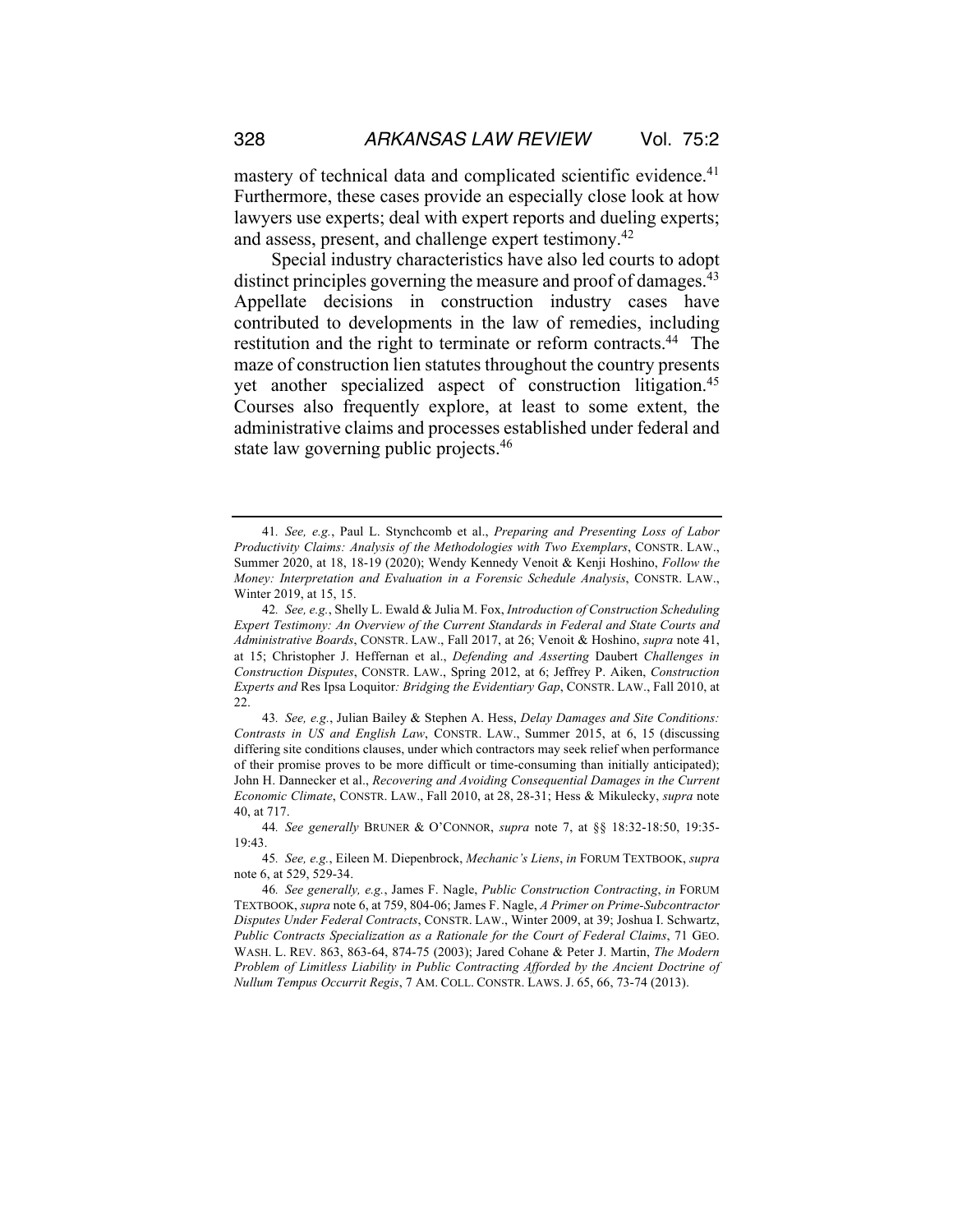mastery of technical data and complicated scientific evidence.<sup>41</sup> Furthermore, these cases provide an especially close look at how lawyers use experts; deal with expert reports and dueling experts; and assess, present, and challenge expert testimony.<sup>42</sup>

Special industry characteristics have also led courts to adopt distinct principles governing the measure and proof of damages.<sup>43</sup> Appellate decisions in construction industry cases have contributed to developments in the law of remedies, including restitution and the right to terminate or reform contracts.44 The maze of construction lien statutes throughout the country presents yet another specialized aspect of construction litigation.45 Courses also frequently explore, at least to some extent, the administrative claims and processes established under federal and state law governing public projects.<sup>46</sup>

<sup>41</sup>*. See, e.g.*, Paul L. Stynchcomb et al., *Preparing and Presenting Loss of Labor Productivity Claims: Analysis of the Methodologies with Two Exemplars*, CONSTR. LAW., Summer 2020, at 18, 18-19 (2020); Wendy Kennedy Venoit & Kenji Hoshino, *Follow the Money: Interpretation and Evaluation in a Forensic Schedule Analysis*, CONSTR. LAW., Winter 2019, at 15, 15.

<sup>42</sup>*. See, e.g.*, Shelly L. Ewald & Julia M. Fox, *Introduction of Construction Scheduling Expert Testimony: An Overview of the Current Standards in Federal and State Courts and Administrative Boards*, CONSTR. LAW., Fall 2017, at 26; Venoit & Hoshino, *supra* note 41, at 15; Christopher J. Heffernan et al., *Defending and Asserting* Daubert *Challenges in Construction Disputes*, CONSTR. LAW., Spring 2012, at 6; Jeffrey P. Aiken, *Construction Experts and* Res Ipsa Loquitor*: Bridging the Evidentiary Gap*, CONSTR. LAW., Fall 2010, at 22.

<sup>43</sup>*. See, e.g.*, Julian Bailey & Stephen A. Hess, *Delay Damages and Site Conditions: Contrasts in US and English Law*, CONSTR. LAW., Summer 2015, at 6, 15 (discussing differing site conditions clauses, under which contractors may seek relief when performance of their promise proves to be more difficult or time-consuming than initially anticipated); John H. Dannecker et al., *Recovering and Avoiding Consequential Damages in the Current Economic Climate*, CONSTR. LAW., Fall 2010, at 28, 28-31; Hess & Mikulecky, *supra* note 40, at 717.

<sup>44</sup>*. See generally* BRUNER & O'CONNOR, *supra* note 7, at §§ 18:32-18:50, 19:35- 19:43.

<sup>45</sup>*. See, e.g.*, Eileen M. Diepenbrock, *Mechanic's Liens*, *in* FORUM TEXTBOOK, *supra*  note 6, at 529, 529-34.

<sup>46</sup>*. See generally, e.g.*, James F. Nagle, *Public Construction Contracting*, *in* FORUM TEXTBOOK, *supra* note 6, at 759, 804-06; James F. Nagle, *A Primer on Prime-Subcontractor Disputes Under Federal Contracts*, CONSTR. LAW., Winter 2009, at 39; Joshua I. Schwartz, *Public Contracts Specialization as a Rationale for the Court of Federal Claims*, 71 GEO. WASH. L. REV. 863, 863-64, 874-75 (2003); Jared Cohane & Peter J. Martin, *The Modern Problem of Limitless Liability in Public Contracting Afforded by the Ancient Doctrine of Nullum Tempus Occurrit Regis*, 7 AM. COLL. CONSTR. LAWS. J. 65, 66, 73-74 (2013).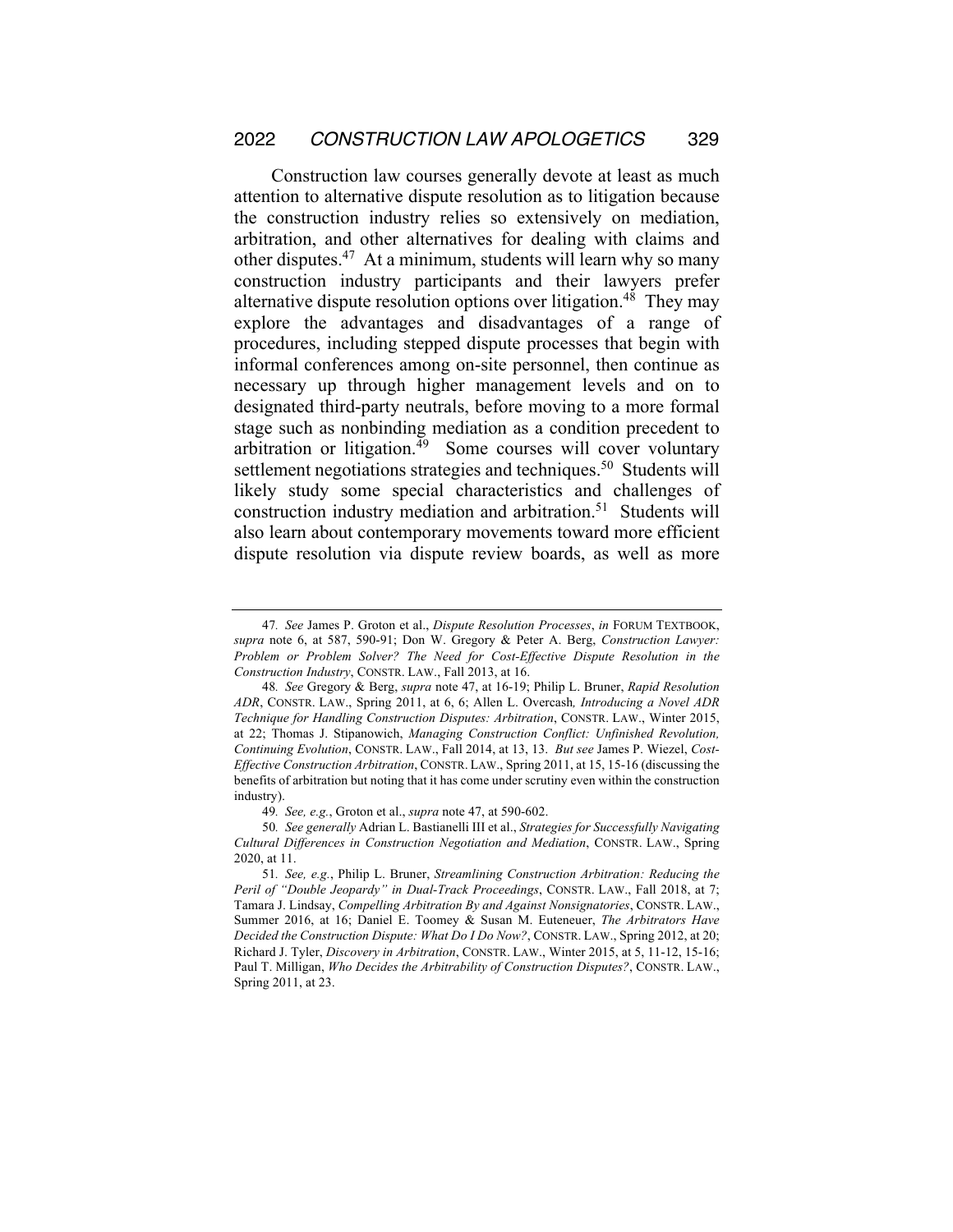Construction law courses generally devote at least as much attention to alternative dispute resolution as to litigation because the construction industry relies so extensively on mediation, arbitration, and other alternatives for dealing with claims and other disputes.<sup>47</sup> At a minimum, students will learn why so many construction industry participants and their lawyers prefer alternative dispute resolution options over litigation.<sup>48</sup> They may explore the advantages and disadvantages of a range of procedures, including stepped dispute processes that begin with informal conferences among on-site personnel, then continue as necessary up through higher management levels and on to designated third-party neutrals, before moving to a more formal stage such as nonbinding mediation as a condition precedent to arbitration or litigation.<sup>49</sup> Some courses will cover voluntary settlement negotiations strategies and techniques.<sup>50</sup> Students will likely study some special characteristics and challenges of construction industry mediation and arbitration.<sup>51</sup> Students will also learn about contemporary movements toward more efficient dispute resolution via dispute review boards, as well as more

<sup>47</sup>*. See* James P. Groton et al., *Dispute Resolution Processes*, *in* FORUM TEXTBOOK, *supra* note 6, at 587, 590-91; Don W. Gregory & Peter A. Berg, *Construction Lawyer: Problem or Problem Solver? The Need for Cost-Effective Dispute Resolution in the Construction Industry*, CONSTR. LAW., Fall 2013, at 16.

<sup>48</sup>*. See* Gregory & Berg, *supra* note 47, at 16-19; Philip L. Bruner, *Rapid Resolution ADR*, CONSTR. LAW., Spring 2011, at 6, 6; Allen L. Overcash*, Introducing a Novel ADR Technique for Handling Construction Disputes: Arbitration*, CONSTR. LAW., Winter 2015, at 22; Thomas J. Stipanowich, *Managing Construction Conflict: Unfinished Revolution, Continuing Evolution*, CONSTR. LAW., Fall 2014, at 13, 13. *But see* James P. Wiezel, *Cost-Effective Construction Arbitration*, CONSTR. LAW., Spring 2011, at 15, 15-16 (discussing the benefits of arbitration but noting that it has come under scrutiny even within the construction industry).

<sup>49</sup>*. See, e.g.*, Groton et al., *supra* note 47, at 590-602.

<sup>50</sup>*. See generally* Adrian L. Bastianelli III et al., *Strategies for Successfully Navigating Cultural Differences in Construction Negotiation and Mediation*, CONSTR. LAW., Spring 2020, at 11.

<sup>51</sup>*. See, e.g.*, Philip L. Bruner, *Streamlining Construction Arbitration: Reducing the Peril of "Double Jeopardy" in Dual-Track Proceedings*, CONSTR. LAW., Fall 2018, at 7; Tamara J. Lindsay, *Compelling Arbitration By and Against Nonsignatories*, CONSTR. LAW., Summer 2016, at 16; Daniel E. Toomey & Susan M. Euteneuer, *The Arbitrators Have Decided the Construction Dispute: What Do I Do Now?*, CONSTR. LAW., Spring 2012, at 20; Richard J. Tyler, *Discovery in Arbitration*, CONSTR. LAW., Winter 2015, at 5, 11-12, 15-16; Paul T. Milligan, *Who Decides the Arbitrability of Construction Disputes?*, CONSTR. LAW., Spring 2011, at 23.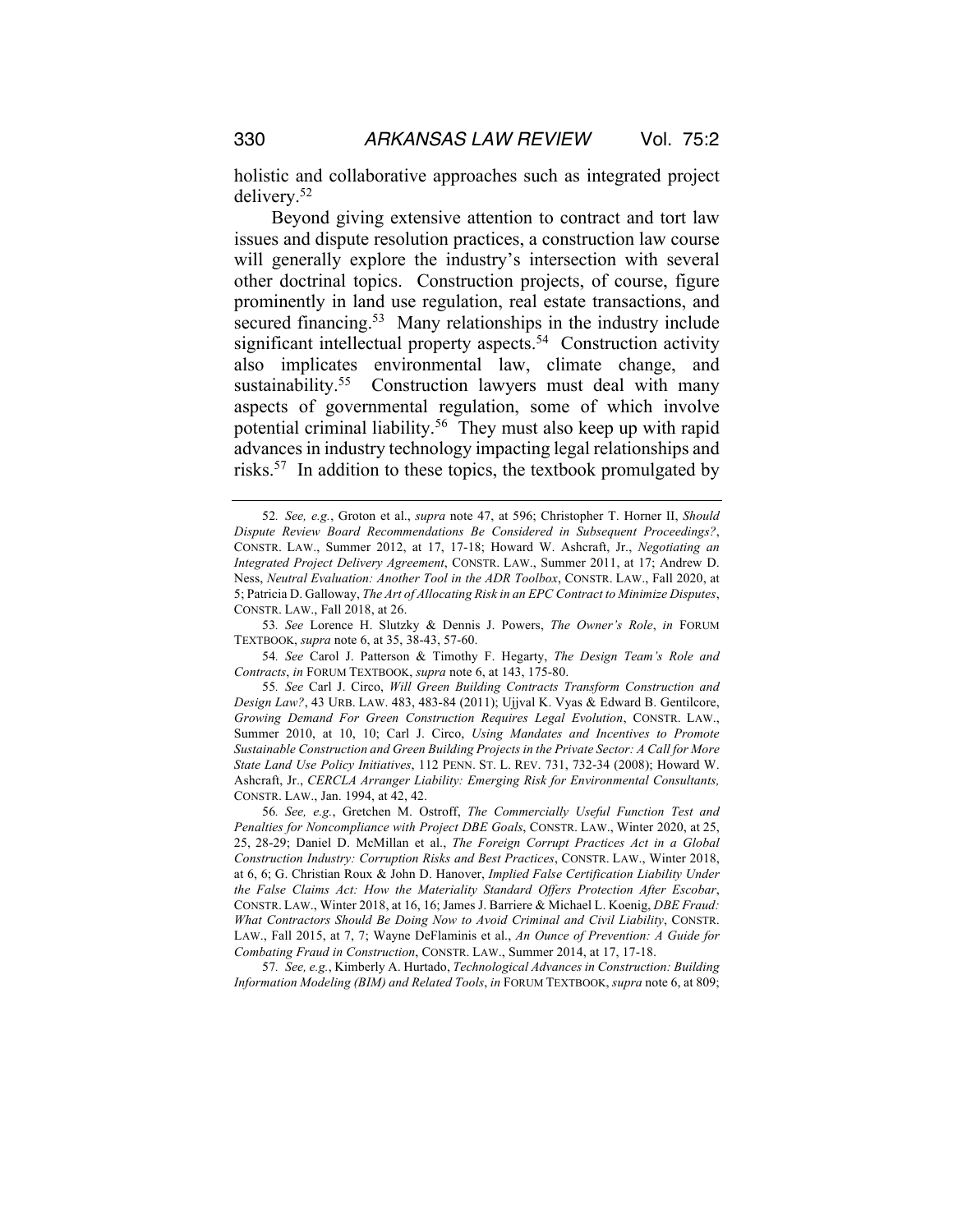holistic and collaborative approaches such as integrated project delivery.52

Beyond giving extensive attention to contract and tort law issues and dispute resolution practices, a construction law course will generally explore the industry's intersection with several other doctrinal topics. Construction projects, of course, figure prominently in land use regulation, real estate transactions, and secured financing.<sup>53</sup> Many relationships in the industry include significant intellectual property aspects.<sup>54</sup> Construction activity also implicates environmental law, climate change, and sustainability.<sup>55</sup> Construction lawyers must deal with many aspects of governmental regulation, some of which involve potential criminal liability.56 They must also keep up with rapid advances in industry technology impacting legal relationships and risks.57 In addition to these topics, the textbook promulgated by

54*. See* Carol J. Patterson & Timothy F. Hegarty, *The Design Team's Role and Contracts*, *in* FORUM TEXTBOOK, *supra* note 6, at 143, 175-80.

55*. See* Carl J. Circo, *Will Green Building Contracts Transform Construction and Design Law?*, 43 URB. LAW. 483, 483-84 (2011); Ujjval K. Vyas & Edward B. Gentilcore, *Growing Demand For Green Construction Requires Legal Evolution*, CONSTR. LAW., Summer 2010, at 10, 10; Carl J. Circo, *Using Mandates and Incentives to Promote Sustainable Construction and Green Building Projects in the Private Sector: A Call for More State Land Use Policy Initiatives*, 112 PENN. ST. L. REV. 731, 732-34 (2008); Howard W. Ashcraft, Jr., *CERCLA Arranger Liability: Emerging Risk for Environmental Consultants,* CONSTR. LAW., Jan. 1994, at 42, 42.

56*. See, e.g.*, Gretchen M. Ostroff, *The Commercially Useful Function Test and Penalties for Noncompliance with Project DBE Goals*, CONSTR. LAW., Winter 2020, at 25, 25, 28-29; Daniel D. McMillan et al., *The Foreign Corrupt Practices Act in a Global Construction Industry: Corruption Risks and Best Practices*, CONSTR. LAW., Winter 2018, at 6, 6; G. Christian Roux & John D. Hanover, *Implied False Certification Liability Under the False Claims Act: How the Materiality Standard Offers Protection After Escobar*, CONSTR. LAW., Winter 2018, at 16, 16; James J. Barriere & Michael L. Koenig, *DBE Fraud: What Contractors Should Be Doing Now to Avoid Criminal and Civil Liability*, CONSTR. LAW., Fall 2015, at 7, 7; Wayne DeFlaminis et al., *An Ounce of Prevention: A Guide for Combating Fraud in Construction*, CONSTR. LAW., Summer 2014, at 17, 17-18.

57*. See, e.g.*, Kimberly A. Hurtado, *Technological Advances in Construction: Building Information Modeling (BIM) and Related Tools*, *in* FORUM TEXTBOOK, *supra* note 6, at 809;

<sup>52</sup>*. See, e.g.*, Groton et al., *supra* note 47, at 596; Christopher T. Horner II, *Should Dispute Review Board Recommendations Be Considered in Subsequent Proceedings?*, CONSTR. LAW., Summer 2012, at 17, 17-18; Howard W. Ashcraft, Jr., *Negotiating an Integrated Project Delivery Agreement*, CONSTR. LAW., Summer 2011, at 17; Andrew D. Ness, *Neutral Evaluation: Another Tool in the ADR Toolbox*, CONSTR. LAW., Fall 2020, at 5; Patricia D. Galloway, *The Art of Allocating Risk in an EPC Contract to Minimize Disputes*, CONSTR. LAW., Fall 2018, at 26.

<sup>53</sup>*. See* Lorence H. Slutzky & Dennis J. Powers, *The Owner's Role*, *in* FORUM TEXTBOOK, *supra* note 6, at 35, 38-43, 57-60.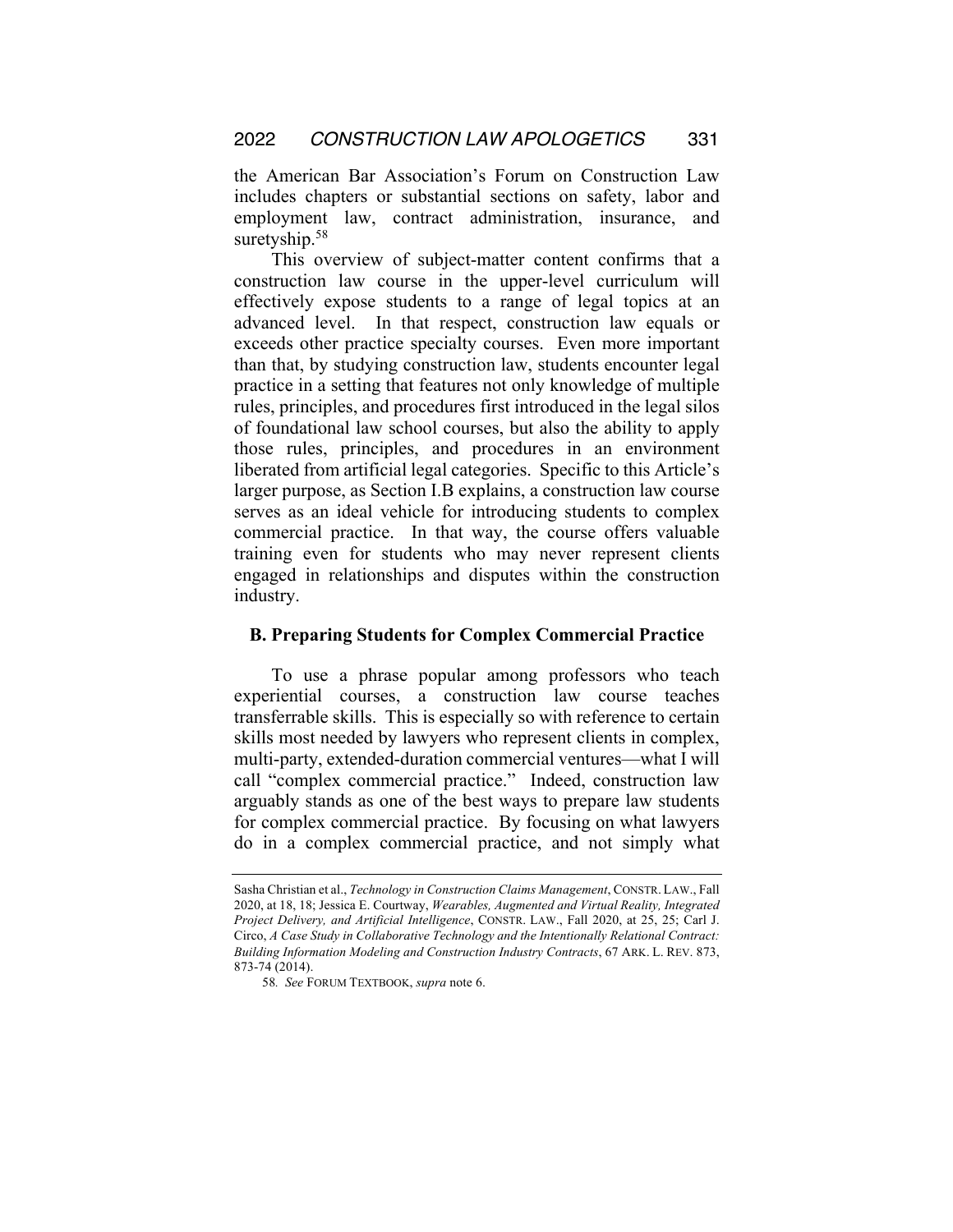the American Bar Association's Forum on Construction Law includes chapters or substantial sections on safety, labor and employment law, contract administration, insurance, and suretyship.<sup>58</sup>

This overview of subject-matter content confirms that a construction law course in the upper-level curriculum will effectively expose students to a range of legal topics at an advanced level. In that respect, construction law equals or exceeds other practice specialty courses. Even more important than that, by studying construction law, students encounter legal practice in a setting that features not only knowledge of multiple rules, principles, and procedures first introduced in the legal silos of foundational law school courses, but also the ability to apply those rules, principles, and procedures in an environment liberated from artificial legal categories. Specific to this Article's larger purpose, as Section I.B explains, a construction law course serves as an ideal vehicle for introducing students to complex commercial practice. In that way, the course offers valuable training even for students who may never represent clients engaged in relationships and disputes within the construction industry.

#### **B. Preparing Students for Complex Commercial Practice**

To use a phrase popular among professors who teach experiential courses, a construction law course teaches transferrable skills. This is especially so with reference to certain skills most needed by lawyers who represent clients in complex, multi-party, extended-duration commercial ventures—what I will call "complex commercial practice." Indeed, construction law arguably stands as one of the best ways to prepare law students for complex commercial practice. By focusing on what lawyers do in a complex commercial practice, and not simply what

Sasha Christian et al., *Technology in Construction Claims Management*, CONSTR. LAW., Fall 2020, at 18, 18; Jessica E. Courtway, *Wearables, Augmented and Virtual Reality, Integrated Project Delivery, and Artificial Intelligence*, CONSTR. LAW., Fall 2020, at 25, 25; Carl J. Circo, *A Case Study in Collaborative Technology and the Intentionally Relational Contract: Building Information Modeling and Construction Industry Contracts*, 67 ARK. L. REV. 873, 873-74 (2014).

<sup>58</sup>*. See* FORUM TEXTBOOK, *supra* note 6.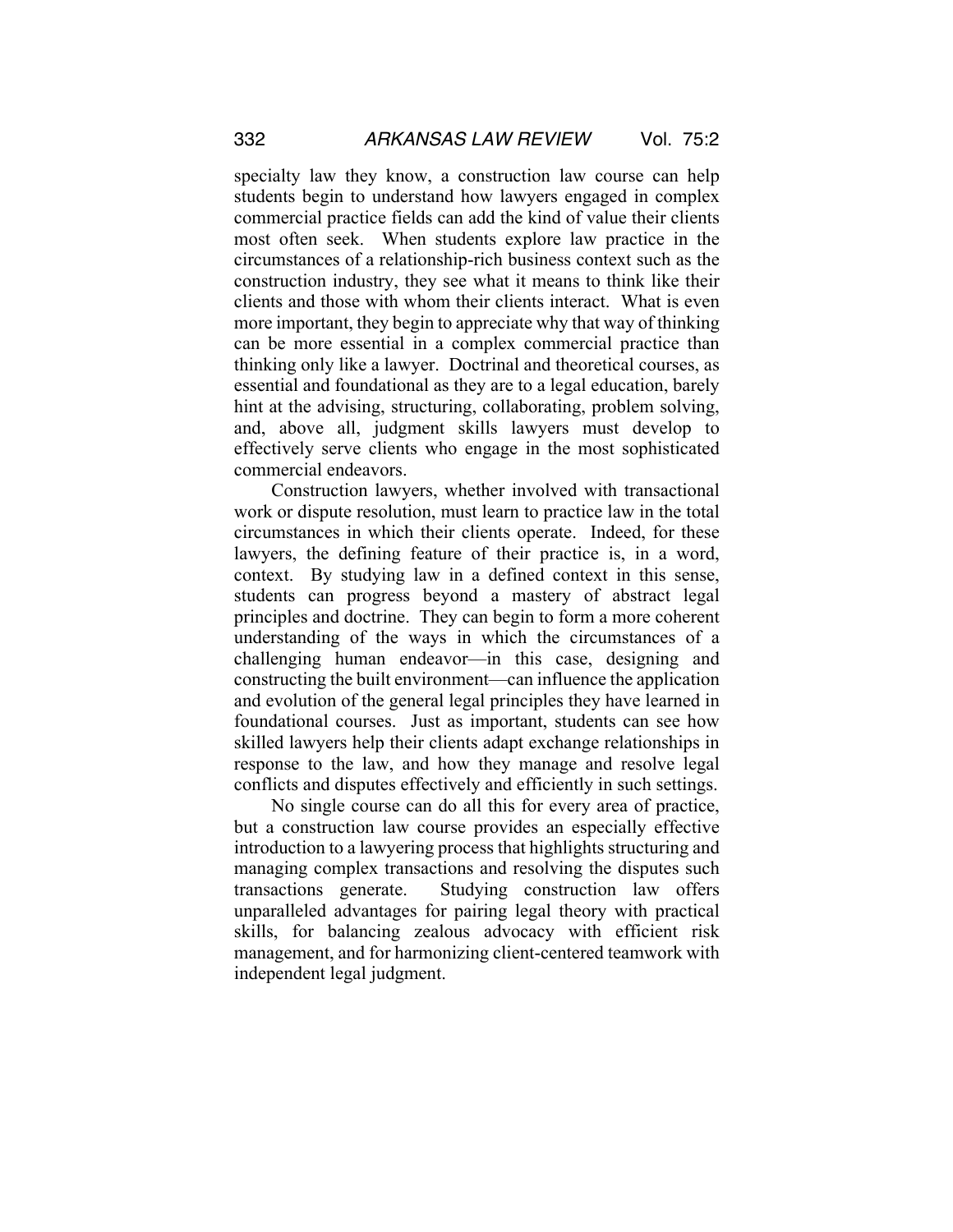specialty law they know, a construction law course can help students begin to understand how lawyers engaged in complex commercial practice fields can add the kind of value their clients most often seek. When students explore law practice in the circumstances of a relationship-rich business context such as the construction industry, they see what it means to think like their clients and those with whom their clients interact. What is even more important, they begin to appreciate why that way of thinking can be more essential in a complex commercial practice than thinking only like a lawyer. Doctrinal and theoretical courses, as essential and foundational as they are to a legal education, barely hint at the advising, structuring, collaborating, problem solving, and, above all, judgment skills lawyers must develop to effectively serve clients who engage in the most sophisticated commercial endeavors.

Construction lawyers, whether involved with transactional work or dispute resolution, must learn to practice law in the total circumstances in which their clients operate. Indeed, for these lawyers, the defining feature of their practice is, in a word, context. By studying law in a defined context in this sense, students can progress beyond a mastery of abstract legal principles and doctrine. They can begin to form a more coherent understanding of the ways in which the circumstances of a challenging human endeavor—in this case, designing and constructing the built environment—can influence the application and evolution of the general legal principles they have learned in foundational courses. Just as important, students can see how skilled lawyers help their clients adapt exchange relationships in response to the law, and how they manage and resolve legal conflicts and disputes effectively and efficiently in such settings.

No single course can do all this for every area of practice, but a construction law course provides an especially effective introduction to a lawyering process that highlights structuring and managing complex transactions and resolving the disputes such transactions generate. Studying construction law offers unparalleled advantages for pairing legal theory with practical skills, for balancing zealous advocacy with efficient risk management, and for harmonizing client-centered teamwork with independent legal judgment.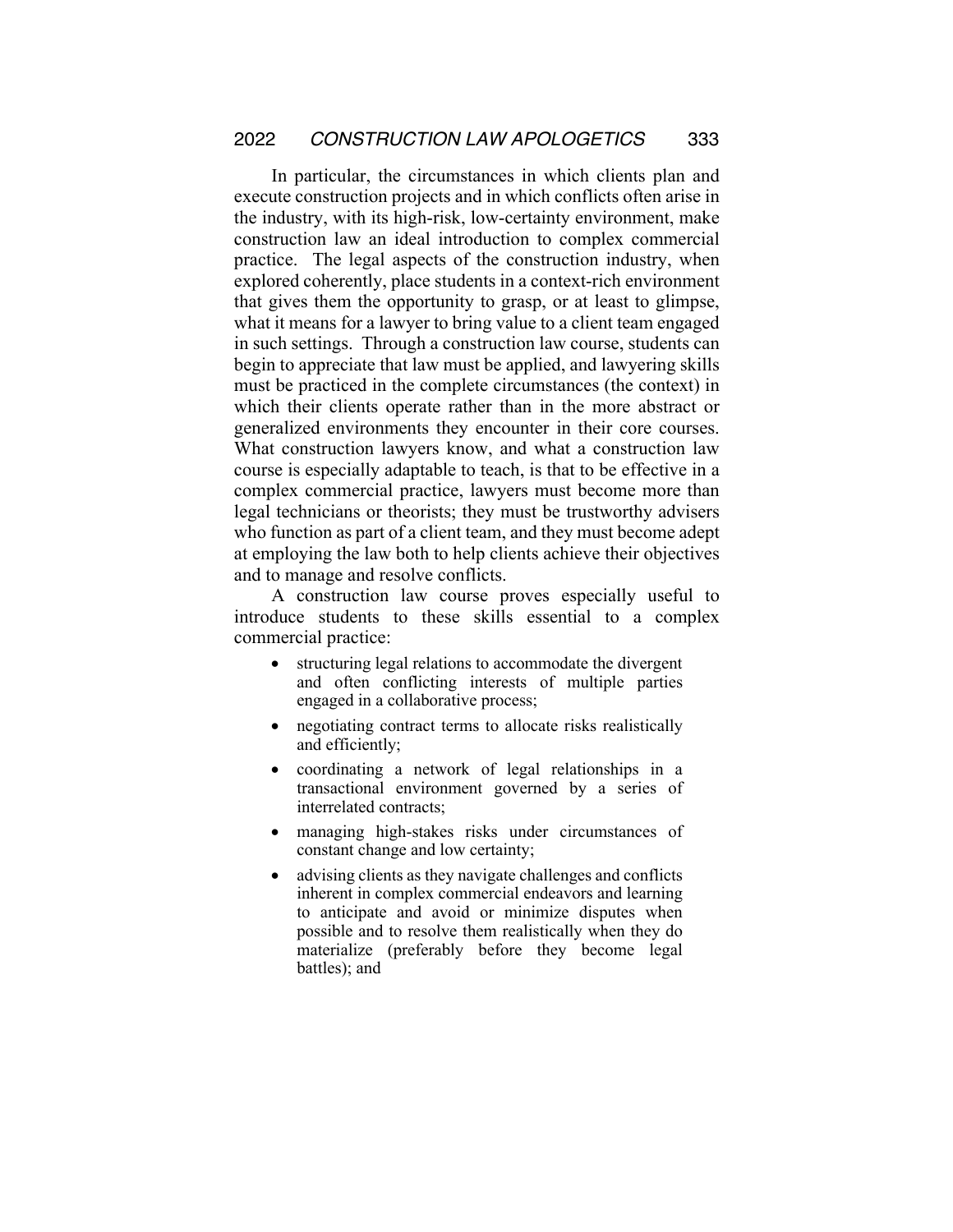In particular, the circumstances in which clients plan and execute construction projects and in which conflicts often arise in the industry, with its high-risk, low-certainty environment, make construction law an ideal introduction to complex commercial practice. The legal aspects of the construction industry, when explored coherently, place students in a context-rich environment that gives them the opportunity to grasp, or at least to glimpse, what it means for a lawyer to bring value to a client team engaged in such settings. Through a construction law course, students can begin to appreciate that law must be applied, and lawyering skills must be practiced in the complete circumstances (the context) in which their clients operate rather than in the more abstract or generalized environments they encounter in their core courses. What construction lawyers know, and what a construction law course is especially adaptable to teach, is that to be effective in a complex commercial practice, lawyers must become more than legal technicians or theorists; they must be trustworthy advisers who function as part of a client team, and they must become adept at employing the law both to help clients achieve their objectives and to manage and resolve conflicts.

A construction law course proves especially useful to introduce students to these skills essential to a complex commercial practice:

- structuring legal relations to accommodate the divergent and often conflicting interests of multiple parties engaged in a collaborative process;
- negotiating contract terms to allocate risks realistically and efficiently;
- coordinating a network of legal relationships in a transactional environment governed by a series of interrelated contracts;
- managing high-stakes risks under circumstances of constant change and low certainty;
- advising clients as they navigate challenges and conflicts inherent in complex commercial endeavors and learning to anticipate and avoid or minimize disputes when possible and to resolve them realistically when they do materialize (preferably before they become legal battles); and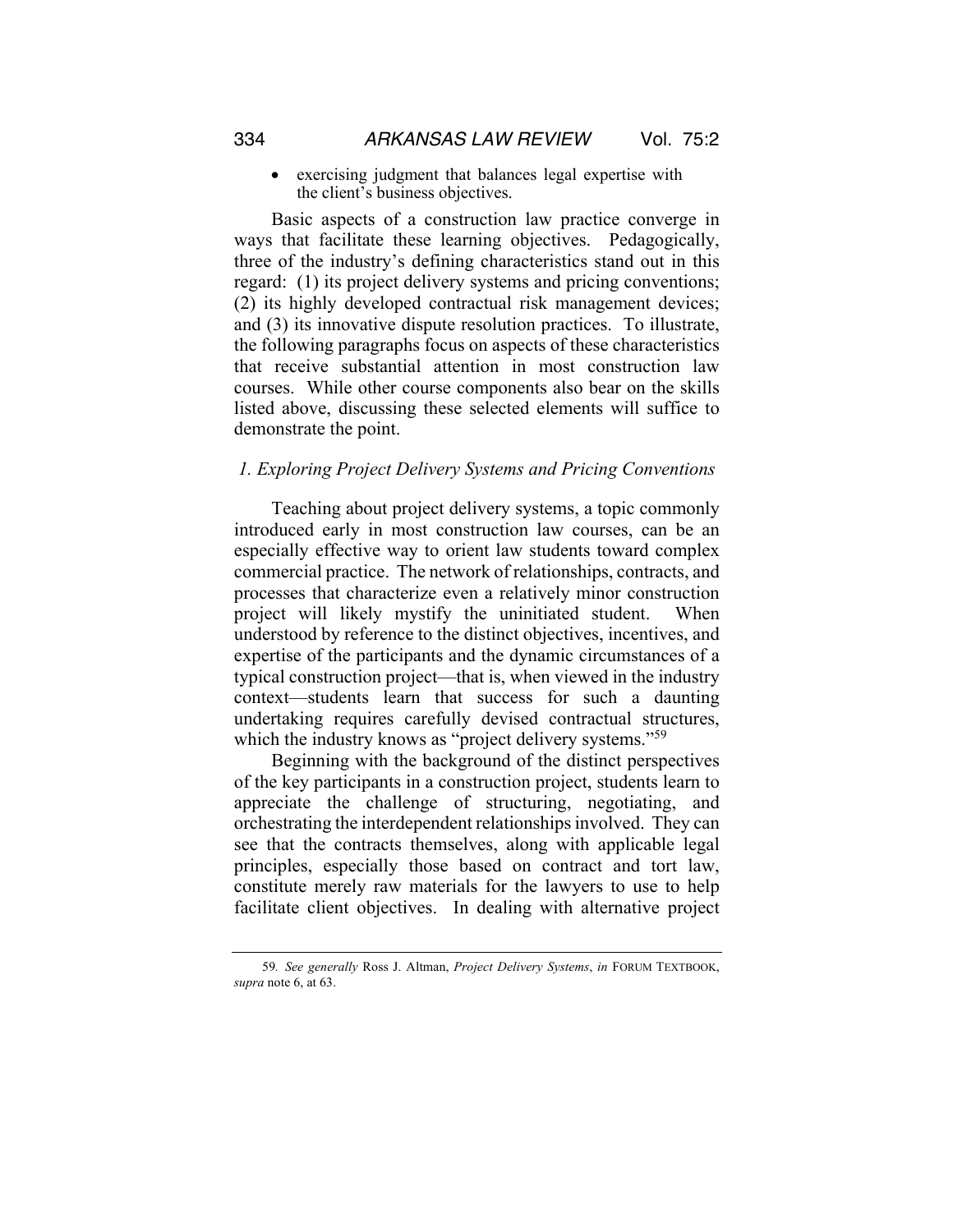• exercising judgment that balances legal expertise with the client's business objectives.

Basic aspects of a construction law practice converge in ways that facilitate these learning objectives. Pedagogically, three of the industry's defining characteristics stand out in this regard: (1) its project delivery systems and pricing conventions; (2) its highly developed contractual risk management devices; and (3) its innovative dispute resolution practices. To illustrate, the following paragraphs focus on aspects of these characteristics that receive substantial attention in most construction law courses. While other course components also bear on the skills listed above, discussing these selected elements will suffice to demonstrate the point.

#### *1. Exploring Project Delivery Systems and Pricing Conventions*

Teaching about project delivery systems, a topic commonly introduced early in most construction law courses, can be an especially effective way to orient law students toward complex commercial practice. The network of relationships, contracts, and processes that characterize even a relatively minor construction project will likely mystify the uninitiated student. When understood by reference to the distinct objectives, incentives, and expertise of the participants and the dynamic circumstances of a typical construction project—that is, when viewed in the industry context—students learn that success for such a daunting undertaking requires carefully devised contractual structures, which the industry knows as "project delivery systems."<sup>59</sup>

Beginning with the background of the distinct perspectives of the key participants in a construction project, students learn to appreciate the challenge of structuring, negotiating, and orchestrating the interdependent relationships involved. They can see that the contracts themselves, along with applicable legal principles, especially those based on contract and tort law, constitute merely raw materials for the lawyers to use to help facilitate client objectives. In dealing with alternative project

<sup>59</sup>*. See generally* Ross J. Altman, *Project Delivery Systems*, *in* FORUM TEXTBOOK, *supra* note 6, at 63.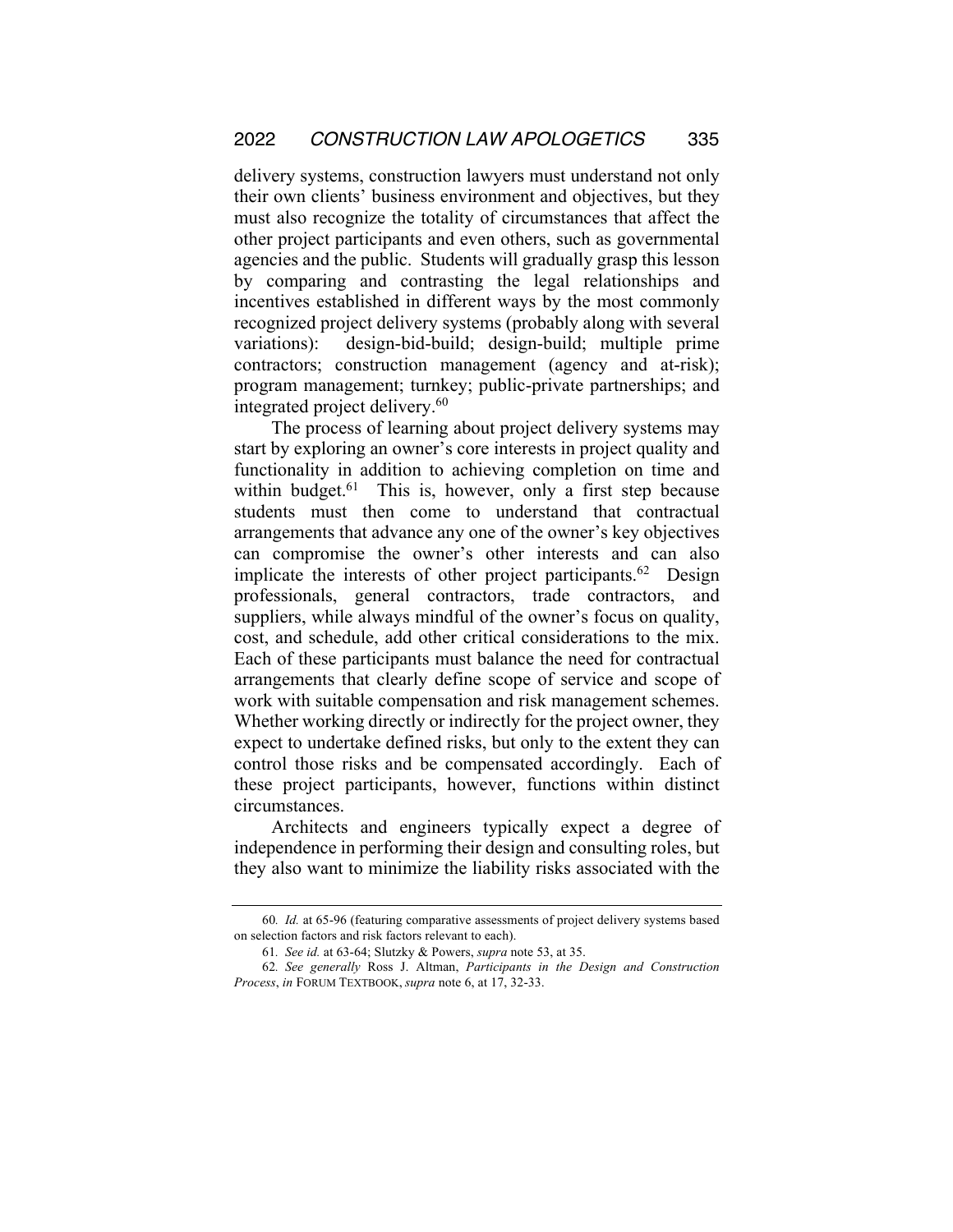delivery systems, construction lawyers must understand not only their own clients' business environment and objectives, but they must also recognize the totality of circumstances that affect the other project participants and even others, such as governmental agencies and the public. Students will gradually grasp this lesson by comparing and contrasting the legal relationships and incentives established in different ways by the most commonly recognized project delivery systems (probably along with several variations): design-bid-build; design-build; multiple prime contractors; construction management (agency and at-risk); program management; turnkey; public-private partnerships; and integrated project delivery.<sup>60</sup>

The process of learning about project delivery systems may start by exploring an owner's core interests in project quality and functionality in addition to achieving completion on time and within budget.<sup>61</sup> This is, however, only a first step because students must then come to understand that contractual arrangements that advance any one of the owner's key objectives can compromise the owner's other interests and can also implicate the interests of other project participants.<sup>62</sup> Design professionals, general contractors, trade contractors, and suppliers, while always mindful of the owner's focus on quality, cost, and schedule, add other critical considerations to the mix. Each of these participants must balance the need for contractual arrangements that clearly define scope of service and scope of work with suitable compensation and risk management schemes. Whether working directly or indirectly for the project owner, they expect to undertake defined risks, but only to the extent they can control those risks and be compensated accordingly. Each of these project participants, however, functions within distinct circumstances.

Architects and engineers typically expect a degree of independence in performing their design and consulting roles, but they also want to minimize the liability risks associated with the

<sup>60</sup>*. Id.* at 65-96 (featuring comparative assessments of project delivery systems based on selection factors and risk factors relevant to each).

<sup>61</sup>*. See id.* at 63-64; Slutzky & Powers, *supra* note 53, at 35.

<sup>62</sup>*. See generally* Ross J. Altman, *Participants in the Design and Construction Process*, *in* FORUM TEXTBOOK, *supra* note 6, at 17, 32-33.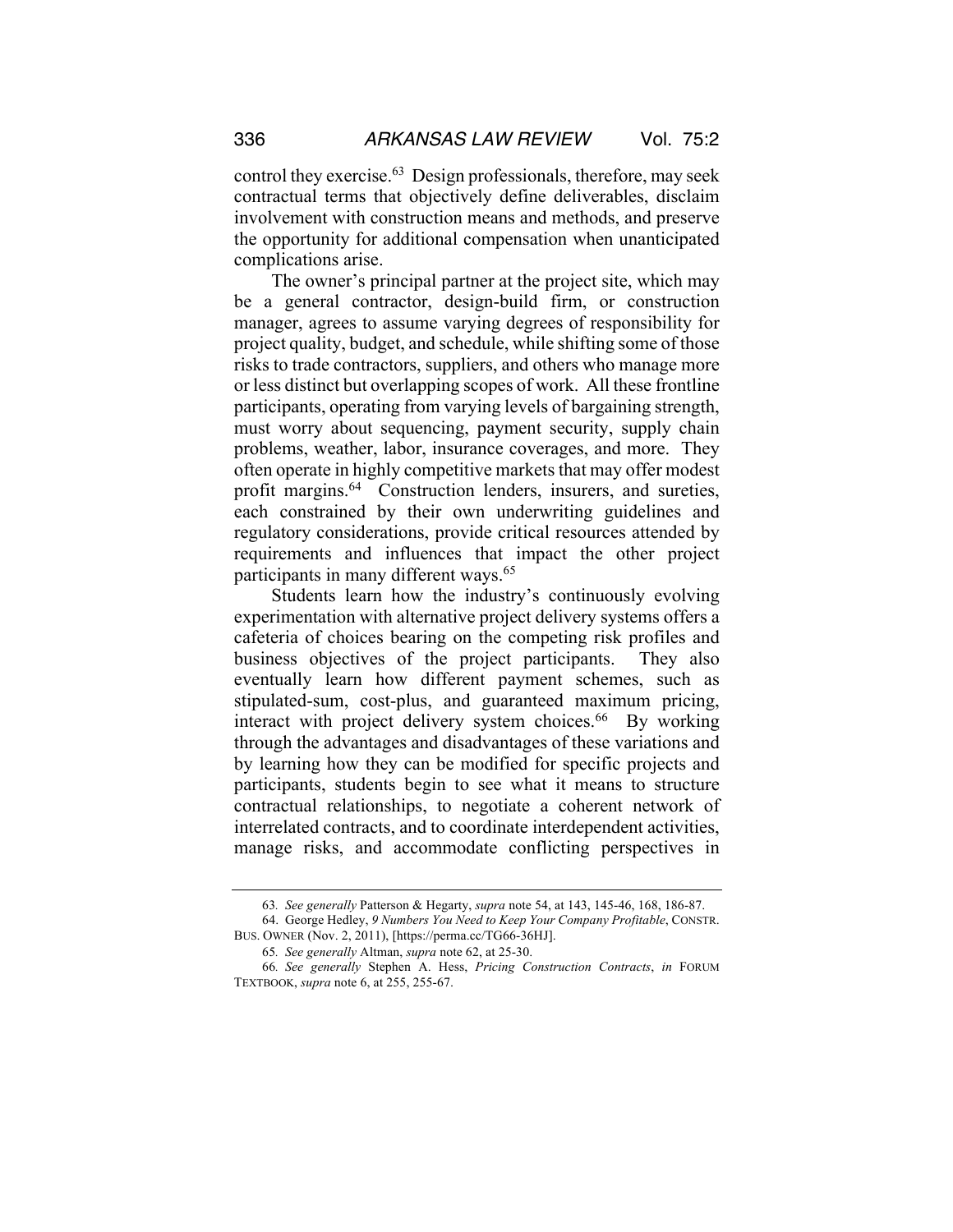control they exercise.63 Design professionals, therefore, may seek contractual terms that objectively define deliverables, disclaim involvement with construction means and methods, and preserve the opportunity for additional compensation when unanticipated complications arise.

The owner's principal partner at the project site, which may be a general contractor, design-build firm, or construction manager, agrees to assume varying degrees of responsibility for project quality, budget, and schedule, while shifting some of those risks to trade contractors, suppliers, and others who manage more or less distinct but overlapping scopes of work. All these frontline participants, operating from varying levels of bargaining strength, must worry about sequencing, payment security, supply chain problems, weather, labor, insurance coverages, and more. They often operate in highly competitive markets that may offer modest profit margins.<sup>64</sup> Construction lenders, insurers, and sureties, each constrained by their own underwriting guidelines and regulatory considerations, provide critical resources attended by requirements and influences that impact the other project participants in many different ways.<sup>65</sup>

Students learn how the industry's continuously evolving experimentation with alternative project delivery systems offers a cafeteria of choices bearing on the competing risk profiles and business objectives of the project participants. They also eventually learn how different payment schemes, such as stipulated-sum, cost-plus, and guaranteed maximum pricing, interact with project delivery system choices.<sup>66</sup> By working through the advantages and disadvantages of these variations and by learning how they can be modified for specific projects and participants, students begin to see what it means to structure contractual relationships, to negotiate a coherent network of interrelated contracts, and to coordinate interdependent activities, manage risks, and accommodate conflicting perspectives in

<sup>63</sup>*. See generally* Patterson & Hegarty, *supra* note 54, at 143, 145-46, 168, 186-87.

<sup>64.</sup> George Hedley, *9 Numbers You Need to Keep Your Company Profitable*, CONSTR. BUS. OWNER (Nov. 2, 2011), [https://perma.cc/TG66-36HJ].

<sup>65</sup>*. See generally* Altman, *supra* note 62, at 25-30.

<sup>66</sup>*. See generally* Stephen A. Hess, *Pricing Construction Contracts*, *in* FORUM TEXTBOOK, *supra* note 6, at 255, 255-67.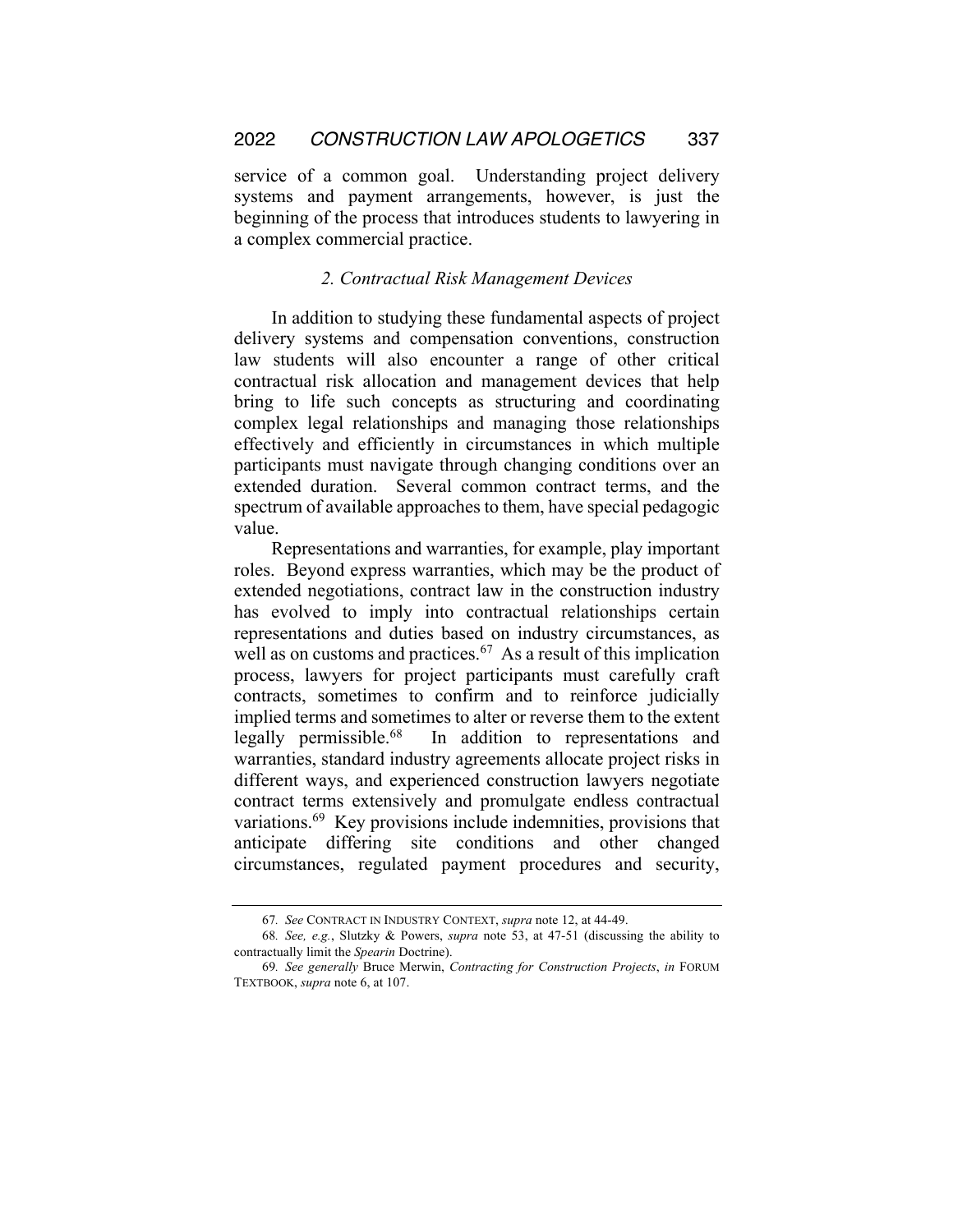service of a common goal. Understanding project delivery systems and payment arrangements, however, is just the beginning of the process that introduces students to lawyering in a complex commercial practice.

#### *2. Contractual Risk Management Devices*

In addition to studying these fundamental aspects of project delivery systems and compensation conventions, construction law students will also encounter a range of other critical contractual risk allocation and management devices that help bring to life such concepts as structuring and coordinating complex legal relationships and managing those relationships effectively and efficiently in circumstances in which multiple participants must navigate through changing conditions over an extended duration. Several common contract terms, and the spectrum of available approaches to them, have special pedagogic value.

Representations and warranties, for example, play important roles. Beyond express warranties, which may be the product of extended negotiations, contract law in the construction industry has evolved to imply into contractual relationships certain representations and duties based on industry circumstances, as well as on customs and practices.<sup>67</sup> As a result of this implication process, lawyers for project participants must carefully craft contracts, sometimes to confirm and to reinforce judicially implied terms and sometimes to alter or reverse them to the extent legally permissible.68 In addition to representations and warranties, standard industry agreements allocate project risks in different ways, and experienced construction lawyers negotiate contract terms extensively and promulgate endless contractual variations.69 Key provisions include indemnities, provisions that anticipate differing site conditions and other changed circumstances, regulated payment procedures and security,

<sup>67</sup>*. See* CONTRACT IN INDUSTRY CONTEXT, *supra* note 12, at 44-49.

<sup>68</sup>*. See, e.g.*, Slutzky & Powers, *supra* note 53, at 47-51 (discussing the ability to contractually limit the *Spearin* Doctrine).

<sup>69</sup>*. See generally* Bruce Merwin, *Contracting for Construction Projects*, *in* FORUM TEXTBOOK, *supra* note 6, at 107.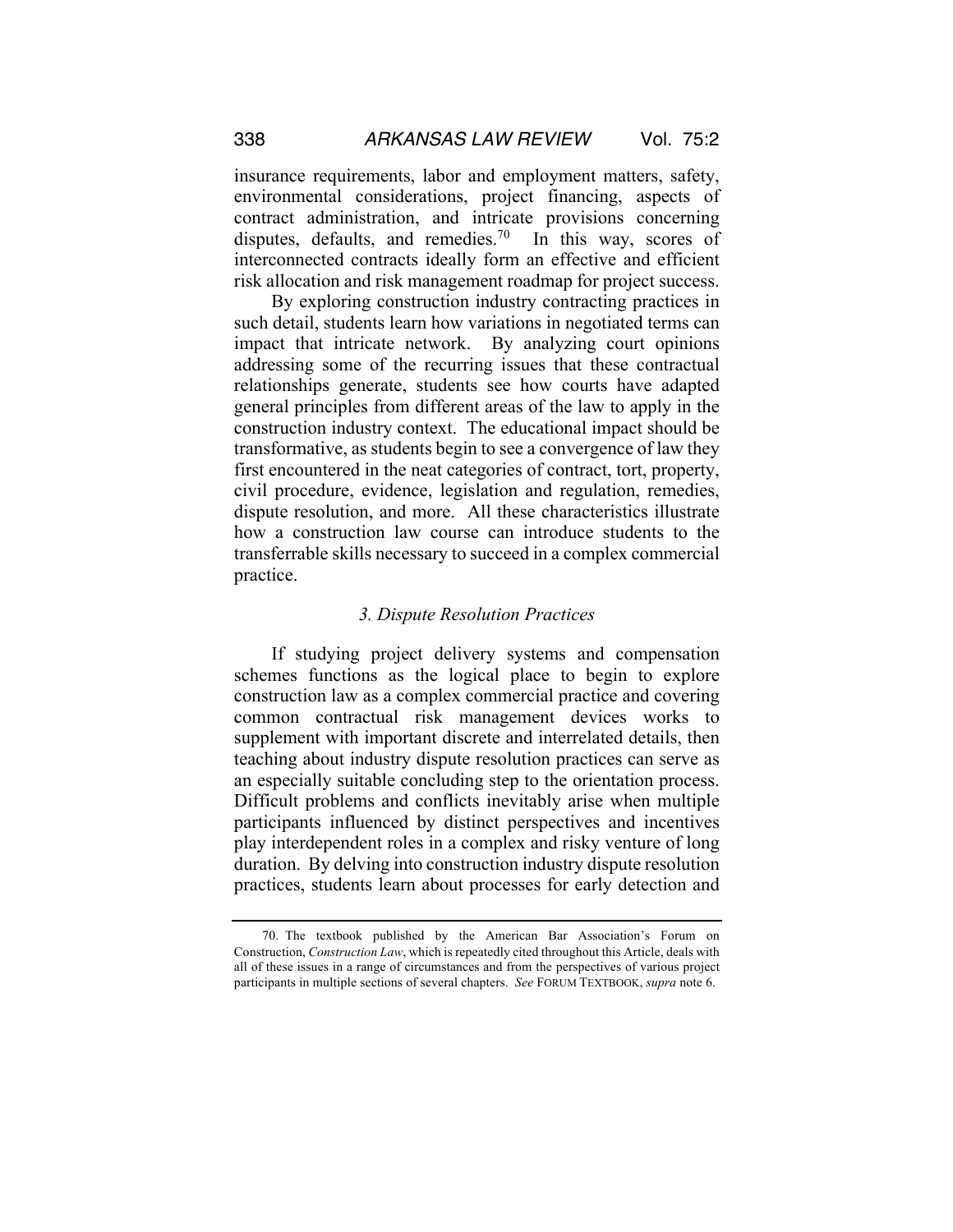insurance requirements, labor and employment matters, safety, environmental considerations, project financing, aspects of contract administration, and intricate provisions concerning disputes, defaults, and remedies.<sup>70</sup> In this way, scores of interconnected contracts ideally form an effective and efficient risk allocation and risk management roadmap for project success.

By exploring construction industry contracting practices in such detail, students learn how variations in negotiated terms can impact that intricate network. By analyzing court opinions addressing some of the recurring issues that these contractual relationships generate, students see how courts have adapted general principles from different areas of the law to apply in the construction industry context. The educational impact should be transformative, as students begin to see a convergence of law they first encountered in the neat categories of contract, tort, property, civil procedure, evidence, legislation and regulation, remedies, dispute resolution, and more. All these characteristics illustrate how a construction law course can introduce students to the transferrable skills necessary to succeed in a complex commercial practice.

#### *3. Dispute Resolution Practices*

If studying project delivery systems and compensation schemes functions as the logical place to begin to explore construction law as a complex commercial practice and covering common contractual risk management devices works to supplement with important discrete and interrelated details, then teaching about industry dispute resolution practices can serve as an especially suitable concluding step to the orientation process. Difficult problems and conflicts inevitably arise when multiple participants influenced by distinct perspectives and incentives play interdependent roles in a complex and risky venture of long duration. By delving into construction industry dispute resolution practices, students learn about processes for early detection and

<sup>70.</sup> The textbook published by the American Bar Association's Forum on Construction, *Construction Law*, which is repeatedly cited throughout this Article, deals with all of these issues in a range of circumstances and from the perspectives of various project participants in multiple sections of several chapters. *See* FORUM TEXTBOOK, *supra* note 6.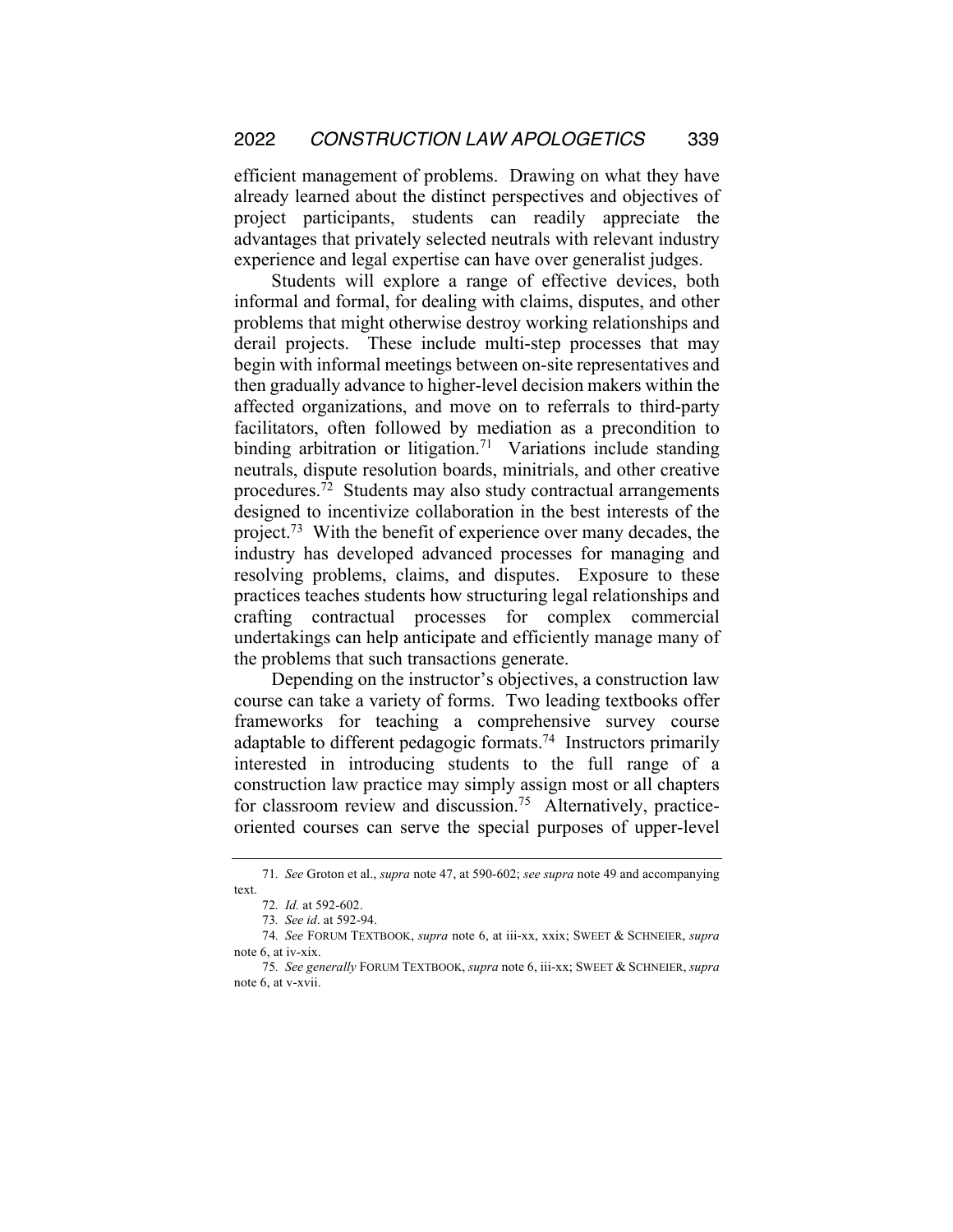efficient management of problems. Drawing on what they have already learned about the distinct perspectives and objectives of project participants, students can readily appreciate the advantages that privately selected neutrals with relevant industry experience and legal expertise can have over generalist judges.

Students will explore a range of effective devices, both informal and formal, for dealing with claims, disputes, and other problems that might otherwise destroy working relationships and derail projects. These include multi-step processes that may begin with informal meetings between on-site representatives and then gradually advance to higher-level decision makers within the affected organizations, and move on to referrals to third-party facilitators, often followed by mediation as a precondition to binding arbitration or litigation.<sup>71</sup> Variations include standing neutrals, dispute resolution boards, minitrials, and other creative procedures.72 Students may also study contractual arrangements designed to incentivize collaboration in the best interests of the project.73 With the benefit of experience over many decades, the industry has developed advanced processes for managing and resolving problems, claims, and disputes. Exposure to these practices teaches students how structuring legal relationships and crafting contractual processes for complex commercial undertakings can help anticipate and efficiently manage many of the problems that such transactions generate.

Depending on the instructor's objectives, a construction law course can take a variety of forms. Two leading textbooks offer frameworks for teaching a comprehensive survey course adaptable to different pedagogic formats.<sup>74</sup> Instructors primarily interested in introducing students to the full range of a construction law practice may simply assign most or all chapters for classroom review and discussion.<sup>75</sup> Alternatively, practiceoriented courses can serve the special purposes of upper-level

<sup>71</sup>*. See* Groton et al., *supra* note 47, at 590-602; *see supra* note 49 and accompanying text.

<sup>72</sup>*. Id.* at 592-602.

<sup>73</sup>*. See id*. at 592-94.

<sup>74</sup>*. See* FORUM TEXTBOOK, *supra* note 6, at iii-xx, xxix; SWEET & SCHNEIER, *supra* note 6, at iv-xix.

<sup>75</sup>*. See generally* FORUM TEXTBOOK, *supra* note 6, iii-xx; SWEET & SCHNEIER, *supra* note 6, at v-xvii.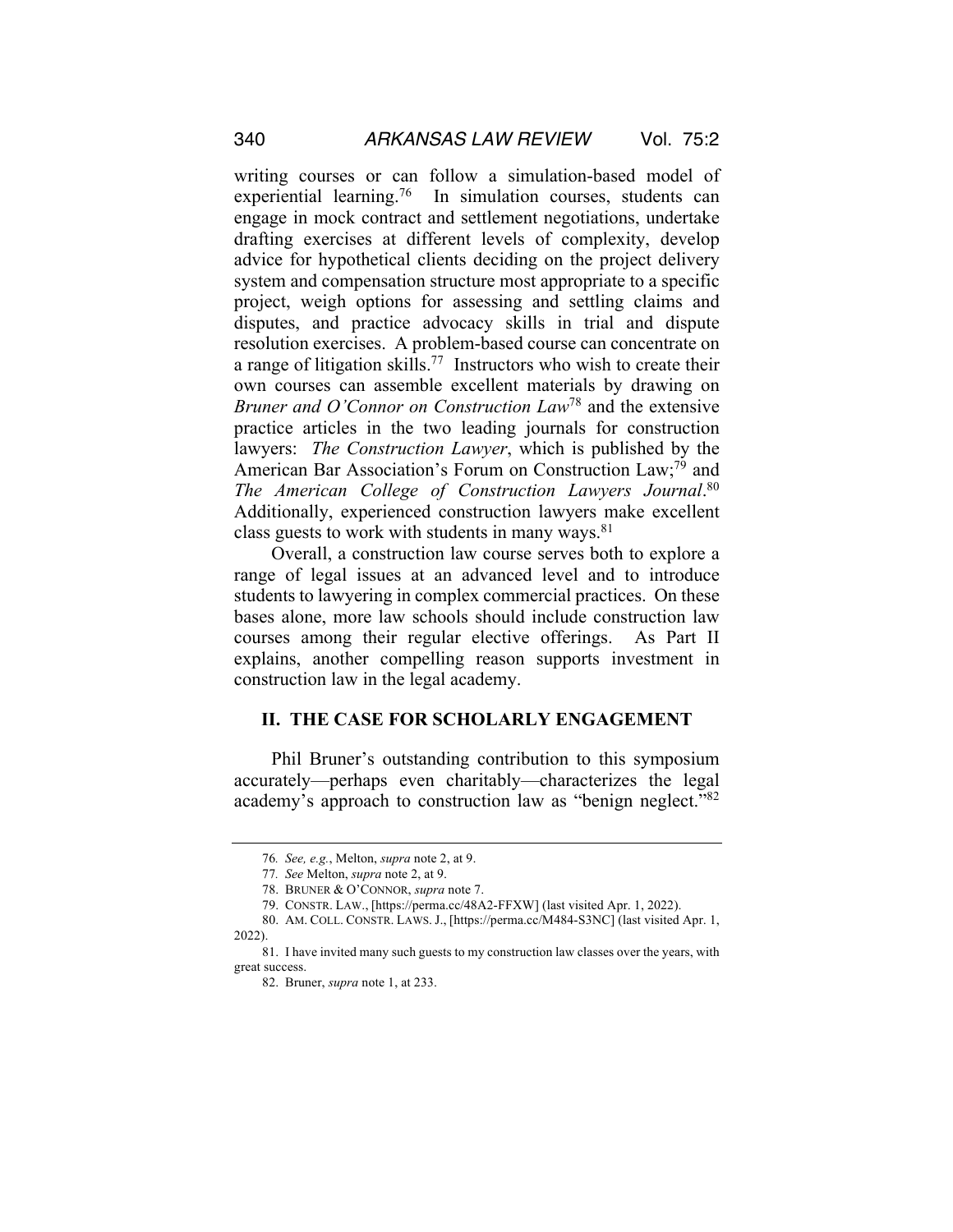writing courses or can follow a simulation-based model of experiential learning.<sup>76</sup> In simulation courses, students can engage in mock contract and settlement negotiations, undertake drafting exercises at different levels of complexity, develop advice for hypothetical clients deciding on the project delivery system and compensation structure most appropriate to a specific project, weigh options for assessing and settling claims and disputes, and practice advocacy skills in trial and dispute resolution exercises. A problem-based course can concentrate on a range of litigation skills.<sup>77</sup> Instructors who wish to create their own courses can assemble excellent materials by drawing on *Bruner and O'Connor on Construction Law*<sup>78</sup> and the extensive practice articles in the two leading journals for construction lawyers: *The Construction Lawyer*, which is published by the American Bar Association's Forum on Construction Law;<sup>79</sup> and *The American College of Construction Lawyers Journal*. 80 Additionally, experienced construction lawyers make excellent class guests to work with students in many ways.<sup>81</sup>

Overall, a construction law course serves both to explore a range of legal issues at an advanced level and to introduce students to lawyering in complex commercial practices. On these bases alone, more law schools should include construction law courses among their regular elective offerings. As Part II explains, another compelling reason supports investment in construction law in the legal academy.

#### **II. THE CASE FOR SCHOLARLY ENGAGEMENT**

Phil Bruner's outstanding contribution to this symposium accurately—perhaps even charitably—characterizes the legal academy's approach to construction law as "benign neglect."<sup>82</sup>

<sup>76</sup>*. See, e.g.*, Melton, *supra* note 2, at 9.

<sup>77</sup>*. See* Melton, *supra* note 2, at 9.

<sup>78.</sup> BRUNER & O'CONNOR, *supra* note 7.

<sup>79.</sup> CONSTR. LAW., [https://perma.cc/48A2-FFXW] (last visited Apr. 1, 2022).

<sup>80.</sup> AM. COLL. CONSTR. LAWS. J., [https://perma.cc/M484-S3NC] (last visited Apr. 1, 2022).

<sup>81.</sup> I have invited many such guests to my construction law classes over the years, with great success.

<sup>82.</sup> Bruner, *supra* note 1, at 233.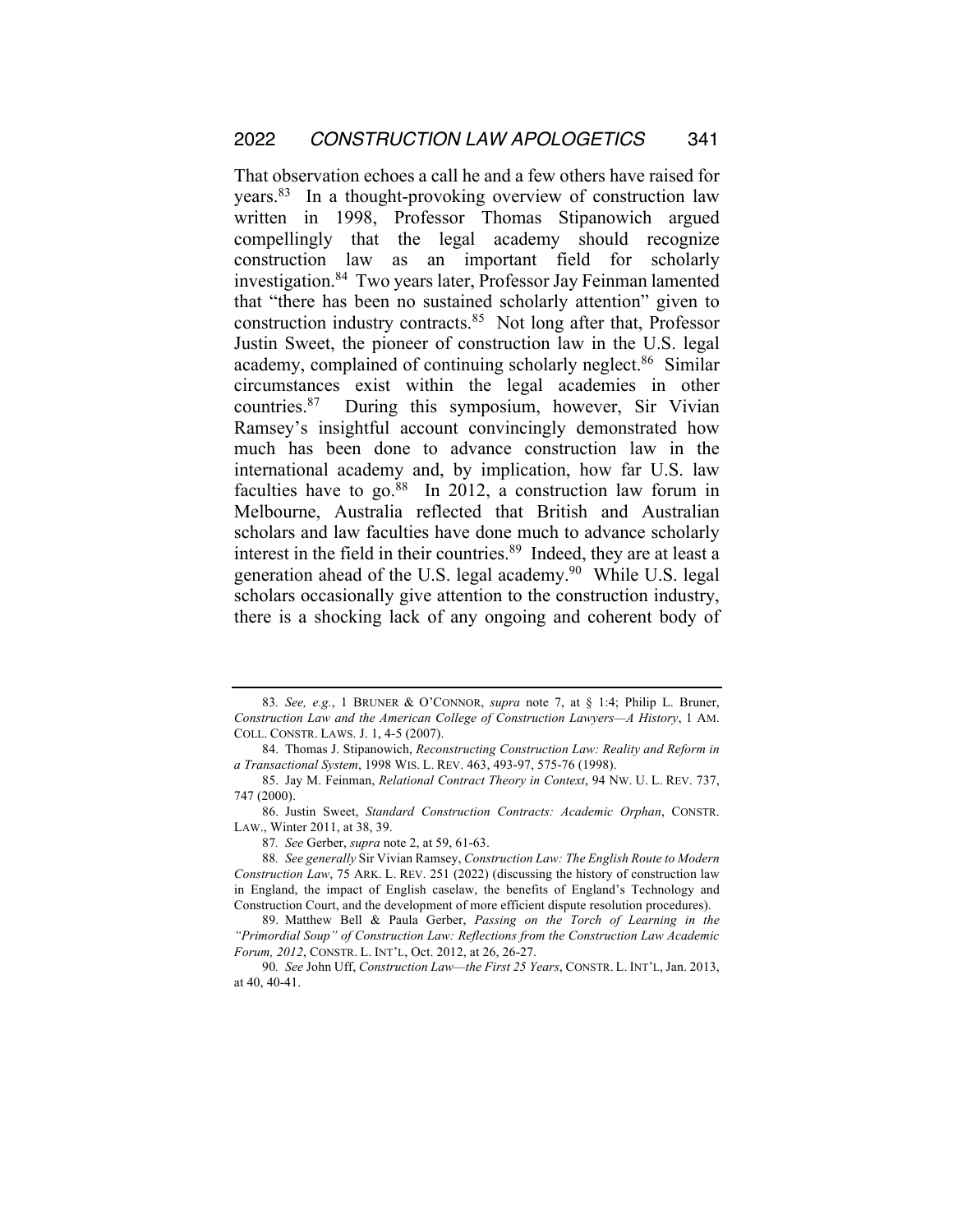That observation echoes a call he and a few others have raised for years.83 In a thought-provoking overview of construction law written in 1998, Professor Thomas Stipanowich argued compellingly that the legal academy should recognize construction law as an important field for scholarly investigation.84 Two years later, Professor Jay Feinman lamented that "there has been no sustained scholarly attention" given to construction industry contracts.85 Not long after that, Professor Justin Sweet, the pioneer of construction law in the U.S. legal academy, complained of continuing scholarly neglect.<sup>86</sup> Similar circumstances exist within the legal academies in other countries.87 During this symposium, however, Sir Vivian Ramsey's insightful account convincingly demonstrated how much has been done to advance construction law in the international academy and, by implication, how far U.S. law faculties have to go. $88$  In 2012, a construction law forum in Melbourne, Australia reflected that British and Australian scholars and law faculties have done much to advance scholarly interest in the field in their countries.<sup>89</sup> Indeed, they are at least a generation ahead of the U.S. legal academy.<sup>90</sup> While U.S. legal scholars occasionally give attention to the construction industry, there is a shocking lack of any ongoing and coherent body of

<sup>83</sup>*. See, e.g.*, 1 BRUNER & O'CONNOR, *supra* note 7, at § 1:4; Philip L. Bruner, *Construction Law and the American College of Construction Lawyers—A History*, 1 AM. COLL. CONSTR. LAWS. J. 1, 4-5 (2007).

<sup>84.</sup> Thomas J. Stipanowich, *Reconstructing Construction Law: Reality and Reform in a Transactional System*, 1998 WIS. L. REV. 463, 493-97, 575-76 (1998).

<sup>85.</sup> Jay M. Feinman, *Relational Contract Theory in Context*, 94 NW. U. L. REV. 737, 747 (2000).

<sup>86.</sup> Justin Sweet, *Standard Construction Contracts: Academic Orphan*, CONSTR. LAW., Winter 2011, at 38, 39.

<sup>87</sup>*. See* Gerber, *supra* note 2, at 59, 61-63.

<sup>88</sup>*. See generally* Sir Vivian Ramsey, *Construction Law: The English Route to Modern Construction Law*, 75 ARK. L. REV. 251 (2022) (discussing the history of construction law in England, the impact of English caselaw, the benefits of England's Technology and Construction Court, and the development of more efficient dispute resolution procedures).

<sup>89.</sup> Matthew Bell & Paula Gerber, *Passing on the Torch of Learning in the "Primordial Soup" of Construction Law: Reflections from the Construction Law Academic Forum, 2012*, CONSTR. L. INT'L, Oct. 2012, at 26, 26-27.

<sup>90</sup>*. See* John Uff, *Construction Law—the First 25 Years*, CONSTR. L. INT'L, Jan. 2013, at 40, 40-41.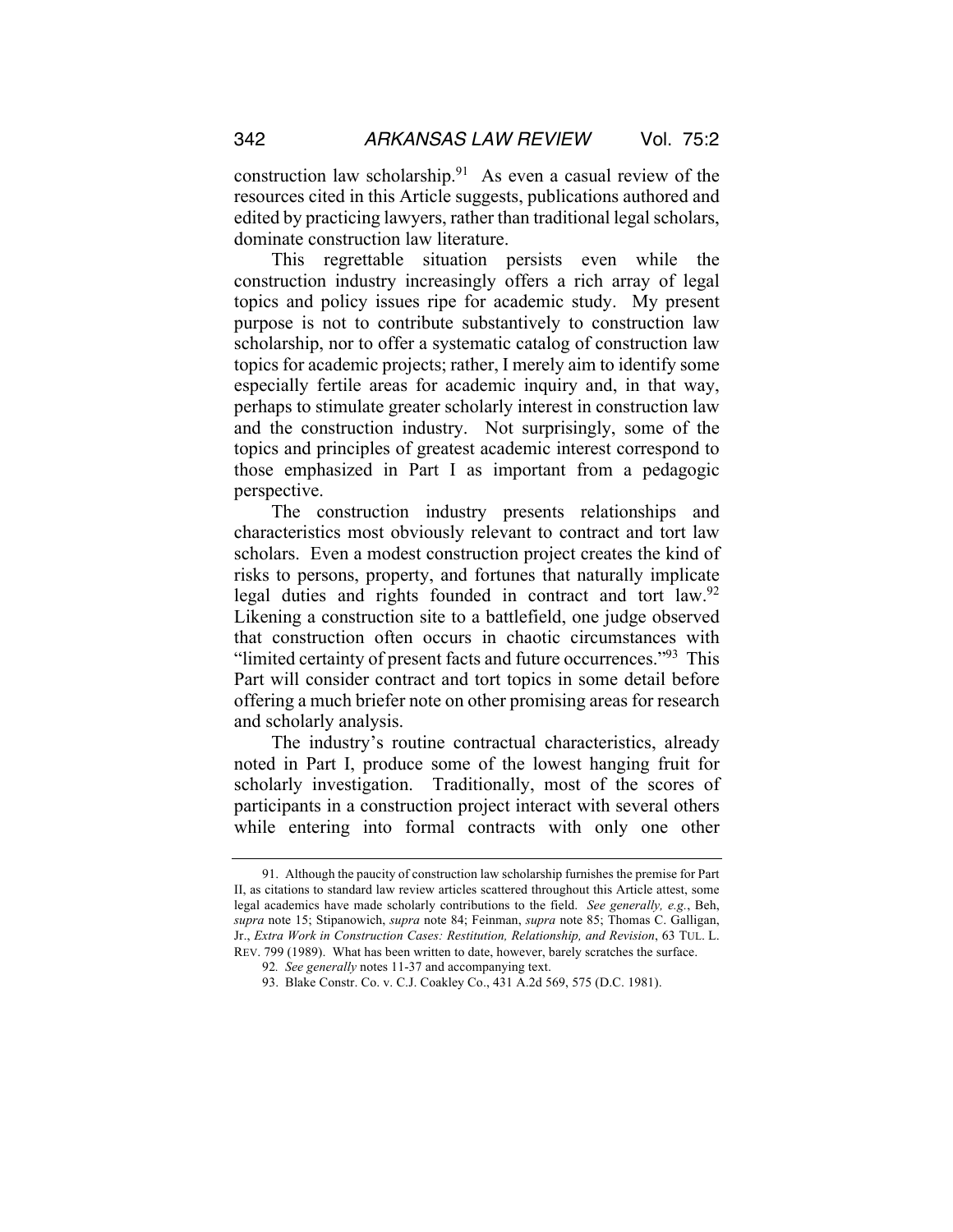construction law scholarship. $91$  As even a casual review of the resources cited in this Article suggests, publications authored and edited by practicing lawyers, rather than traditional legal scholars, dominate construction law literature.

This regrettable situation persists even while the construction industry increasingly offers a rich array of legal topics and policy issues ripe for academic study. My present purpose is not to contribute substantively to construction law scholarship, nor to offer a systematic catalog of construction law topics for academic projects; rather, I merely aim to identify some especially fertile areas for academic inquiry and, in that way, perhaps to stimulate greater scholarly interest in construction law and the construction industry. Not surprisingly, some of the topics and principles of greatest academic interest correspond to those emphasized in Part I as important from a pedagogic perspective.

The construction industry presents relationships and characteristics most obviously relevant to contract and tort law scholars. Even a modest construction project creates the kind of risks to persons, property, and fortunes that naturally implicate legal duties and rights founded in contract and tort law.<sup>92</sup> Likening a construction site to a battlefield, one judge observed that construction often occurs in chaotic circumstances with "limited certainty of present facts and future occurrences."<sup>93</sup> This Part will consider contract and tort topics in some detail before offering a much briefer note on other promising areas for research and scholarly analysis.

The industry's routine contractual characteristics, already noted in Part I, produce some of the lowest hanging fruit for scholarly investigation. Traditionally, most of the scores of participants in a construction project interact with several others while entering into formal contracts with only one other

<sup>91.</sup> Although the paucity of construction law scholarship furnishes the premise for Part II, as citations to standard law review articles scattered throughout this Article attest, some legal academics have made scholarly contributions to the field. *See generally, e.g.*, Beh, *supra* note 15; Stipanowich, *supra* note 84; Feinman, *supra* note 85; Thomas C. Galligan, Jr., *Extra Work in Construction Cases: Restitution, Relationship, and Revision*, 63 TUL. L. REV. 799 (1989).What has been written to date, however, barely scratches the surface.

<sup>92</sup>*. See generally* notes 11-37 and accompanying text.

<sup>93.</sup> Blake Constr. Co. v. C.J. Coakley Co., 431 A.2d 569, 575 (D.C. 1981).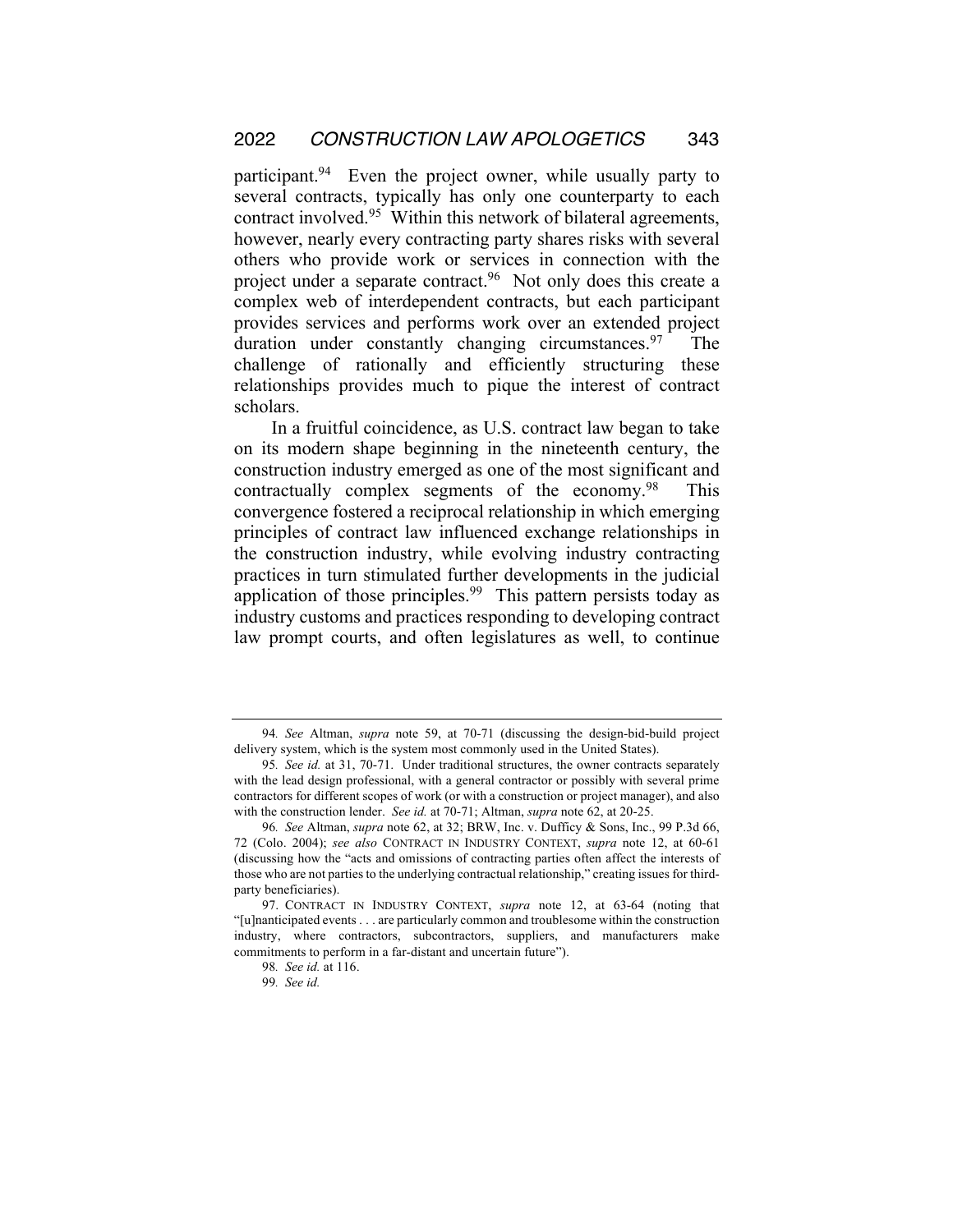participant.<sup>94</sup> Even the project owner, while usually party to several contracts, typically has only one counterparty to each contract involved.95 Within this network of bilateral agreements, however, nearly every contracting party shares risks with several others who provide work or services in connection with the project under a separate contract.<sup>96</sup> Not only does this create a complex web of interdependent contracts, but each participant provides services and performs work over an extended project duration under constantly changing circumstances.<sup>97</sup> The challenge of rationally and efficiently structuring these relationships provides much to pique the interest of contract scholars.

In a fruitful coincidence, as U.S. contract law began to take on its modern shape beginning in the nineteenth century, the construction industry emerged as one of the most significant and contractually complex segments of the economy.<sup>98</sup> This convergence fostered a reciprocal relationship in which emerging principles of contract law influenced exchange relationships in the construction industry, while evolving industry contracting practices in turn stimulated further developments in the judicial application of those principles.<sup>99</sup> This pattern persists today as industry customs and practices responding to developing contract law prompt courts, and often legislatures as well, to continue

<sup>94</sup>*. See* Altman, *supra* note 59, at 70-71 (discussing the design-bid-build project delivery system, which is the system most commonly used in the United States).

<sup>95</sup>*. See id.* at 31, 70-71. Under traditional structures, the owner contracts separately with the lead design professional, with a general contractor or possibly with several prime contractors for different scopes of work (or with a construction or project manager), and also with the construction lender. *See id.* at 70-71; Altman, *supra* note 62, at 20-25.

<sup>96</sup>*. See* Altman, *supra* note 62, at 32; BRW, Inc. v. Dufficy & Sons, Inc., 99 P.3d 66, 72 (Colo. 2004); *see also* CONTRACT IN INDUSTRY CONTEXT, *supra* note 12, at 60-61 (discussing how the "acts and omissions of contracting parties often affect the interests of those who are not parties to the underlying contractual relationship," creating issues for thirdparty beneficiaries).

<sup>97.</sup> CONTRACT IN INDUSTRY CONTEXT, *supra* note 12, at 63-64 (noting that "[u]nanticipated events . . . are particularly common and troublesome within the construction industry, where contractors, subcontractors, suppliers, and manufacturers make commitments to perform in a far-distant and uncertain future").

<sup>98</sup>*. See id.* at 116.

<sup>99</sup>*. See id.*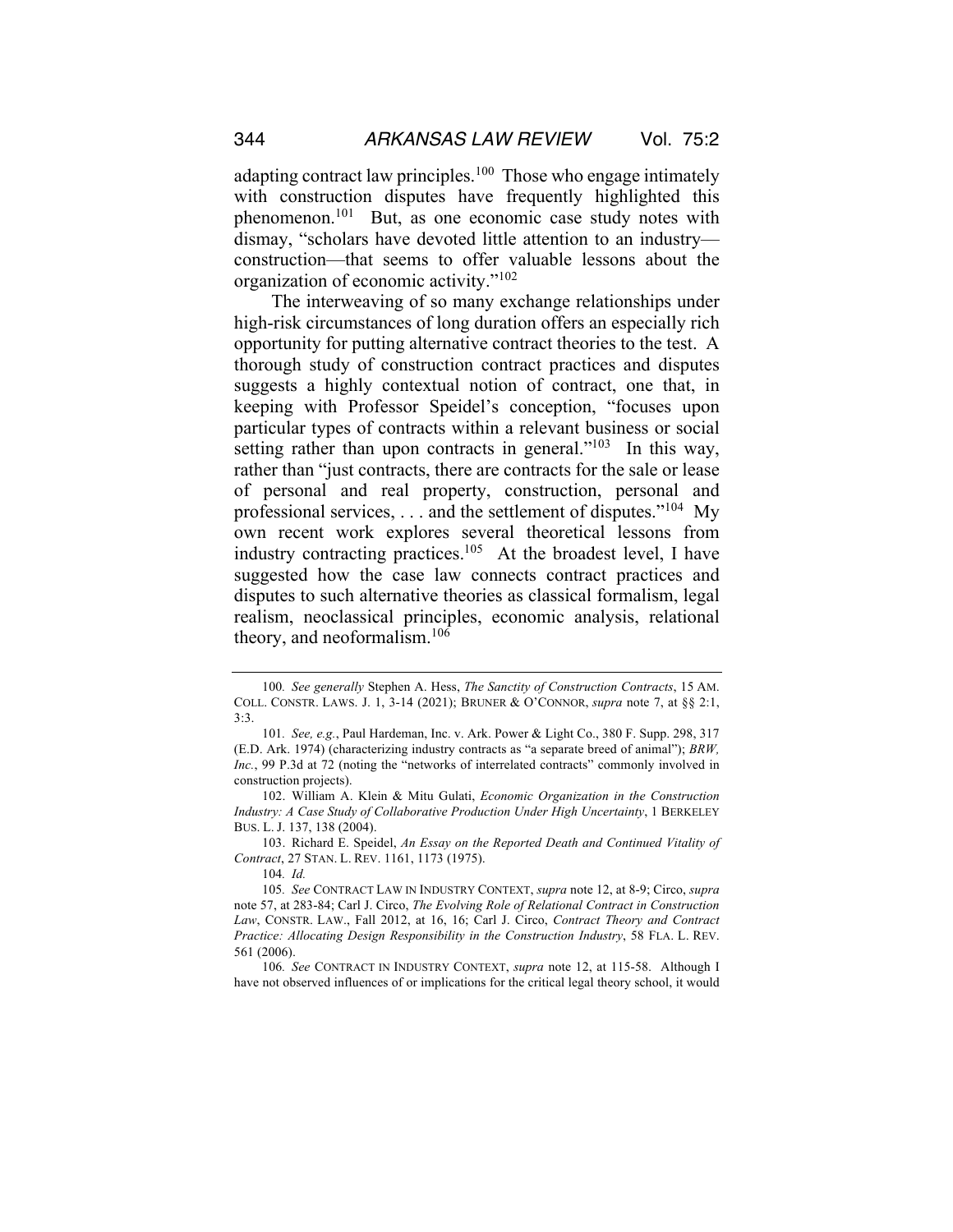adapting contract law principles.<sup>100</sup> Those who engage intimately with construction disputes have frequently highlighted this phenomenon.101 But, as one economic case study notes with dismay, "scholars have devoted little attention to an industry construction—that seems to offer valuable lessons about the organization of economic activity."102

The interweaving of so many exchange relationships under high-risk circumstances of long duration offers an especially rich opportunity for putting alternative contract theories to the test. A thorough study of construction contract practices and disputes suggests a highly contextual notion of contract, one that, in keeping with Professor Speidel's conception, "focuses upon particular types of contracts within a relevant business or social setting rather than upon contracts in general."<sup>103</sup> In this way, rather than "just contracts, there are contracts for the sale or lease of personal and real property, construction, personal and professional services,  $\dots$  and the settlement of disputes."<sup>104</sup> My own recent work explores several theoretical lessons from industry contracting practices.<sup>105</sup> At the broadest level, I have suggested how the case law connects contract practices and disputes to such alternative theories as classical formalism, legal realism, neoclassical principles, economic analysis, relational theory, and neoformalism.106

103. Richard E. Speidel, *An Essay on the Reported Death and Continued Vitality of Contract*, 27 STAN. L. REV. 1161, 1173 (1975).

106*. See* CONTRACT IN INDUSTRY CONTEXT, *supra* note 12, at 115-58. Although I have not observed influences of or implications for the critical legal theory school, it would

<sup>100</sup>*. See generally* Stephen A. Hess, *The Sanctity of Construction Contracts*, 15 AM. COLL. CONSTR. LAWS. J. 1, 3-14 (2021); BRUNER & O'CONNOR, *supra* note 7, at §§ 2:1, 3:3.

<sup>101</sup>*. See, e.g.*, Paul Hardeman, Inc. v. Ark. Power & Light Co., 380 F. Supp. 298, 317 (E.D. Ark. 1974) (characterizing industry contracts as "a separate breed of animal"); *BRW, Inc.*, 99 P.3d at 72 (noting the "networks of interrelated contracts" commonly involved in construction projects).

<sup>102.</sup> William A. Klein & Mitu Gulati, *Economic Organization in the Construction Industry: A Case Study of Collaborative Production Under High Uncertainty*, 1 BERKELEY BUS. L. J. 137, 138 (2004).

<sup>104</sup>*. Id.*

<sup>105</sup>*. See* CONTRACT LAW IN INDUSTRY CONTEXT, *supra* note 12, at 8-9; Circo, *supra*  note 57, at 283-84; Carl J. Circo, *The Evolving Role of Relational Contract in Construction Law*, CONSTR. LAW., Fall 2012, at 16, 16; Carl J. Circo, *Contract Theory and Contract Practice: Allocating Design Responsibility in the Construction Industry*, 58 FLA. L. REV. 561 (2006).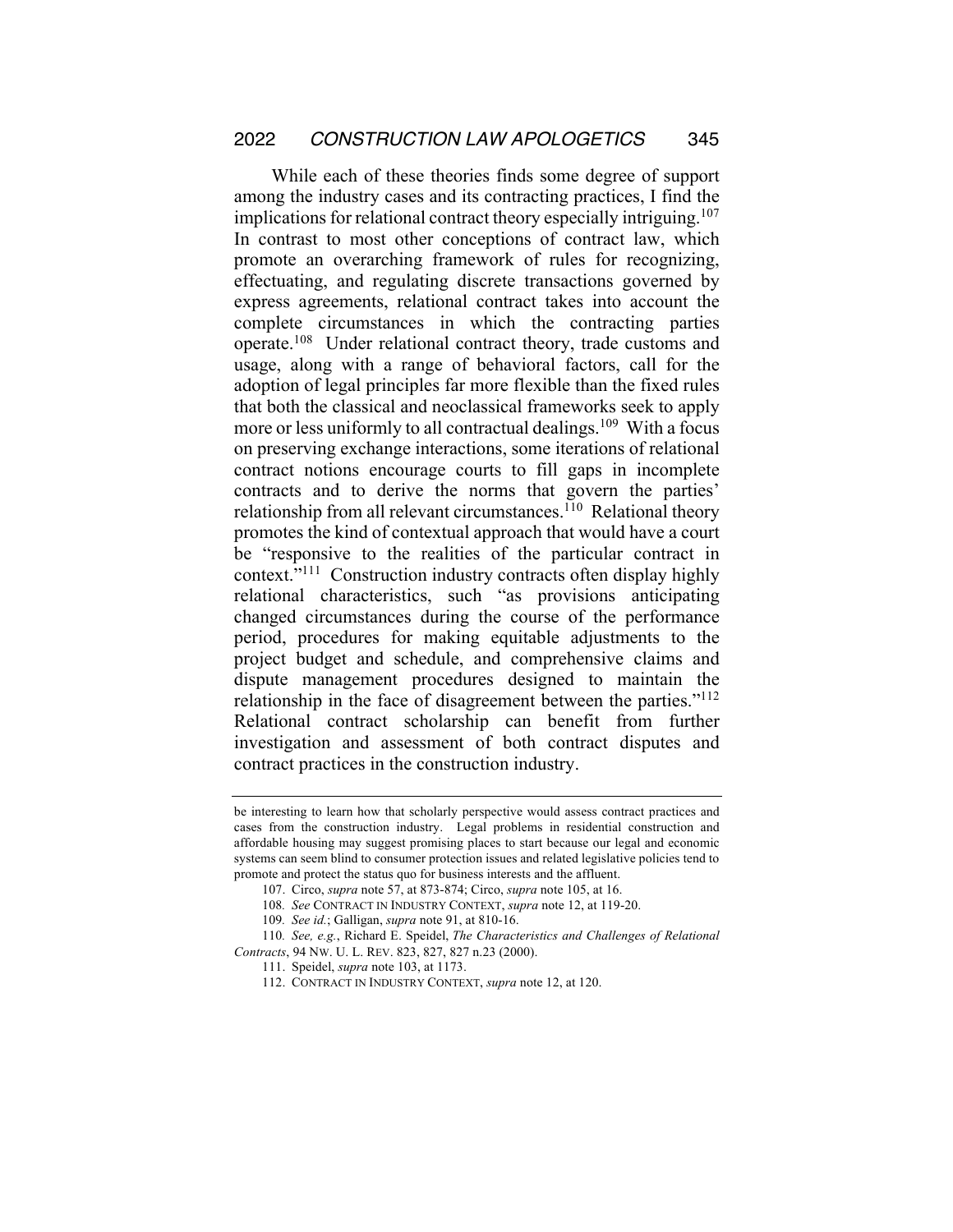While each of these theories finds some degree of support among the industry cases and its contracting practices, I find the implications for relational contract theory especially intriguing.<sup>107</sup> In contrast to most other conceptions of contract law, which promote an overarching framework of rules for recognizing, effectuating, and regulating discrete transactions governed by express agreements, relational contract takes into account the complete circumstances in which the contracting parties operate.108 Under relational contract theory, trade customs and usage, along with a range of behavioral factors, call for the adoption of legal principles far more flexible than the fixed rules that both the classical and neoclassical frameworks seek to apply more or less uniformly to all contractual dealings.<sup>109</sup> With a focus on preserving exchange interactions, some iterations of relational contract notions encourage courts to fill gaps in incomplete contracts and to derive the norms that govern the parties' relationship from all relevant circumstances.<sup>110</sup> Relational theory promotes the kind of contextual approach that would have a court be "responsive to the realities of the particular contract in context."111 Construction industry contracts often display highly relational characteristics, such "as provisions anticipating changed circumstances during the course of the performance period, procedures for making equitable adjustments to the project budget and schedule, and comprehensive claims and dispute management procedures designed to maintain the relationship in the face of disagreement between the parties."112 Relational contract scholarship can benefit from further investigation and assessment of both contract disputes and contract practices in the construction industry.

be interesting to learn how that scholarly perspective would assess contract practices and cases from the construction industry. Legal problems in residential construction and affordable housing may suggest promising places to start because our legal and economic systems can seem blind to consumer protection issues and related legislative policies tend to promote and protect the status quo for business interests and the affluent.

<sup>107.</sup> Circo, *supra* note 57, at 873-874; Circo, *supra* note 105, at 16.

<sup>108</sup>*. See* CONTRACT IN INDUSTRY CONTEXT, *supra* note 12, at 119-20.

<sup>109</sup>*. See id.*; Galligan, *supra* note 91, at 810-16.

<sup>110</sup>*. See, e.g.*, Richard E. Speidel, *The Characteristics and Challenges of Relational Contracts*, 94 NW. U. L. REV. 823, 827, 827 n.23 (2000).

<sup>111.</sup> Speidel, *supra* note 103, at 1173.

<sup>112.</sup> CONTRACT IN INDUSTRY CONTEXT, *supra* note 12, at 120.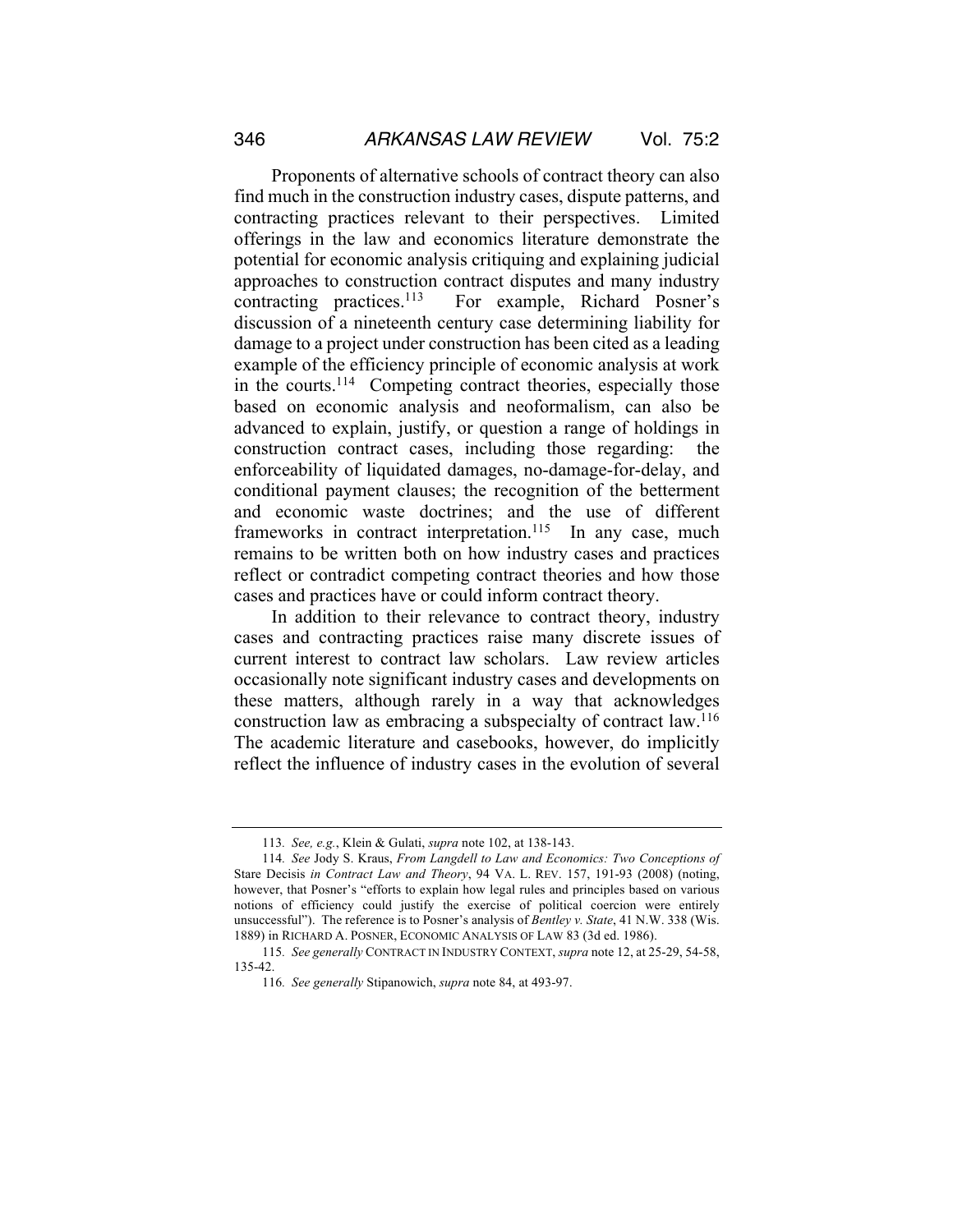Proponents of alternative schools of contract theory can also find much in the construction industry cases, dispute patterns, and contracting practices relevant to their perspectives. Limited offerings in the law and economics literature demonstrate the potential for economic analysis critiquing and explaining judicial approaches to construction contract disputes and many industry contracting practices.113 For example, Richard Posner's discussion of a nineteenth century case determining liability for damage to a project under construction has been cited as a leading example of the efficiency principle of economic analysis at work in the courts.<sup>114</sup> Competing contract theories, especially those based on economic analysis and neoformalism, can also be advanced to explain, justify, or question a range of holdings in construction contract cases, including those regarding: the enforceability of liquidated damages, no-damage-for-delay, and conditional payment clauses; the recognition of the betterment and economic waste doctrines; and the use of different frameworks in contract interpretation.<sup>115</sup> In any case, much remains to be written both on how industry cases and practices reflect or contradict competing contract theories and how those cases and practices have or could inform contract theory.

In addition to their relevance to contract theory, industry cases and contracting practices raise many discrete issues of current interest to contract law scholars. Law review articles occasionally note significant industry cases and developments on these matters, although rarely in a way that acknowledges construction law as embracing a subspecialty of contract law.116 The academic literature and casebooks, however, do implicitly reflect the influence of industry cases in the evolution of several

<sup>113</sup>*. See, e.g.*, Klein & Gulati, *supra* note 102, at 138-143.

<sup>114</sup>*. See* Jody S. Kraus, *From Langdell to Law and Economics: Two Conceptions of*  Stare Decisis *in Contract Law and Theory*, 94 VA. L. REV. 157, 191-93 (2008) (noting, however, that Posner's "efforts to explain how legal rules and principles based on various notions of efficiency could justify the exercise of political coercion were entirely unsuccessful"). The reference is to Posner's analysis of *Bentley v. State*, 41 N.W. 338 (Wis. 1889) in RICHARD A. POSNER, ECONOMIC ANALYSIS OF LAW 83 (3d ed. 1986).

<sup>115</sup>*. See generally* CONTRACT IN INDUSTRY CONTEXT, *supra* note 12, at 25-29, 54-58, 135-42.

<sup>116</sup>*. See generally* Stipanowich, *supra* note 84, at 493-97.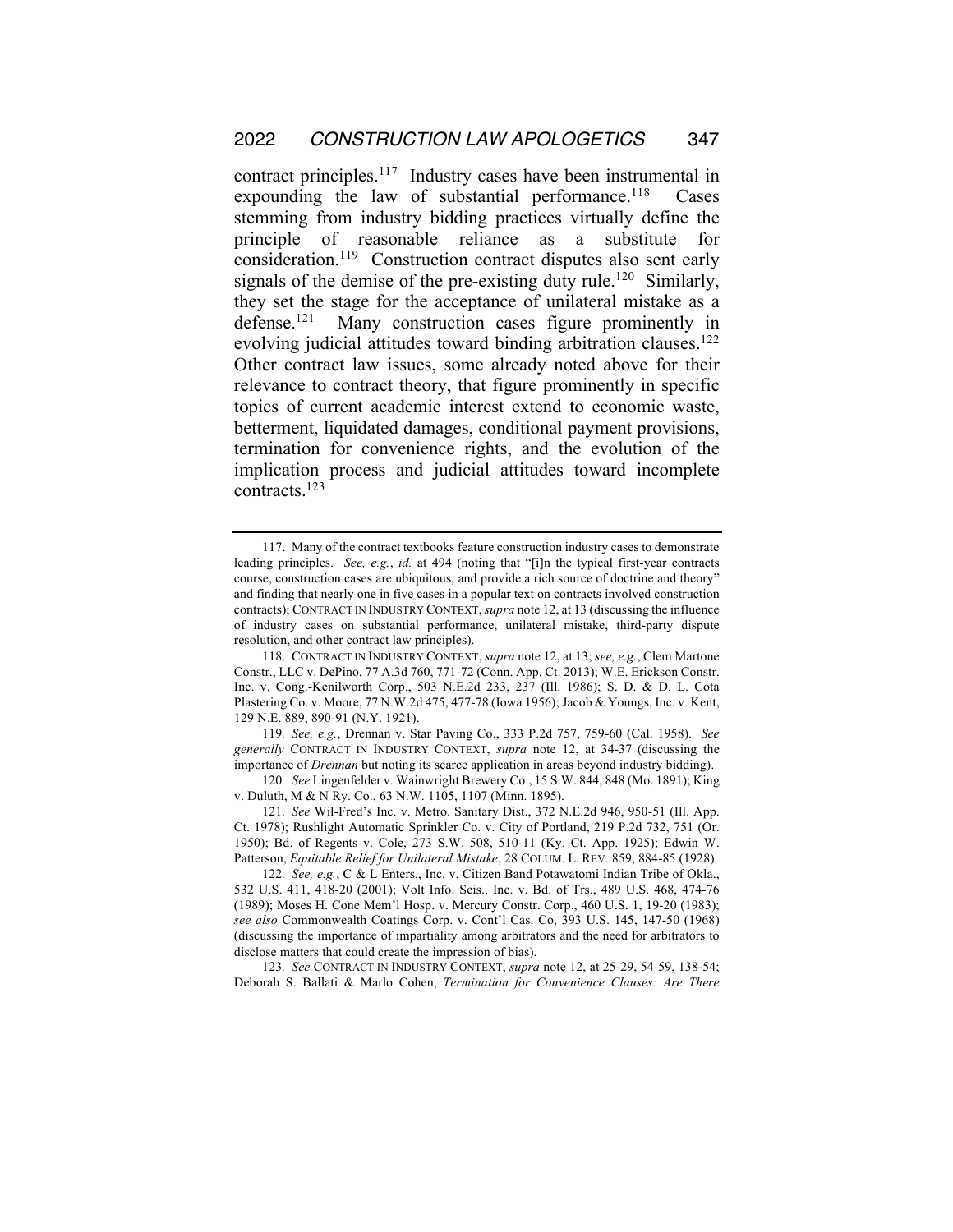contract principles.<sup>117</sup> Industry cases have been instrumental in expounding the law of substantial performance.<sup>118</sup> Cases stemming from industry bidding practices virtually define the principle of reasonable reliance as a substitute for consideration.119 Construction contract disputes also sent early signals of the demise of the pre-existing duty rule.<sup>120</sup> Similarly, they set the stage for the acceptance of unilateral mistake as a defense.<sup>121</sup> Many construction cases figure prominently in evolving judicial attitudes toward binding arbitration clauses.<sup>122</sup> Other contract law issues, some already noted above for their relevance to contract theory, that figure prominently in specific topics of current academic interest extend to economic waste, betterment, liquidated damages, conditional payment provisions, termination for convenience rights, and the evolution of the implication process and judicial attitudes toward incomplete contracts.123

119*. See, e.g.*, Drennan v. Star Paving Co., 333 P.2d 757, 759-60 (Cal. 1958). *See generally* CONTRACT IN INDUSTRY CONTEXT, *supra* note 12, at 34-37 (discussing the importance of *Drennan* but noting its scarce application in areas beyond industry bidding).

120*. See* Lingenfelder v. Wainwright Brewery Co., 15 S.W. 844, 848 (Mo. 1891); King v. Duluth, M & N Ry. Co., 63 N.W. 1105, 1107 (Minn. 1895).

121*. See* Wil-Fred's Inc. v. Metro. Sanitary Dist., 372 N.E.2d 946, 950-51 (Ill. App. Ct. 1978); Rushlight Automatic Sprinkler Co. v. City of Portland, 219 P.2d 732, 751 (Or. 1950); Bd. of Regents v. Cole, 273 S.W. 508, 510-11 (Ky. Ct. App. 1925); Edwin W. Patterson, *Equitable Relief for Unilateral Mistake*, 28 COLUM. L. REV. 859, 884-85 (1928).

122*. See, e.g.*, C & L Enters., Inc. v. Citizen Band Potawatomi Indian Tribe of Okla., 532 U.S. 411, 418-20 (2001); Volt Info. Scis., Inc. v. Bd. of Trs., 489 U.S. 468, 474-76 (1989); Moses H. Cone Mem'l Hosp. v. Mercury Constr. Corp., 460 U.S. 1, 19-20 (1983); *see also* Commonwealth Coatings Corp. v. Cont'l Cas. Co, 393 U.S. 145, 147-50 (1968) (discussing the importance of impartiality among arbitrators and the need for arbitrators to disclose matters that could create the impression of bias).

123*. See* CONTRACT IN INDUSTRY CONTEXT, *supra* note 12, at 25-29, 54-59, 138-54; Deborah S. Ballati & Marlo Cohen, *Termination for Convenience Clauses: Are There* 

<sup>117.</sup> Many of the contract textbooks feature construction industry cases to demonstrate leading principles. *See, e.g.*, *id.* at 494 (noting that "[i]n the typical first-year contracts course, construction cases are ubiquitous, and provide a rich source of doctrine and theory" and finding that nearly one in five cases in a popular text on contracts involved construction contracts); CONTRACT IN INDUSTRY CONTEXT, *supra* note 12, at 13 (discussing the influence of industry cases on substantial performance, unilateral mistake, third-party dispute resolution, and other contract law principles).

<sup>118.</sup> CONTRACT IN INDUSTRY CONTEXT, *supra* note 12, at 13; *see, e.g.*, Clem Martone Constr., LLC v. DePino, 77 A.3d 760, 771-72 (Conn. App. Ct. 2013); W.E. Erickson Constr. Inc. v. Cong.-Kenilworth Corp., 503 N.E.2d 233, 237 (Ill. 1986); S. D. & D. L. Cota Plastering Co. v. Moore, 77 N.W.2d 475, 477-78 (Iowa 1956); Jacob & Youngs, Inc. v. Kent, 129 N.E. 889, 890-91 (N.Y. 1921).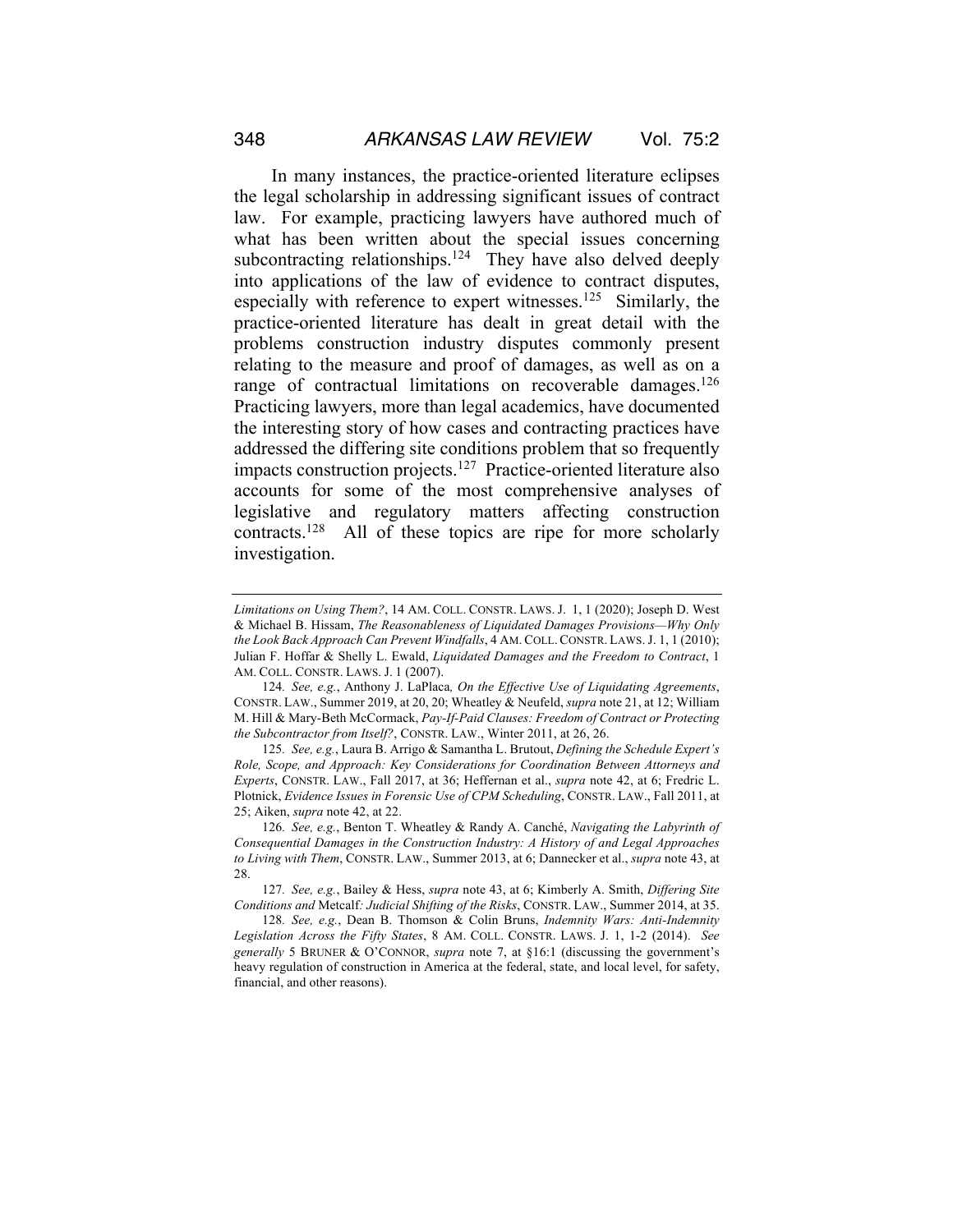In many instances, the practice-oriented literature eclipses the legal scholarship in addressing significant issues of contract law. For example, practicing lawyers have authored much of what has been written about the special issues concerning subcontracting relationships.<sup>124</sup> They have also delved deeply into applications of the law of evidence to contract disputes, especially with reference to expert witnesses.<sup>125</sup> Similarly, the practice-oriented literature has dealt in great detail with the problems construction industry disputes commonly present relating to the measure and proof of damages, as well as on a range of contractual limitations on recoverable damages.<sup>126</sup> Practicing lawyers, more than legal academics, have documented the interesting story of how cases and contracting practices have addressed the differing site conditions problem that so frequently impacts construction projects.<sup>127</sup> Practice-oriented literature also accounts for some of the most comprehensive analyses of legislative and regulatory matters affecting construction contracts.128 All of these topics are ripe for more scholarly investigation.

125*. See, e.g.*, Laura B. Arrigo & Samantha L. Brutout, *Defining the Schedule Expert's Role, Scope, and Approach: Key Considerations for Coordination Between Attorneys and Experts*, CONSTR. LAW., Fall 2017, at 36; Heffernan et al., *supra* note 42, at 6; Fredric L. Plotnick, *Evidence Issues in Forensic Use of CPM Scheduling*, CONSTR. LAW., Fall 2011, at 25; Aiken, *supra* note 42, at 22.

*Limitations on Using Them?*, 14 AM. COLL. CONSTR. LAWS. J. 1, 1 (2020); Joseph D. West & Michael B. Hissam, *The Reasonableness of Liquidated Damages Provisions—Why Only the Look Back Approach Can Prevent Windfalls*, 4 AM.COLL.CONSTR. LAWS. J. 1, 1 (2010); Julian F. Hoffar & Shelly L. Ewald, *Liquidated Damages and the Freedom to Contract*, 1 AM. COLL. CONSTR. LAWS. J. 1 (2007).

<sup>124</sup>*. See, e.g.*, Anthony J. LaPlaca*, On the Effective Use of Liquidating Agreements*, CONSTR. LAW., Summer 2019, at 20, 20; Wheatley & Neufeld, *supra* note 21, at 12; William M. Hill & Mary-Beth McCormack, *Pay-If-Paid Clauses: Freedom of Contract or Protecting the Subcontractor from Itself?*, CONSTR. LAW., Winter 2011, at 26, 26.

<sup>126</sup>*. See, e.g.*, Benton T. Wheatley & Randy A. Canché, *Navigating the Labyrinth of Consequential Damages in the Construction Industry: A History of and Legal Approaches to Living with Them*, CONSTR. LAW., Summer 2013, at 6; Dannecker et al., *supra* note 43, at 28.

<sup>127</sup>*. See, e.g.*, Bailey & Hess, *supra* note 43, at 6; Kimberly A. Smith, *Differing Site Conditions and* Metcalf*: Judicial Shifting of the Risks*, CONSTR. LAW., Summer 2014, at 35.

<sup>128</sup>*. See, e.g.*, Dean B. Thomson & Colin Bruns, *Indemnity Wars: Anti-Indemnity Legislation Across the Fifty States*, 8 AM. COLL. CONSTR. LAWS. J. 1, 1-2 (2014). *See generally* 5 BRUNER & O'CONNOR, *supra* note 7, at §16:1 (discussing the government's heavy regulation of construction in America at the federal, state, and local level, for safety, financial, and other reasons).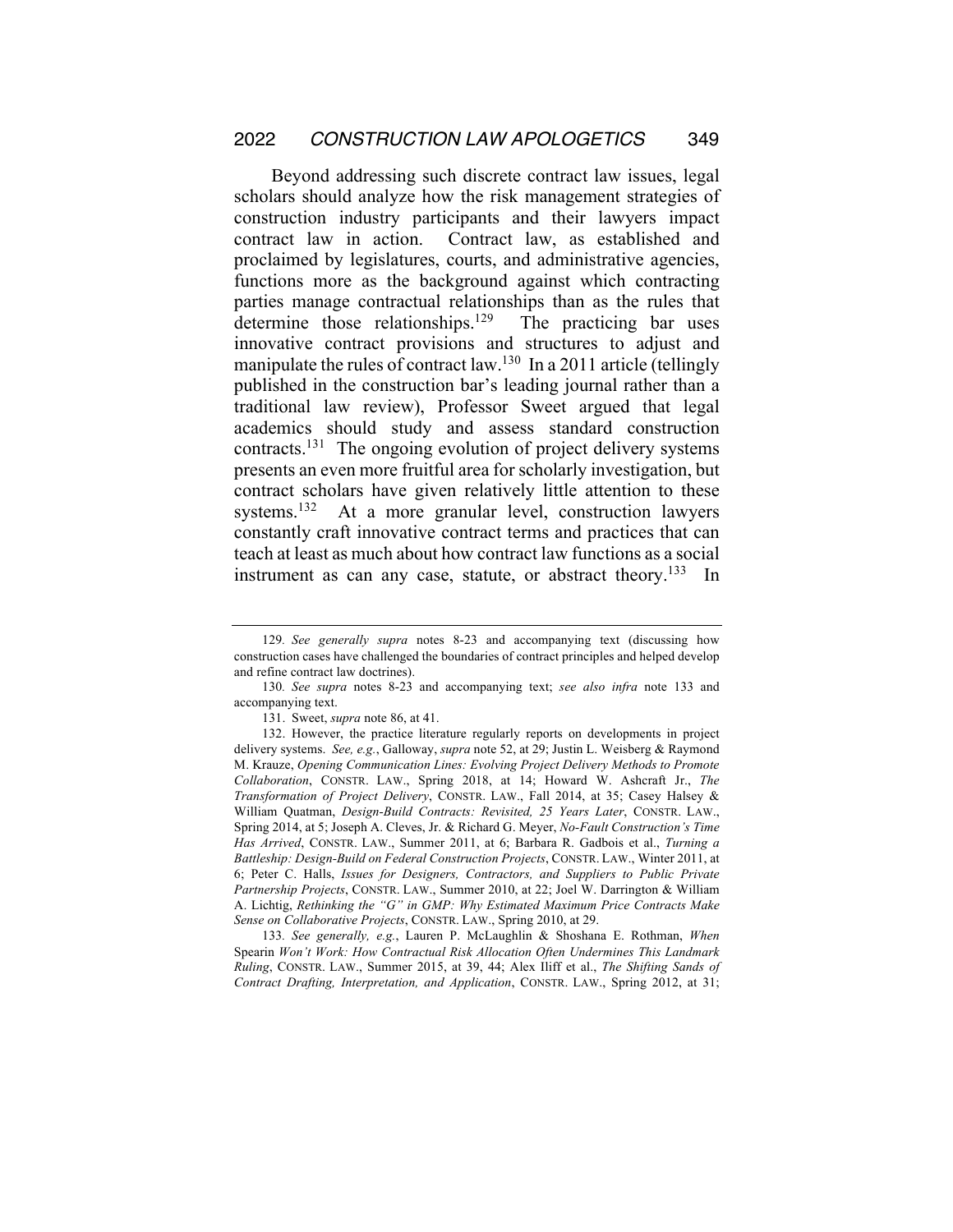Beyond addressing such discrete contract law issues, legal scholars should analyze how the risk management strategies of construction industry participants and their lawyers impact contract law in action. Contract law, as established and proclaimed by legislatures, courts, and administrative agencies, functions more as the background against which contracting parties manage contractual relationships than as the rules that determine those relationships.<sup>129</sup> The practicing bar uses innovative contract provisions and structures to adjust and manipulate the rules of contract law.<sup>130</sup> In a 2011 article (tellingly published in the construction bar's leading journal rather than a traditional law review), Professor Sweet argued that legal academics should study and assess standard construction contracts.131 The ongoing evolution of project delivery systems presents an even more fruitful area for scholarly investigation, but contract scholars have given relatively little attention to these systems.<sup>132</sup> At a more granular level, construction lawyers constantly craft innovative contract terms and practices that can teach at least as much about how contract law functions as a social instrument as can any case, statute, or abstract theory.<sup>133</sup> In

133*. See generally, e.g.*, Lauren P. McLaughlin & Shoshana E. Rothman, *When*  Spearin *Won't Work: How Contractual Risk Allocation Often Undermines This Landmark Ruling*, CONSTR. LAW., Summer 2015, at 39, 44; Alex Iliff et al., *The Shifting Sands of Contract Drafting, Interpretation, and Application*, CONSTR. LAW., Spring 2012, at 31;

<sup>129</sup>*. See generally supra* notes 8-23 and accompanying text (discussing how construction cases have challenged the boundaries of contract principles and helped develop and refine contract law doctrines).

<sup>130</sup>*. See supra* notes 8-23 and accompanying text; *see also infra* note 133 and accompanying text.

<sup>131.</sup> Sweet, *supra* note 86, at 41.

<sup>132.</sup> However, the practice literature regularly reports on developments in project delivery systems. *See, e.g.*, Galloway, *supra* note 52, at 29; Justin L. Weisberg & Raymond M. Krauze, *Opening Communication Lines: Evolving Project Delivery Methods to Promote Collaboration*, CONSTR. LAW., Spring 2018, at 14; Howard W. Ashcraft Jr., *The Transformation of Project Delivery*, CONSTR. LAW., Fall 2014, at 35; Casey Halsey & William Quatman, *Design-Build Contracts: Revisited, 25 Years Later*, CONSTR. LAW., Spring 2014, at 5; Joseph A. Cleves, Jr. & Richard G. Meyer, *No-Fault Construction's Time Has Arrived*, CONSTR. LAW., Summer 2011, at 6; Barbara R. Gadbois et al., *Turning a Battleship: Design-Build on Federal Construction Projects*, CONSTR. LAW., Winter 2011, at 6; Peter C. Halls, *Issues for Designers, Contractors, and Suppliers to Public Private Partnership Projects*, CONSTR. LAW., Summer 2010, at 22; Joel W. Darrington & William A. Lichtig, *Rethinking the "G" in GMP: Why Estimated Maximum Price Contracts Make Sense on Collaborative Projects*, CONSTR. LAW., Spring 2010, at 29.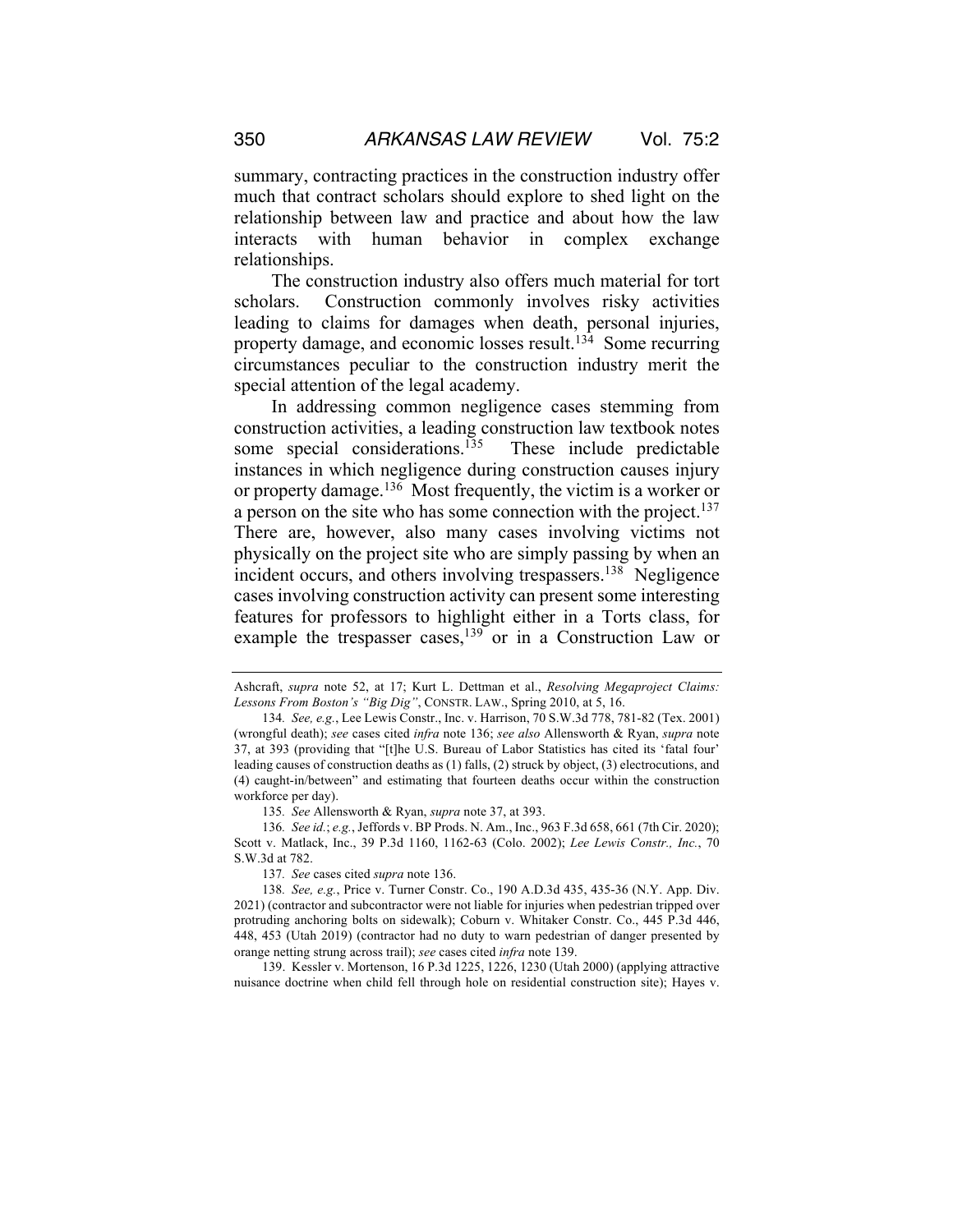summary, contracting practices in the construction industry offer much that contract scholars should explore to shed light on the relationship between law and practice and about how the law interacts with human behavior in complex exchange relationships.

The construction industry also offers much material for tort scholars. Construction commonly involves risky activities leading to claims for damages when death, personal injuries, property damage, and economic losses result.<sup>134</sup> Some recurring circumstances peculiar to the construction industry merit the special attention of the legal academy.

In addressing common negligence cases stemming from construction activities, a leading construction law textbook notes some special considerations.<sup>135</sup> These include predictable instances in which negligence during construction causes injury or property damage.<sup>136</sup> Most frequently, the victim is a worker or a person on the site who has some connection with the project.<sup>137</sup> There are, however, also many cases involving victims not physically on the project site who are simply passing by when an incident occurs, and others involving trespassers.<sup>138</sup> Negligence cases involving construction activity can present some interesting features for professors to highlight either in a Torts class, for example the trespasser cases,<sup>139</sup> or in a Construction Law or

135*. See* Allensworth & Ryan, *supra* note 37, at 393.

139. Kessler v. Mortenson, 16 P.3d 1225, 1226, 1230 (Utah 2000) (applying attractive nuisance doctrine when child fell through hole on residential construction site); Hayes v.

Ashcraft, *supra* note 52, at 17; Kurt L. Dettman et al., *Resolving Megaproject Claims: Lessons From Boston's "Big Dig"*, CONSTR. LAW., Spring 2010, at 5, 16.

<sup>134</sup>*. See, e.g.*, Lee Lewis Constr., Inc. v. Harrison, 70 S.W.3d 778, 781-82 (Tex. 2001) (wrongful death); *see* cases cited *infra* note 136; *see also* Allensworth & Ryan, *supra* note 37, at 393 (providing that "[t]he U.S. Bureau of Labor Statistics has cited its 'fatal four' leading causes of construction deaths as (1) falls, (2) struck by object, (3) electrocutions, and (4) caught-in/between" and estimating that fourteen deaths occur within the construction workforce per day).

<sup>136</sup>*. See id.*; *e.g.*, Jeffords v. BP Prods. N. Am., Inc., 963 F.3d 658, 661 (7th Cir. 2020); Scott v. Matlack, Inc., 39 P.3d 1160, 1162-63 (Colo. 2002); *Lee Lewis Constr., Inc.*, 70 S.W.3d at 782.

<sup>137</sup>*. See* cases cited *supra* note 136.

<sup>138</sup>*. See, e.g.*, Price v. Turner Constr. Co., 190 A.D.3d 435, 435-36 (N.Y. App. Div. 2021) (contractor and subcontractor were not liable for injuries when pedestrian tripped over protruding anchoring bolts on sidewalk); Coburn v. Whitaker Constr. Co., 445 P.3d 446, 448, 453 (Utah 2019) (contractor had no duty to warn pedestrian of danger presented by orange netting strung across trail); *see* cases cited *infra* note 139.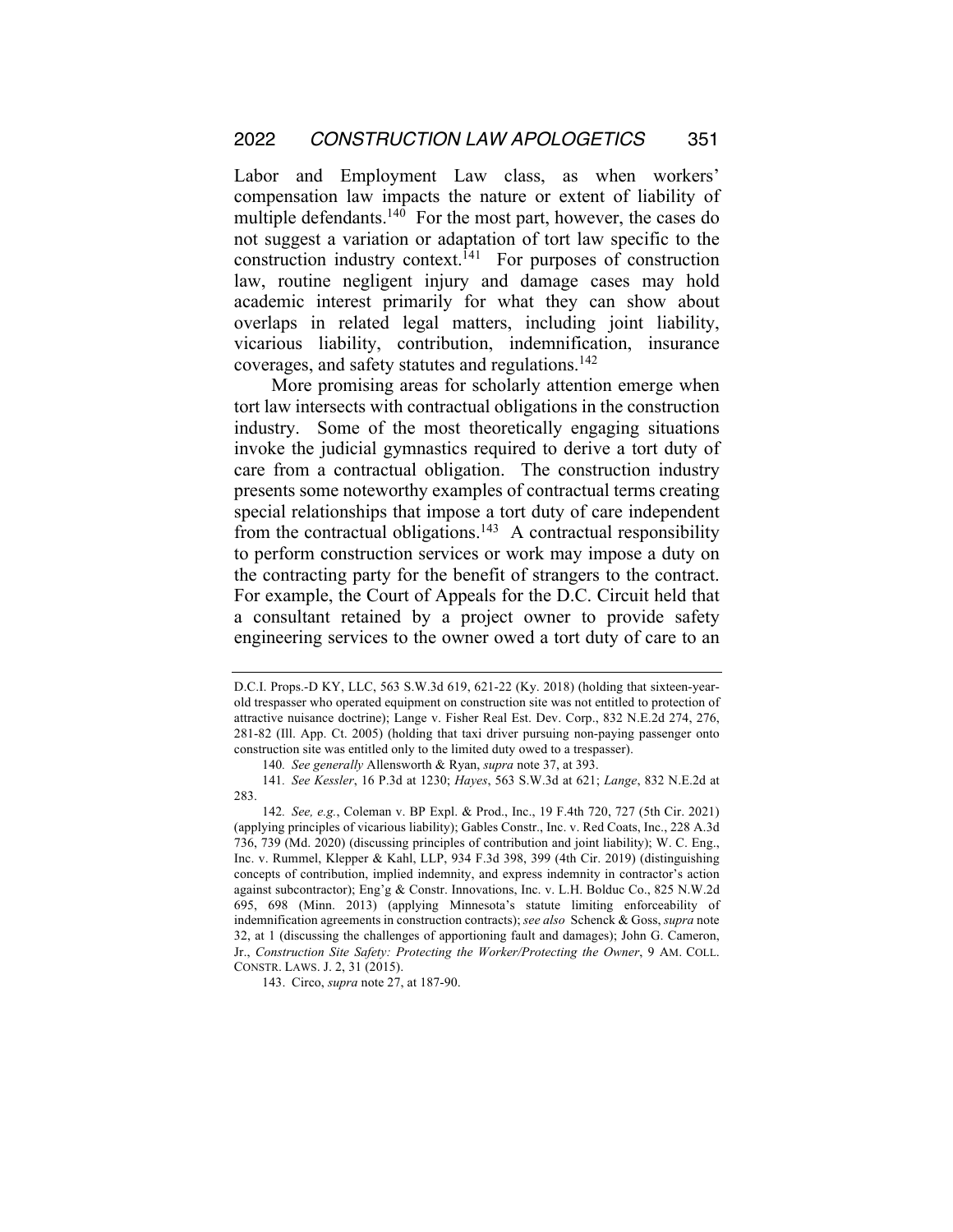Labor and Employment Law class, as when workers' compensation law impacts the nature or extent of liability of multiple defendants.<sup>140</sup> For the most part, however, the cases do not suggest a variation or adaptation of tort law specific to the construction industry context.<sup>141</sup> For purposes of construction law, routine negligent injury and damage cases may hold academic interest primarily for what they can show about overlaps in related legal matters, including joint liability, vicarious liability, contribution, indemnification, insurance coverages, and safety statutes and regulations.142

More promising areas for scholarly attention emerge when tort law intersects with contractual obligations in the construction industry. Some of the most theoretically engaging situations invoke the judicial gymnastics required to derive a tort duty of care from a contractual obligation. The construction industry presents some noteworthy examples of contractual terms creating special relationships that impose a tort duty of care independent from the contractual obligations.<sup>143</sup> A contractual responsibility to perform construction services or work may impose a duty on the contracting party for the benefit of strangers to the contract. For example, the Court of Appeals for the D.C. Circuit held that a consultant retained by a project owner to provide safety engineering services to the owner owed a tort duty of care to an

D.C.I. Props.-D KY, LLC, 563 S.W.3d 619, 621-22 (Ky. 2018) (holding that sixteen-yearold trespasser who operated equipment on construction site was not entitled to protection of attractive nuisance doctrine); Lange v. Fisher Real Est. Dev. Corp., 832 N.E.2d 274, 276, 281-82 (Ill. App. Ct. 2005) (holding that taxi driver pursuing non-paying passenger onto construction site was entitled only to the limited duty owed to a trespasser).

<sup>140</sup>*. See generally* Allensworth & Ryan, *supra* note 37, at 393.

<sup>141</sup>*. See Kessler*, 16 P.3d at 1230; *Hayes*, 563 S.W.3d at 621; *Lange*, 832 N.E.2d at 283.

<sup>142</sup>*. See, e.g.*, Coleman v. BP Expl. & Prod., Inc., 19 F.4th 720, 727 (5th Cir. 2021) (applying principles of vicarious liability); Gables Constr., Inc. v. Red Coats, Inc., 228 A.3d 736, 739 (Md. 2020) (discussing principles of contribution and joint liability); W. C. Eng., Inc. v. Rummel, Klepper & Kahl, LLP, 934 F.3d 398, 399 (4th Cir. 2019) (distinguishing concepts of contribution, implied indemnity, and express indemnity in contractor's action against subcontractor); Eng'g & Constr. Innovations, Inc. v. L.H. Bolduc Co., 825 N.W.2d 695, 698 (Minn. 2013) (applying Minnesota's statute limiting enforceability of indemnification agreements in construction contracts); *see also* Schenck & Goss, *supra* note 32, at 1 (discussing the challenges of apportioning fault and damages); John G. Cameron, Jr., *Construction Site Safety: Protecting the Worker/Protecting the Owner*, 9 AM. COLL. CONSTR. LAWS. J. 2, 31 (2015).

<sup>143.</sup> Circo, *supra* note 27, at 187-90.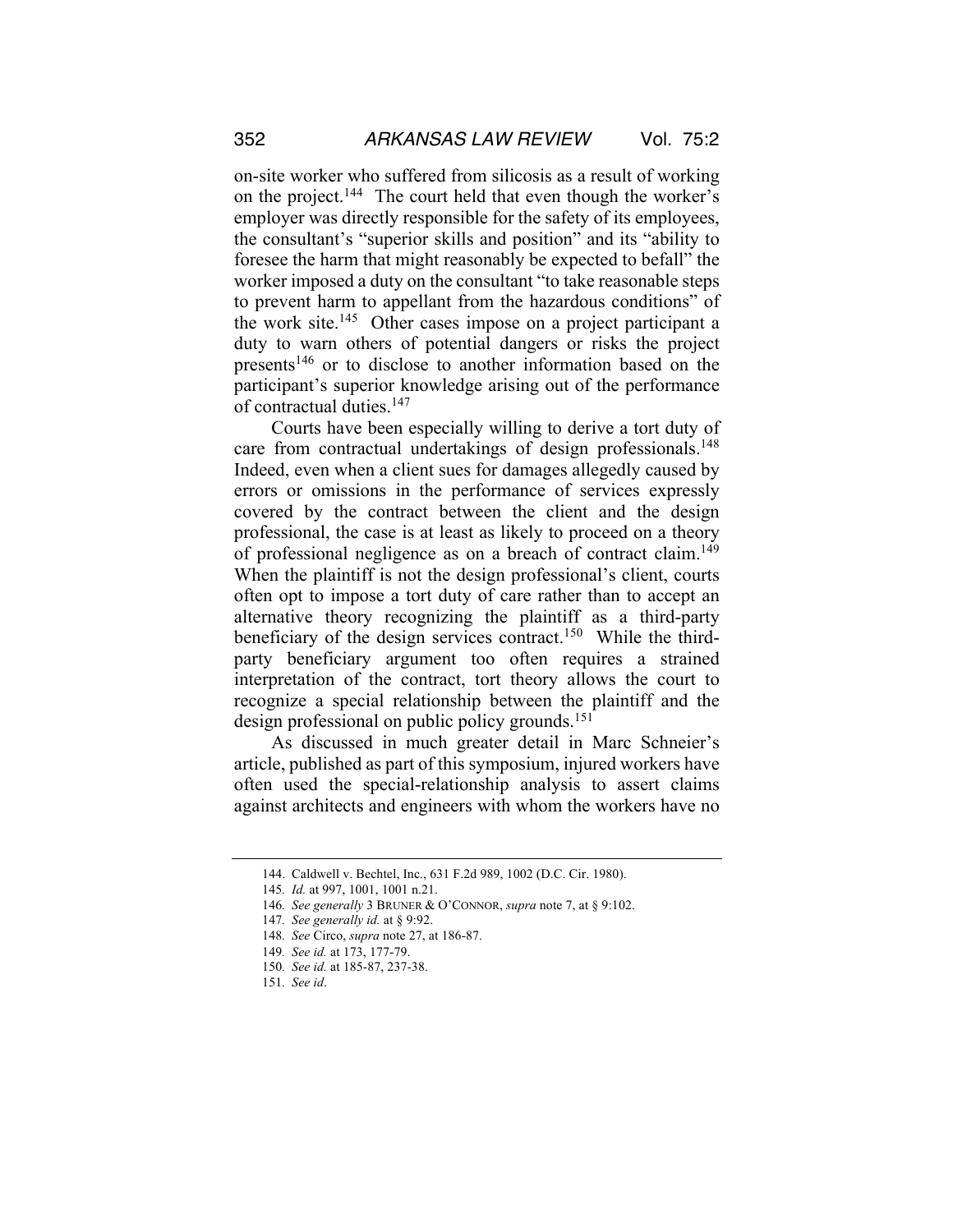on-site worker who suffered from silicosis as a result of working on the project.<sup>144</sup> The court held that even though the worker's employer was directly responsible for the safety of its employees, the consultant's "superior skills and position" and its "ability to foresee the harm that might reasonably be expected to befall" the worker imposed a duty on the consultant "to take reasonable steps to prevent harm to appellant from the hazardous conditions" of the work site.<sup>145</sup> Other cases impose on a project participant a duty to warn others of potential dangers or risks the project presents<sup>146</sup> or to disclose to another information based on the participant's superior knowledge arising out of the performance of contractual duties.147

Courts have been especially willing to derive a tort duty of care from contractual undertakings of design professionals.<sup>148</sup> Indeed, even when a client sues for damages allegedly caused by errors or omissions in the performance of services expressly covered by the contract between the client and the design professional, the case is at least as likely to proceed on a theory of professional negligence as on a breach of contract claim.<sup>149</sup> When the plaintiff is not the design professional's client, courts often opt to impose a tort duty of care rather than to accept an alternative theory recognizing the plaintiff as a third-party beneficiary of the design services contract.<sup>150</sup> While the thirdparty beneficiary argument too often requires a strained interpretation of the contract, tort theory allows the court to recognize a special relationship between the plaintiff and the design professional on public policy grounds.<sup>151</sup>

As discussed in much greater detail in Marc Schneier's article, published as part of this symposium, injured workers have often used the special-relationship analysis to assert claims against architects and engineers with whom the workers have no

<sup>144.</sup> Caldwell v. Bechtel, Inc., 631 F.2d 989, 1002 (D.C. Cir. 1980).

<sup>145</sup>*. Id.* at 997, 1001, 1001 n.21.

<sup>146</sup>*. See generally* 3 BRUNER & O'CONNOR, *supra* note 7, at § 9:102.

<sup>147</sup>*. See generally id.* at § 9:92.

<sup>148</sup>*. See* Circo, *supra* note 27, at 186-87.

<sup>149</sup>*. See id.* at 173, 177-79.

<sup>150</sup>*. See id.* at 185-87, 237-38.

<sup>151</sup>*. See id*.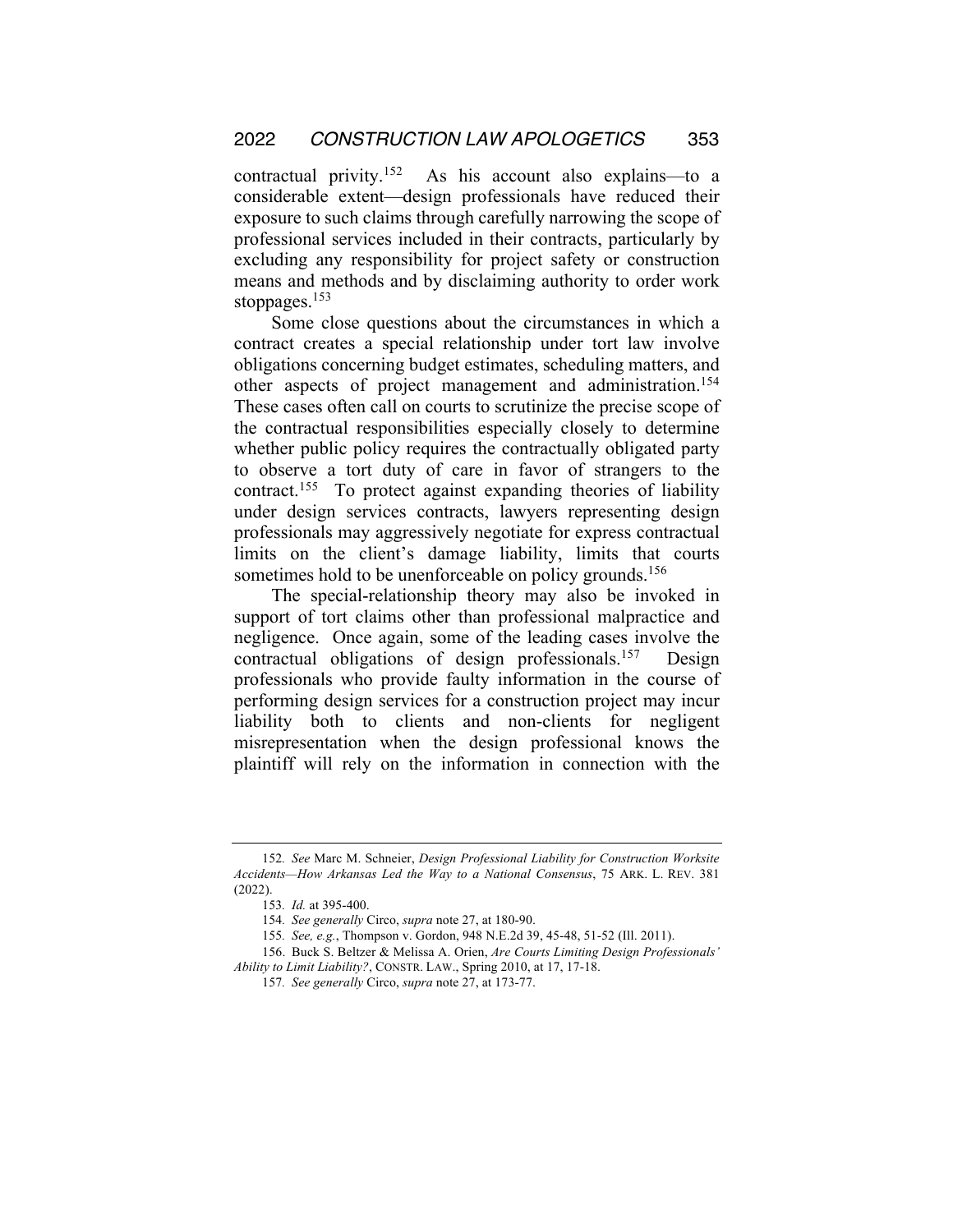contractual privity.152 As his account also explains—to a considerable extent—design professionals have reduced their exposure to such claims through carefully narrowing the scope of professional services included in their contracts, particularly by excluding any responsibility for project safety or construction means and methods and by disclaiming authority to order work stoppages.<sup>153</sup>

Some close questions about the circumstances in which a contract creates a special relationship under tort law involve obligations concerning budget estimates, scheduling matters, and other aspects of project management and administration.154 These cases often call on courts to scrutinize the precise scope of the contractual responsibilities especially closely to determine whether public policy requires the contractually obligated party to observe a tort duty of care in favor of strangers to the contract.155 To protect against expanding theories of liability under design services contracts, lawyers representing design professionals may aggressively negotiate for express contractual limits on the client's damage liability, limits that courts sometimes hold to be unenforceable on policy grounds.<sup>156</sup>

The special-relationship theory may also be invoked in support of tort claims other than professional malpractice and negligence. Once again, some of the leading cases involve the contractual obligations of design professionals.157 Design professionals who provide faulty information in the course of performing design services for a construction project may incur liability both to clients and non-clients for negligent misrepresentation when the design professional knows the plaintiff will rely on the information in connection with the

<sup>152</sup>*. See* Marc M. Schneier, *Design Professional Liability for Construction Worksite Accidents—How Arkansas Led the Way to a National Consensus*, 75 ARK. L. REV. 381 (2022).

<sup>153</sup>*. Id.* at 395-400.

<sup>154</sup>*. See generally* Circo, *supra* note 27, at 180-90.

<sup>155</sup>*. See, e.g.*, Thompson v. Gordon, 948 N.E.2d 39, 45-48, 51-52 (Ill. 2011).

<sup>156.</sup> Buck S. Beltzer & Melissa A. Orien, *Are Courts Limiting Design Professionals' Ability to Limit Liability?*, CONSTR. LAW., Spring 2010, at 17, 17-18.

<sup>157</sup>*. See generally* Circo, *supra* note 27, at 173-77.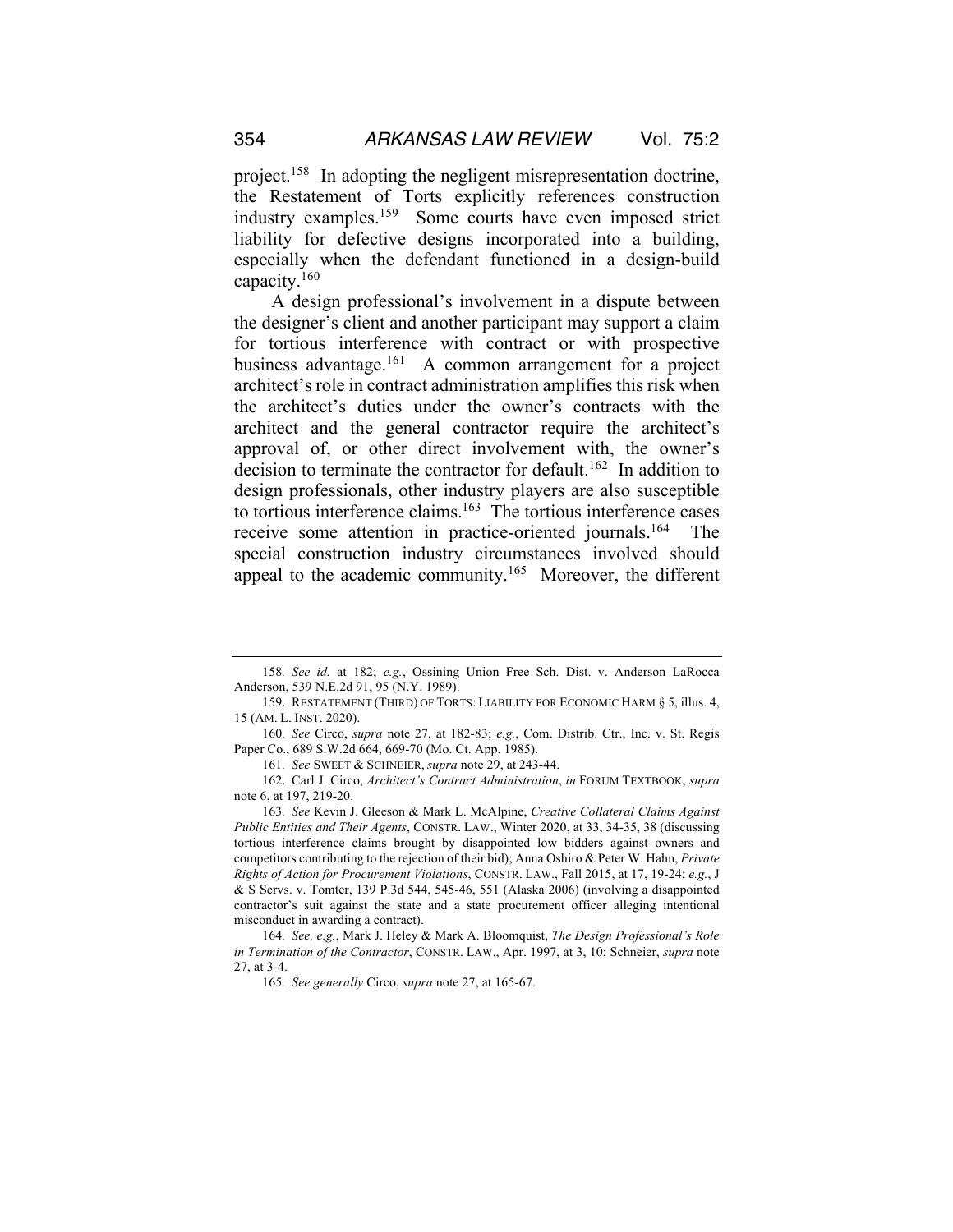project.158 In adopting the negligent misrepresentation doctrine, the Restatement of Torts explicitly references construction industry examples.159 Some courts have even imposed strict liability for defective designs incorporated into a building, especially when the defendant functioned in a design-build capacity.160

A design professional's involvement in a dispute between the designer's client and another participant may support a claim for tortious interference with contract or with prospective business advantage.161 A common arrangement for a project architect's role in contract administration amplifies this risk when the architect's duties under the owner's contracts with the architect and the general contractor require the architect's approval of, or other direct involvement with, the owner's decision to terminate the contractor for default.<sup>162</sup> In addition to design professionals, other industry players are also susceptible to tortious interference claims.<sup>163</sup> The tortious interference cases receive some attention in practice-oriented journals.164 The special construction industry circumstances involved should appeal to the academic community.<sup>165</sup> Moreover, the different

161*. See* SWEET & SCHNEIER, *supra* note 29, at 243-44.

<sup>158</sup>*. See id.* at 182; *e.g.*, Ossining Union Free Sch. Dist. v. Anderson LaRocca Anderson, 539 N.E.2d 91, 95 (N.Y. 1989).

<sup>159.</sup> RESTATEMENT (THIRD) OF TORTS: LIABILITY FOR ECONOMIC HARM § 5, illus. 4, 15 (AM. L. INST. 2020).

<sup>160</sup>*. See* Circo, *supra* note 27, at 182-83; *e.g.*, Com. Distrib. Ctr., Inc. v. St. Regis Paper Co., 689 S.W.2d 664, 669-70 (Mo. Ct. App. 1985).

<sup>162.</sup> Carl J. Circo, *Architect's Contract Administration*, *in* FORUM TEXTBOOK, *supra*  note 6, at 197, 219-20.

<sup>163</sup>*. See* Kevin J. Gleeson & Mark L. McAlpine, *Creative Collateral Claims Against Public Entities and Their Agents*, CONSTR. LAW., Winter 2020, at 33, 34-35, 38 (discussing tortious interference claims brought by disappointed low bidders against owners and competitors contributing to the rejection of their bid); Anna Oshiro & Peter W. Hahn, *Private Rights of Action for Procurement Violations*, CONSTR. LAW., Fall 2015, at 17, 19-24; *e.g.*, J & S Servs. v. Tomter, 139 P.3d 544, 545-46, 551 (Alaska 2006) (involving a disappointed contractor's suit against the state and a state procurement officer alleging intentional misconduct in awarding a contract).

<sup>164</sup>*. See, e.g.*, Mark J. Heley & Mark A. Bloomquist, *The Design Professional's Role in Termination of the Contractor*, CONSTR. LAW., Apr. 1997, at 3, 10; Schneier, *supra* note 27, at 3-4.

<sup>165</sup>*. See generally* Circo, *supra* note 27, at 165-67.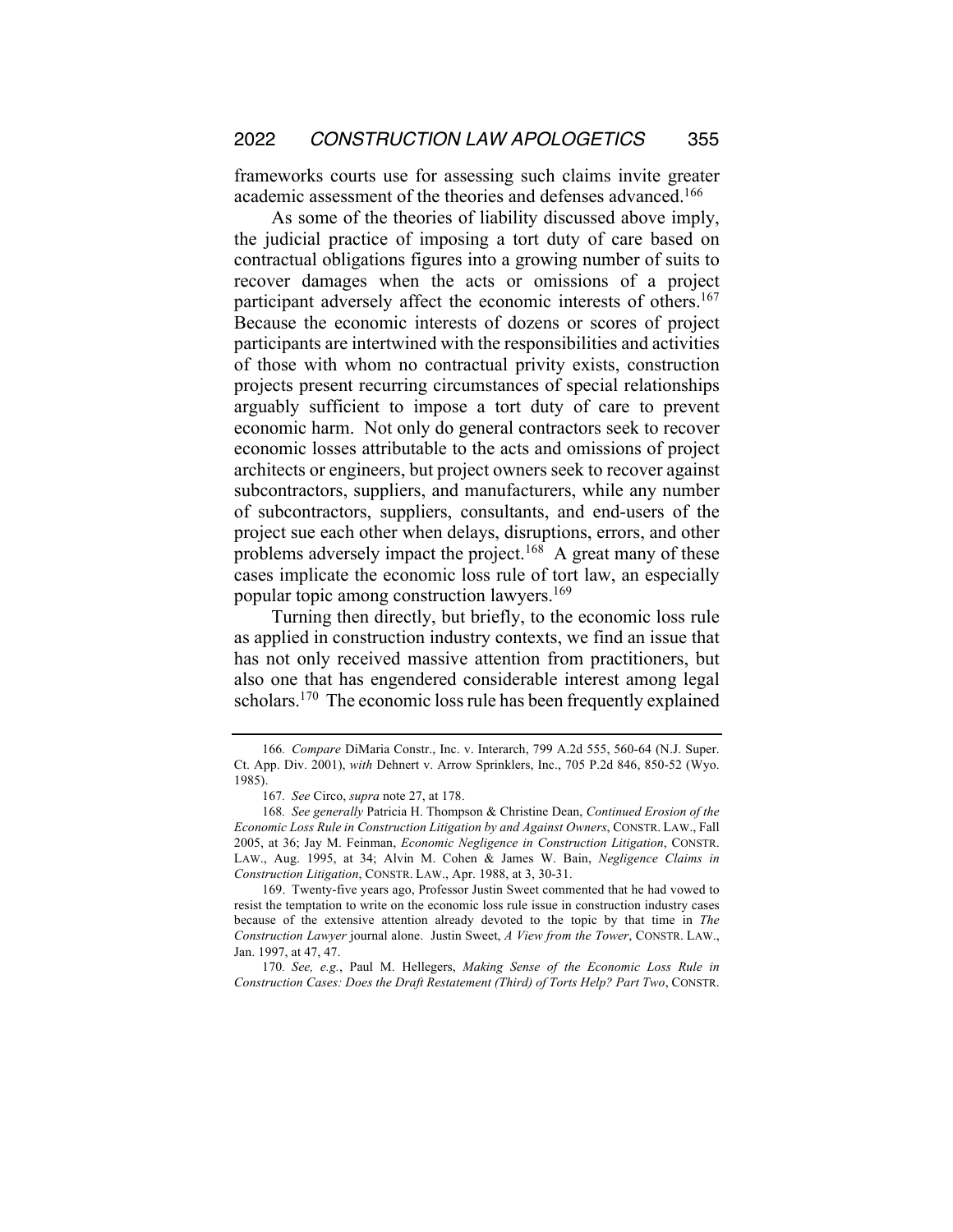frameworks courts use for assessing such claims invite greater academic assessment of the theories and defenses advanced.<sup>166</sup>

As some of the theories of liability discussed above imply, the judicial practice of imposing a tort duty of care based on contractual obligations figures into a growing number of suits to recover damages when the acts or omissions of a project participant adversely affect the economic interests of others.<sup>167</sup> Because the economic interests of dozens or scores of project participants are intertwined with the responsibilities and activities of those with whom no contractual privity exists, construction projects present recurring circumstances of special relationships arguably sufficient to impose a tort duty of care to prevent economic harm. Not only do general contractors seek to recover economic losses attributable to the acts and omissions of project architects or engineers, but project owners seek to recover against subcontractors, suppliers, and manufacturers, while any number of subcontractors, suppliers, consultants, and end-users of the project sue each other when delays, disruptions, errors, and other problems adversely impact the project.<sup>168</sup> A great many of these cases implicate the economic loss rule of tort law, an especially popular topic among construction lawyers.169

Turning then directly, but briefly, to the economic loss rule as applied in construction industry contexts, we find an issue that has not only received massive attention from practitioners, but also one that has engendered considerable interest among legal scholars.<sup>170</sup> The economic loss rule has been frequently explained

170*. See, e.g.*, Paul M. Hellegers, *Making Sense of the Economic Loss Rule in Construction Cases: Does the Draft Restatement (Third) of Torts Help? Part Two*, CONSTR.

<sup>166</sup>*. Compare* DiMaria Constr., Inc. v. Interarch, 799 A.2d 555, 560-64 (N.J. Super. Ct. App. Div. 2001), *with* Dehnert v. Arrow Sprinklers, Inc., 705 P.2d 846, 850-52 (Wyo. 1985).

<sup>167</sup>*. See* Circo, *supra* note 27, at 178.

<sup>168</sup>*. See generally* Patricia H. Thompson & Christine Dean, *Continued Erosion of the Economic Loss Rule in Construction Litigation by and Against Owners*, CONSTR. LAW., Fall 2005, at 36; Jay M. Feinman, *Economic Negligence in Construction Litigation*, CONSTR. LAW., Aug. 1995, at 34; Alvin M. Cohen & James W. Bain, *Negligence Claims in Construction Litigation*, CONSTR. LAW., Apr. 1988, at 3, 30-31.

<sup>169.</sup> Twenty-five years ago, Professor Justin Sweet commented that he had vowed to resist the temptation to write on the economic loss rule issue in construction industry cases because of the extensive attention already devoted to the topic by that time in *The Construction Lawyer* journal alone. Justin Sweet, *A View from the Tower*, CONSTR. LAW., Jan. 1997, at 47, 47.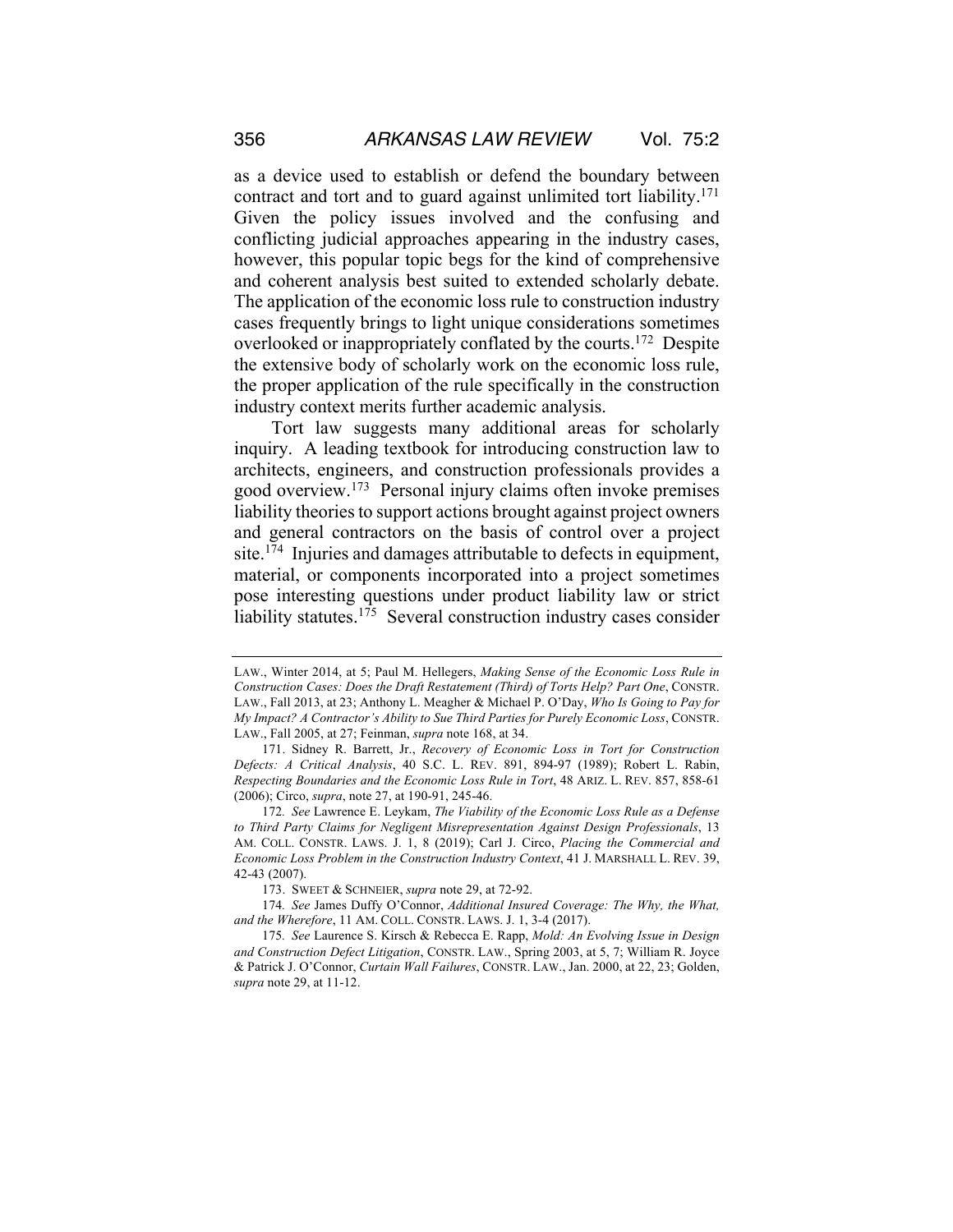as a device used to establish or defend the boundary between contract and tort and to guard against unlimited tort liability.<sup>171</sup> Given the policy issues involved and the confusing and conflicting judicial approaches appearing in the industry cases, however, this popular topic begs for the kind of comprehensive and coherent analysis best suited to extended scholarly debate. The application of the economic loss rule to construction industry cases frequently brings to light unique considerations sometimes overlooked or inappropriately conflated by the courts.172 Despite the extensive body of scholarly work on the economic loss rule, the proper application of the rule specifically in the construction industry context merits further academic analysis.

Tort law suggests many additional areas for scholarly inquiry. A leading textbook for introducing construction law to architects, engineers, and construction professionals provides a good overview.173 Personal injury claims often invoke premises liability theories to support actions brought against project owners and general contractors on the basis of control over a project site.<sup>174</sup> Injuries and damages attributable to defects in equipment, material, or components incorporated into a project sometimes pose interesting questions under product liability law or strict liability statutes.<sup>175</sup> Several construction industry cases consider

LAW., Winter 2014, at 5; Paul M. Hellegers, *Making Sense of the Economic Loss Rule in Construction Cases: Does the Draft Restatement (Third) of Torts Help? Part One*, CONSTR. LAW., Fall 2013, at 23; Anthony L. Meagher & Michael P. O'Day, *Who Is Going to Pay for My Impact? A Contractor's Ability to Sue Third Parties for Purely Economic Loss*, CONSTR. LAW., Fall 2005, at 27; Feinman, *supra* note 168, at 34.

<sup>171.</sup> Sidney R. Barrett, Jr., *Recovery of Economic Loss in Tort for Construction Defects: A Critical Analysis*, 40 S.C. L. REV. 891, 894-97 (1989); Robert L. Rabin, *Respecting Boundaries and the Economic Loss Rule in Tort*, 48 ARIZ. L. REV. 857, 858-61 (2006); Circo, *supra*, note 27, at 190-91, 245-46.

<sup>172</sup>*. See* Lawrence E. Leykam, *The Viability of the Economic Loss Rule as a Defense to Third Party Claims for Negligent Misrepresentation Against Design Professionals*, 13 AM. COLL. CONSTR. LAWS. J. 1, 8 (2019); Carl J. Circo, *Placing the Commercial and Economic Loss Problem in the Construction Industry Context*, 41 J. MARSHALL L. REV. 39, 42-43 (2007).

<sup>173.</sup> SWEET & SCHNEIER, *supra* note 29, at 72-92.

<sup>174</sup>*. See* James Duffy O'Connor, *Additional Insured Coverage: The Why, the What, and the Wherefore*, 11 AM. COLL. CONSTR. LAWS. J. 1, 3-4 (2017).

<sup>175</sup>*. See* Laurence S. Kirsch & Rebecca E. Rapp, *Mold: An Evolving Issue in Design and Construction Defect Litigation*, CONSTR. LAW., Spring 2003, at 5, 7; William R. Joyce & Patrick J. O'Connor, *Curtain Wall Failures*, CONSTR. LAW., Jan. 2000, at 22, 23; Golden, *supra* note 29, at 11-12.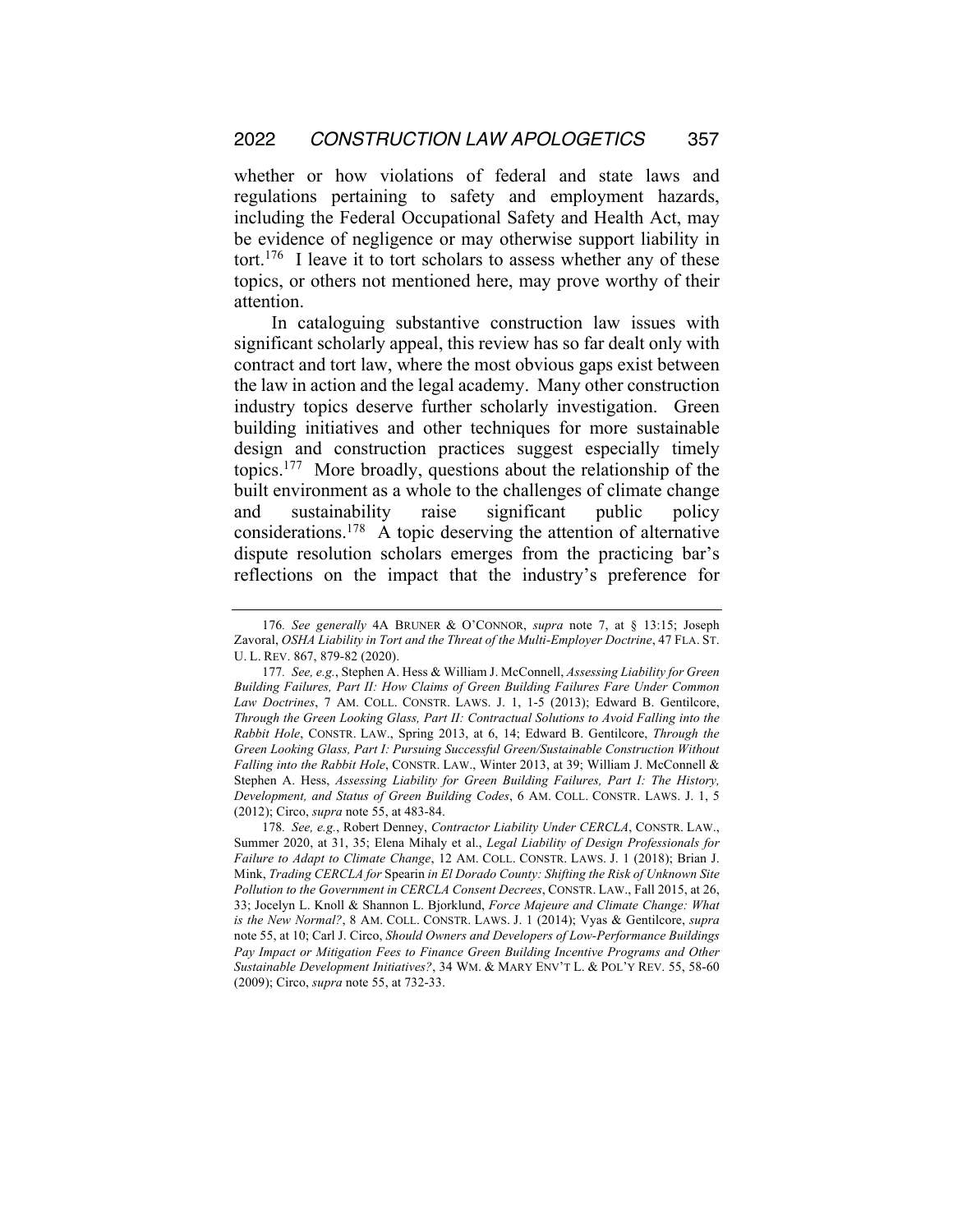whether or how violations of federal and state laws and regulations pertaining to safety and employment hazards, including the Federal Occupational Safety and Health Act, may be evidence of negligence or may otherwise support liability in tort.<sup>176</sup> I leave it to tort scholars to assess whether any of these topics, or others not mentioned here, may prove worthy of their attention.

In cataloguing substantive construction law issues with significant scholarly appeal, this review has so far dealt only with contract and tort law, where the most obvious gaps exist between the law in action and the legal academy. Many other construction industry topics deserve further scholarly investigation. Green building initiatives and other techniques for more sustainable design and construction practices suggest especially timely topics.177 More broadly, questions about the relationship of the built environment as a whole to the challenges of climate change and sustainability raise significant public policy considerations.178 A topic deserving the attention of alternative dispute resolution scholars emerges from the practicing bar's reflections on the impact that the industry's preference for

<sup>176</sup>*. See generally* 4A BRUNER & O'CONNOR, *supra* note 7, at § 13:15; Joseph Zavoral, *OSHA Liability in Tort and the Threat of the Multi-Employer Doctrine*, 47 FLA. ST. U. L. REV. 867, 879-82 (2020).

<sup>177</sup>*. See, e.g.*, Stephen A. Hess & William J. McConnell, *Assessing Liability for Green Building Failures, Part II: How Claims of Green Building Failures Fare Under Common Law Doctrines*, 7 AM. COLL. CONSTR. LAWS. J. 1, 1-5 (2013); Edward B. Gentilcore, *Through the Green Looking Glass, Part II: Contractual Solutions to Avoid Falling into the Rabbit Hole*, CONSTR. LAW., Spring 2013, at 6, 14; Edward B. Gentilcore, *Through the Green Looking Glass, Part I: Pursuing Successful Green/Sustainable Construction Without Falling into the Rabbit Hole*, CONSTR. LAW., Winter 2013, at 39; William J. McConnell & Stephen A. Hess, *Assessing Liability for Green Building Failures, Part I: The History, Development, and Status of Green Building Codes*, 6 AM. COLL. CONSTR. LAWS. J. 1, 5 (2012); Circo, *supra* note 55, at 483-84.

<sup>178</sup>*. See, e.g.*, Robert Denney, *Contractor Liability Under CERCLA*, CONSTR. LAW., Summer 2020, at 31, 35; Elena Mihaly et al., *Legal Liability of Design Professionals for Failure to Adapt to Climate Change*, 12 AM. COLL. CONSTR. LAWS. J. 1 (2018); Brian J. Mink, *Trading CERCLA for* Spearin *in El Dorado County: Shifting the Risk of Unknown Site Pollution to the Government in CERCLA Consent Decrees*, CONSTR. LAW., Fall 2015, at 26, 33; Jocelyn L. Knoll & Shannon L. Bjorklund, *Force Majeure and Climate Change: What is the New Normal?*, 8 AM. COLL. CONSTR. LAWS. J. 1 (2014); Vyas & Gentilcore, *supra* note 55, at 10; Carl J. Circo, *Should Owners and Developers of Low-Performance Buildings Pay Impact or Mitigation Fees to Finance Green Building Incentive Programs and Other Sustainable Development Initiatives?*, 34 WM. & MARY ENV'T L. & POL'Y REV. 55, 58-60 (2009); Circo, *supra* note 55, at 732-33.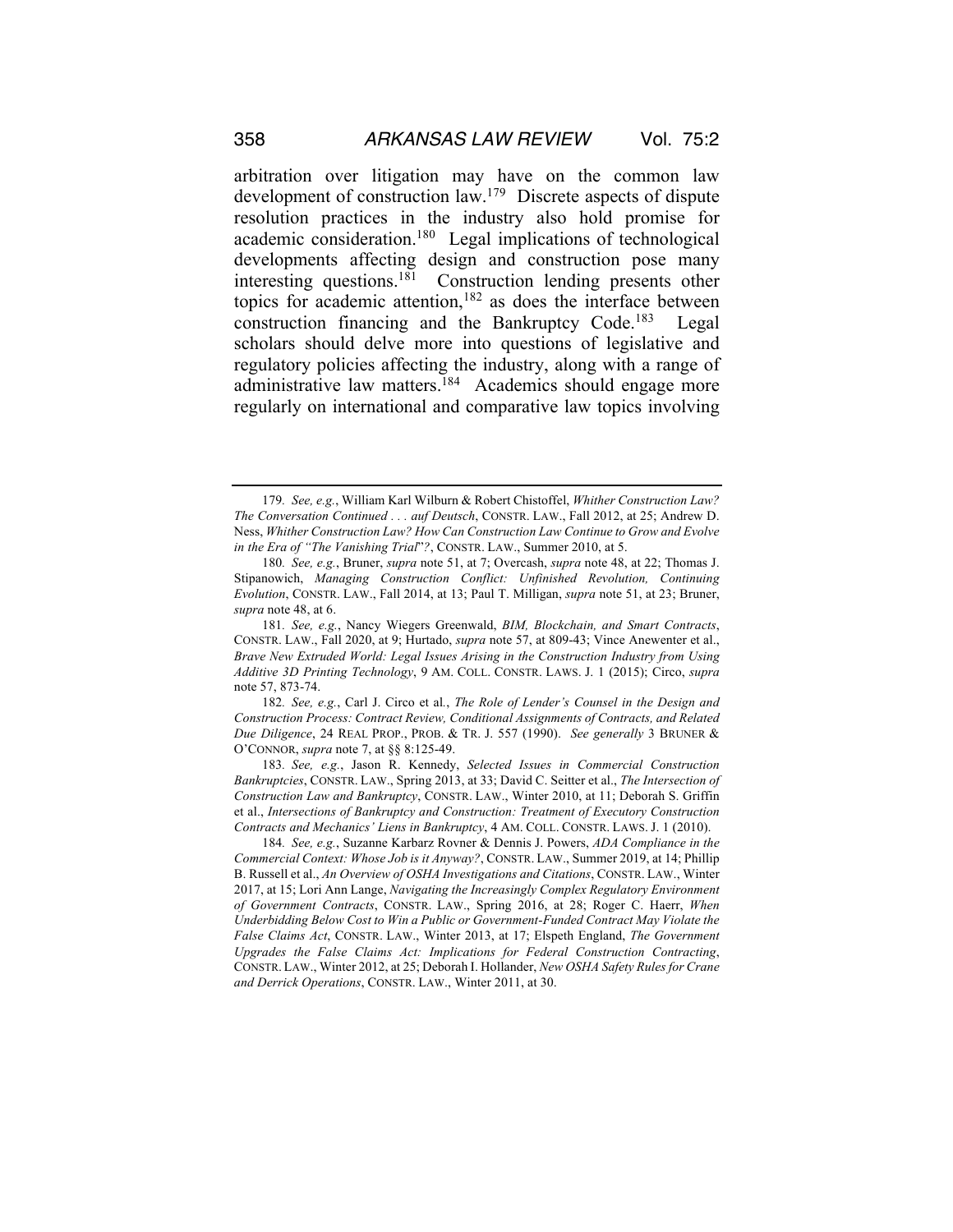arbitration over litigation may have on the common law development of construction law.179 Discrete aspects of dispute resolution practices in the industry also hold promise for academic consideration.180 Legal implications of technological developments affecting design and construction pose many interesting questions.181 Construction lending presents other topics for academic attention, $182$  as does the interface between construction financing and the Bankruptcy Code.183 Legal scholars should delve more into questions of legislative and regulatory policies affecting the industry, along with a range of administrative law matters.<sup>184</sup> Academics should engage more regularly on international and comparative law topics involving

<sup>179</sup>*. See, e.g.*, William Karl Wilburn & Robert Chistoffel, *Whither Construction Law? The Conversation Continued . . . auf Deutsch*, CONSTR. LAW., Fall 2012, at 25; Andrew D. Ness, *Whither Construction Law? How Can Construction Law Continue to Grow and Evolve in the Era of "The Vanishing Trial*"*?*, CONSTR. LAW., Summer 2010, at 5.

<sup>180</sup>*. See, e.g.*, Bruner, *supra* note 51, at 7; Overcash, *supra* note 48, at 22; Thomas J. Stipanowich, *Managing Construction Conflict: Unfinished Revolution, Continuing Evolution*, CONSTR. LAW., Fall 2014, at 13; Paul T. Milligan, *supra* note 51, at 23; Bruner, *supra* note 48, at 6.

<sup>181</sup>*. See, e.g.*, Nancy Wiegers Greenwald, *BIM, Blockchain, and Smart Contracts*, CONSTR. LAW., Fall 2020, at 9; Hurtado, *supra* note 57, at 809-43; Vince Anewenter et al., *Brave New Extruded World: Legal Issues Arising in the Construction Industry from Using Additive 3D Printing Technology*, 9 AM. COLL. CONSTR. LAWS. J. 1 (2015); Circo, *supra*  note 57, 873-74.

<sup>182</sup>*. See, e.g.*, Carl J. Circo et al*.*, *The Role of Lender's Counsel in the Design and Construction Process: Contract Review, Conditional Assignments of Contracts, and Related Due Diligence*, 24 REAL PROP., PROB. & TR. J. 557 (1990). *See generally* 3 BRUNER & O'CONNOR, *supra* note 7, at §§ 8:125-49.

<sup>183</sup>*. See, e.g.*, Jason R. Kennedy, *Selected Issues in Commercial Construction Bankruptcies*, CONSTR. LAW., Spring 2013, at 33; David C. Seitter et al., *The Intersection of Construction Law and Bankruptcy*, CONSTR. LAW., Winter 2010, at 11; Deborah S. Griffin et al., *Intersections of Bankruptcy and Construction: Treatment of Executory Construction Contracts and Mechanics' Liens in Bankruptcy*, 4 AM. COLL. CONSTR. LAWS. J. 1 (2010).

<sup>184</sup>*. See, e.g.*, Suzanne Karbarz Rovner & Dennis J. Powers, *ADA Compliance in the Commercial Context: Whose Job is it Anyway?*, CONSTR. LAW., Summer 2019, at 14; Phillip B. Russell et al., *An Overview of OSHA Investigations and Citations*, CONSTR. LAW., Winter 2017, at 15; Lori Ann Lange, *Navigating the Increasingly Complex Regulatory Environment of Government Contracts*, CONSTR. LAW., Spring 2016, at 28; Roger C. Haerr, *When Underbidding Below Cost to Win a Public or Government-Funded Contract May Violate the False Claims Act*, CONSTR. LAW., Winter 2013, at 17; Elspeth England, *The Government Upgrades the False Claims Act: Implications for Federal Construction Contracting*, CONSTR. LAW., Winter 2012, at 25; Deborah I. Hollander, *New OSHA Safety Rules for Crane and Derrick Operations*, CONSTR. LAW., Winter 2011, at 30.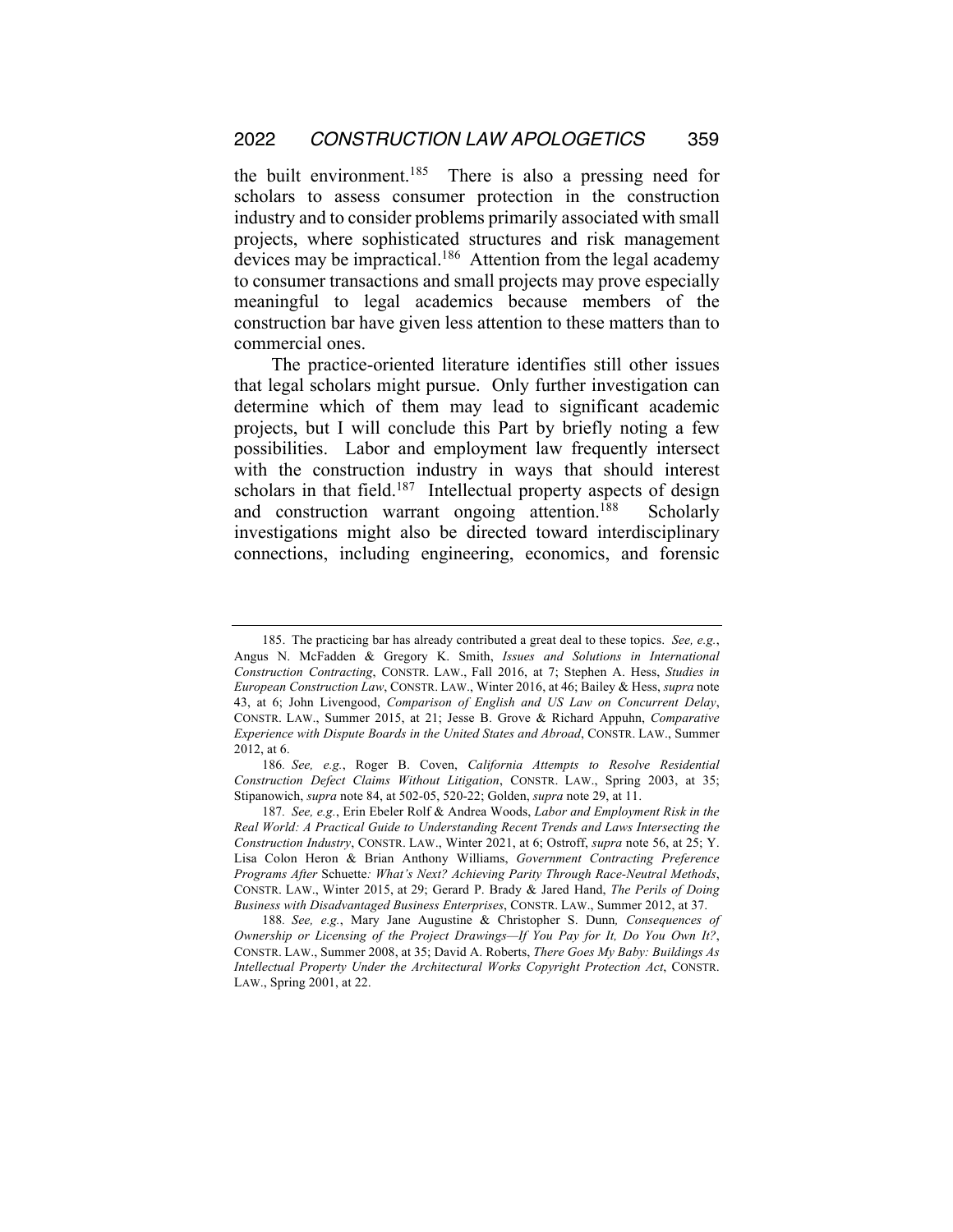the built environment.185 There is also a pressing need for scholars to assess consumer protection in the construction industry and to consider problems primarily associated with small projects, where sophisticated structures and risk management devices may be impractical.<sup>186</sup> Attention from the legal academy to consumer transactions and small projects may prove especially meaningful to legal academics because members of the construction bar have given less attention to these matters than to commercial ones.

The practice-oriented literature identifies still other issues that legal scholars might pursue. Only further investigation can determine which of them may lead to significant academic projects, but I will conclude this Part by briefly noting a few possibilities. Labor and employment law frequently intersect with the construction industry in ways that should interest scholars in that field.<sup>187</sup> Intellectual property aspects of design and construction warrant ongoing attention.<sup>188</sup> Scholarly investigations might also be directed toward interdisciplinary connections, including engineering, economics, and forensic

<sup>185.</sup> The practicing bar has already contributed a great deal to these topics. *See, e.g.*, Angus N. McFadden & Gregory K. Smith, *Issues and Solutions in International Construction Contracting*, CONSTR. LAW., Fall 2016, at 7; Stephen A. Hess, *Studies in European Construction Law*, CONSTR. LAW., Winter 2016, at 46; Bailey & Hess, *supra* note 43, at 6; John Livengood, *Comparison of English and US Law on Concurrent Delay*, CONSTR. LAW., Summer 2015, at 21; Jesse B. Grove & Richard Appuhn, *Comparative Experience with Dispute Boards in the United States and Abroad*, CONSTR. LAW., Summer 2012, at 6.

<sup>186</sup>*. See, e.g.*, Roger B. Coven, *California Attempts to Resolve Residential Construction Defect Claims Without Litigation*, CONSTR. LAW., Spring 2003, at 35; Stipanowich, *supra* note 84, at 502-05, 520-22; Golden, *supra* note 29, at 11.

<sup>187</sup>*. See, e.g.*, Erin Ebeler Rolf & Andrea Woods, *Labor and Employment Risk in the Real World: A Practical Guide to Understanding Recent Trends and Laws Intersecting the Construction Industry*, CONSTR. LAW., Winter 2021, at 6; Ostroff, *supra* note 56, at 25; Y. Lisa Colon Heron & Brian Anthony Williams, *Government Contracting Preference Programs After* Schuette*: What's Next? Achieving Parity Through Race-Neutral Methods*, CONSTR. LAW., Winter 2015, at 29; Gerard P. Brady & Jared Hand, *The Perils of Doing Business with Disadvantaged Business Enterprises*, CONSTR. LAW., Summer 2012, at 37.

<sup>188</sup>*. See, e.g.*, Mary Jane Augustine & Christopher S. Dunn*, Consequences of Ownership or Licensing of the Project Drawings—If You Pay for It, Do You Own It?*, CONSTR. LAW., Summer 2008, at 35; David A. Roberts, *There Goes My Baby: Buildings As Intellectual Property Under the Architectural Works Copyright Protection Act*, CONSTR. LAW., Spring 2001, at 22.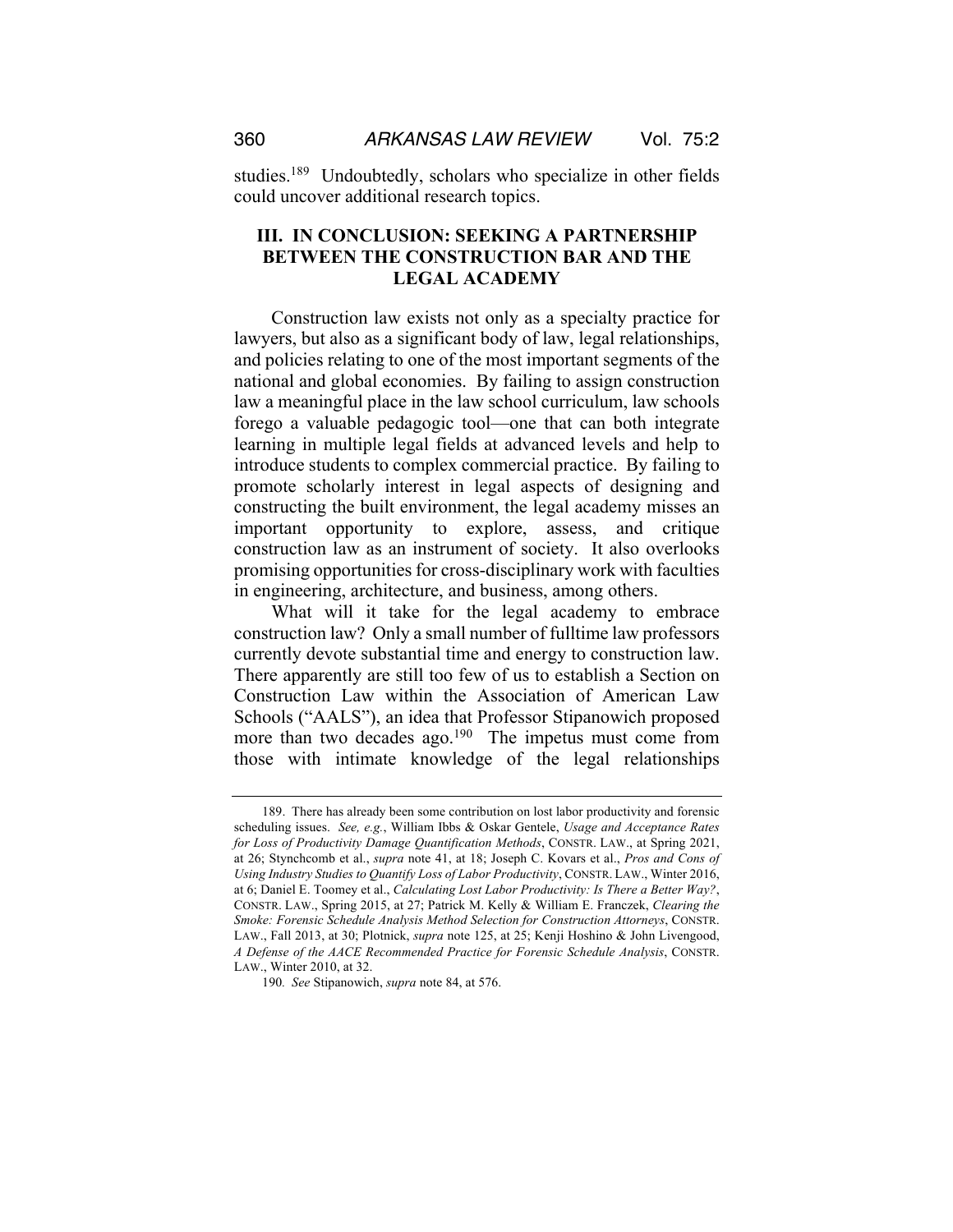studies.<sup>189</sup> Undoubtedly, scholars who specialize in other fields could uncover additional research topics.

### **III. IN CONCLUSION: SEEKING A PARTNERSHIP BETWEEN THE CONSTRUCTION BAR AND THE LEGAL ACADEMY**

Construction law exists not only as a specialty practice for lawyers, but also as a significant body of law, legal relationships, and policies relating to one of the most important segments of the national and global economies. By failing to assign construction law a meaningful place in the law school curriculum, law schools forego a valuable pedagogic tool—one that can both integrate learning in multiple legal fields at advanced levels and help to introduce students to complex commercial practice. By failing to promote scholarly interest in legal aspects of designing and constructing the built environment, the legal academy misses an important opportunity to explore, assess, and critique construction law as an instrument of society. It also overlooks promising opportunities for cross-disciplinary work with faculties in engineering, architecture, and business, among others.

What will it take for the legal academy to embrace construction law? Only a small number of fulltime law professors currently devote substantial time and energy to construction law. There apparently are still too few of us to establish a Section on Construction Law within the Association of American Law Schools ("AALS"), an idea that Professor Stipanowich proposed more than two decades ago.<sup>190</sup> The impetus must come from those with intimate knowledge of the legal relationships

<sup>189.</sup> There has already been some contribution on lost labor productivity and forensic scheduling issues. *See, e.g.*, William Ibbs & Oskar Gentele, *Usage and Acceptance Rates for Loss of Productivity Damage Quantification Methods*, CONSTR. LAW., at Spring 2021, at 26; Stynchcomb et al., *supra* note 41, at 18; Joseph C. Kovars et al., *Pros and Cons of Using Industry Studies to Quantify Loss of Labor Productivity*, CONSTR. LAW., Winter 2016, at 6; Daniel E. Toomey et al., *Calculating Lost Labor Productivity: Is There a Better Way?*, CONSTR. LAW., Spring 2015, at 27; Patrick M. Kelly & William E. Franczek, *Clearing the Smoke: Forensic Schedule Analysis Method Selection for Construction Attorneys*, CONSTR. LAW., Fall 2013, at 30; Plotnick, *supra* note 125, at 25; Kenji Hoshino & John Livengood, *A Defense of the AACE Recommended Practice for Forensic Schedule Analysis*, CONSTR. LAW., Winter 2010, at 32.

<sup>190</sup>*. See* Stipanowich, *supra* note 84, at 576.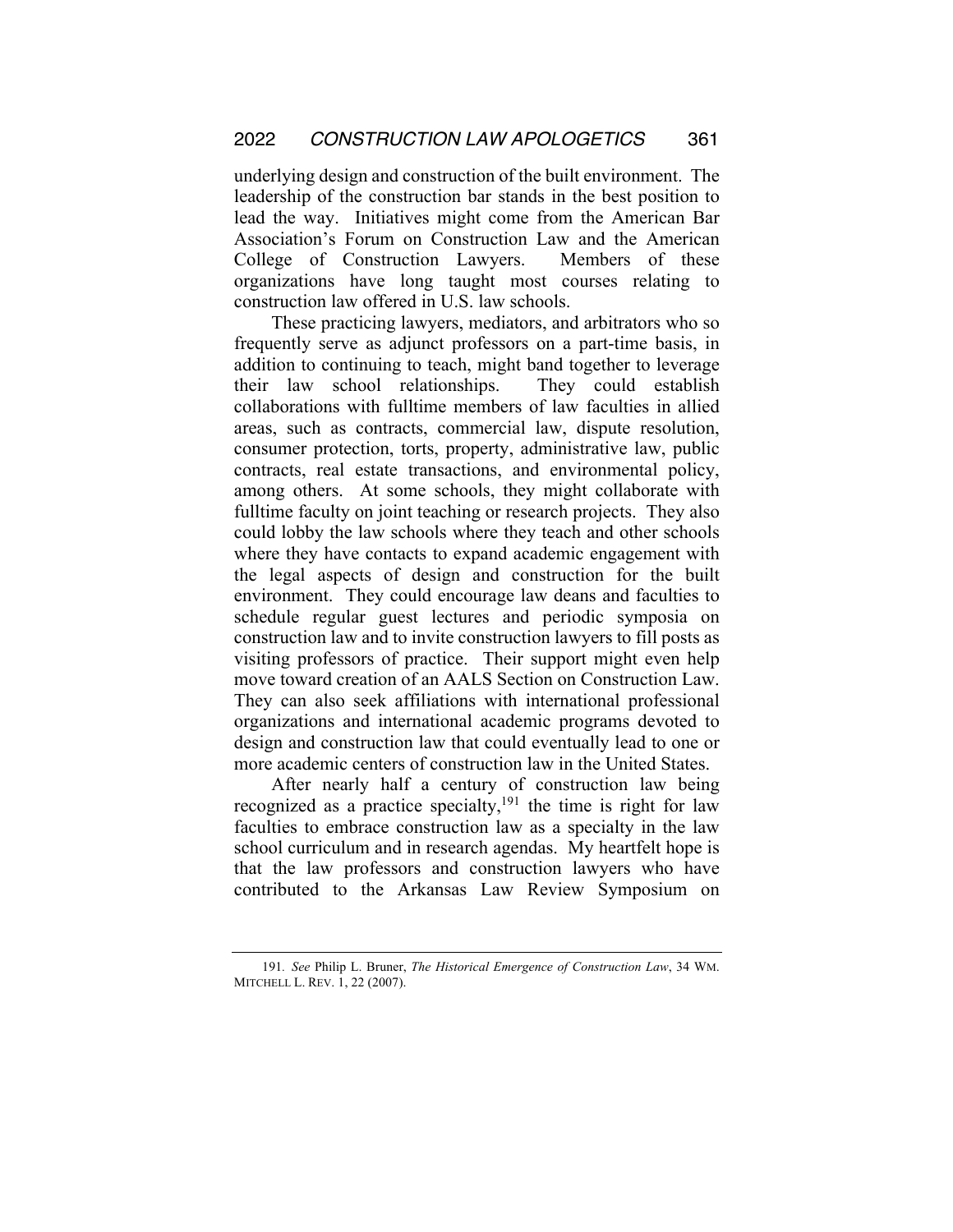underlying design and construction of the built environment. The leadership of the construction bar stands in the best position to lead the way. Initiatives might come from the American Bar Association's Forum on Construction Law and the American College of Construction Lawyers. Members of these organizations have long taught most courses relating to construction law offered in U.S. law schools.

These practicing lawyers, mediators, and arbitrators who so frequently serve as adjunct professors on a part-time basis, in addition to continuing to teach, might band together to leverage their law school relationships. They could establish collaborations with fulltime members of law faculties in allied areas, such as contracts, commercial law, dispute resolution, consumer protection, torts, property, administrative law, public contracts, real estate transactions, and environmental policy, among others. At some schools, they might collaborate with fulltime faculty on joint teaching or research projects. They also could lobby the law schools where they teach and other schools where they have contacts to expand academic engagement with the legal aspects of design and construction for the built environment. They could encourage law deans and faculties to schedule regular guest lectures and periodic symposia on construction law and to invite construction lawyers to fill posts as visiting professors of practice. Their support might even help move toward creation of an AALS Section on Construction Law. They can also seek affiliations with international professional organizations and international academic programs devoted to design and construction law that could eventually lead to one or more academic centers of construction law in the United States.

After nearly half a century of construction law being recognized as a practice specialty, $191$  the time is right for law faculties to embrace construction law as a specialty in the law school curriculum and in research agendas. My heartfelt hope is that the law professors and construction lawyers who have contributed to the Arkansas Law Review Symposium on

<sup>191</sup>*. See* Philip L. Bruner, *The Historical Emergence of Construction Law*, 34 WM. MITCHELL L. REV. 1, 22 (2007).